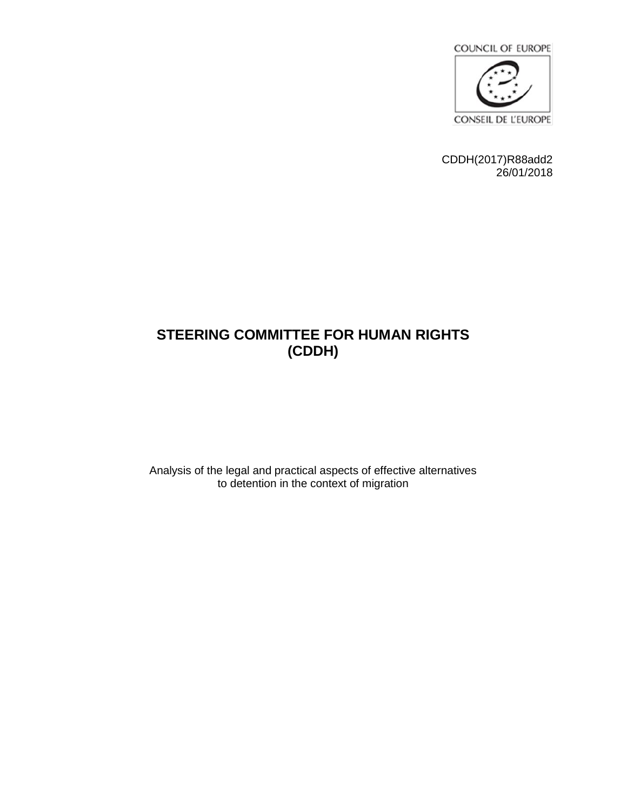

CDDH(2017)R88add2 26/01/2018

# **STEERING COMMITTEE FOR HUMAN RIGHTS (CDDH)**

Analysis of the legal and practical aspects of effective alternatives to detention in the context of migration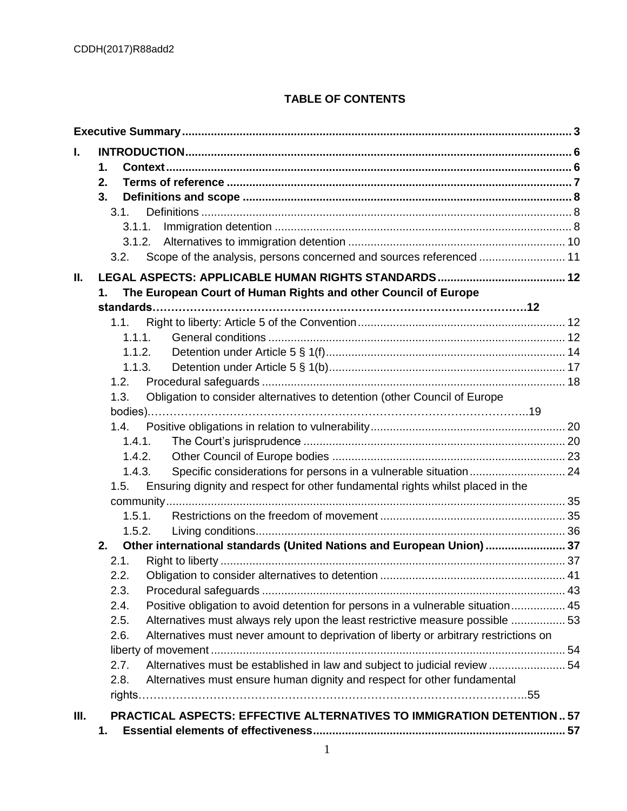# **TABLE OF CONTENTS**

| L.   | 1.<br>2.                                                                                      |  |
|------|-----------------------------------------------------------------------------------------------|--|
|      | 3.                                                                                            |  |
|      | 3.1.                                                                                          |  |
|      | 3.1.1.                                                                                        |  |
|      | Scope of the analysis, persons concerned and sources referenced  11<br>3.2.                   |  |
|      |                                                                                               |  |
| Ш.   |                                                                                               |  |
|      | The European Court of Human Rights and other Council of Europe<br>1.                          |  |
|      |                                                                                               |  |
|      | 1.1.                                                                                          |  |
|      | 1.1.1.                                                                                        |  |
|      | 1.1.2.                                                                                        |  |
|      | 1.1.3.<br>1.2.                                                                                |  |
|      | Obligation to consider alternatives to detention (other Council of Europe<br>1.3.             |  |
|      |                                                                                               |  |
|      | 1.4.                                                                                          |  |
|      | 1.4.1.                                                                                        |  |
|      | 1.4.2.                                                                                        |  |
|      | 1.4.3.                                                                                        |  |
|      | Ensuring dignity and respect for other fundamental rights whilst placed in the<br>1.5.        |  |
|      |                                                                                               |  |
|      | 1.5.1.                                                                                        |  |
|      | 1.5.2.                                                                                        |  |
|      | 2.<br>Other international standards (United Nations and European Union)  37                   |  |
|      | 2.1.                                                                                          |  |
|      | 2.2.                                                                                          |  |
|      | 2.3.                                                                                          |  |
|      | Positive obligation to avoid detention for persons in a vulnerable situation 45<br>2.4.       |  |
|      | Alternatives must always rely upon the least restrictive measure possible  53<br>2.5.         |  |
|      | Alternatives must never amount to deprivation of liberty or arbitrary restrictions on<br>2.6. |  |
|      |                                                                                               |  |
|      | Alternatives must be established in law and subject to judicial review  54<br>2.7.            |  |
|      | Alternatives must ensure human dignity and respect for other fundamental<br>2.8.              |  |
|      |                                                                                               |  |
| III. | <b>PRACTICAL ASPECTS: EFFECTIVE ALTERNATIVES TO IMMIGRATION DETENTION 57</b>                  |  |
|      | 1.                                                                                            |  |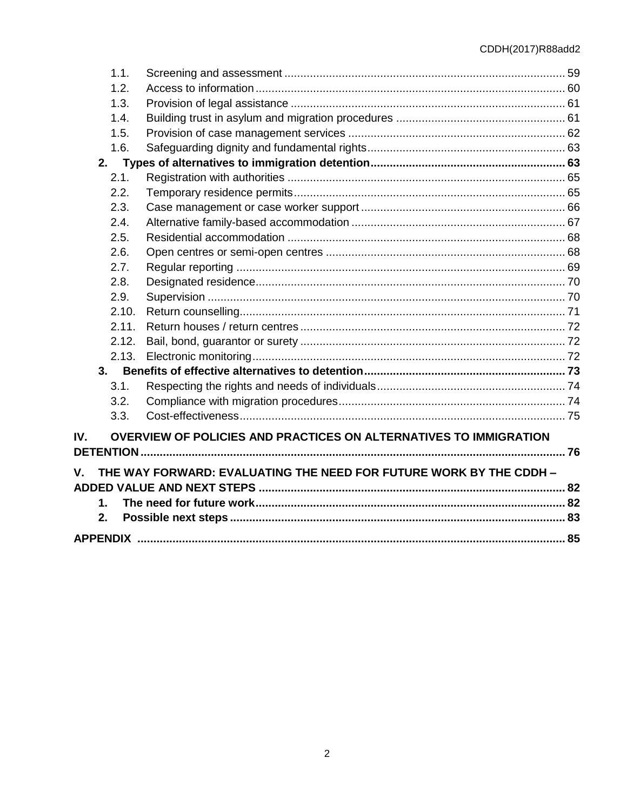| 1.1.  |                                                                    |  |
|-------|--------------------------------------------------------------------|--|
| 1.2.  |                                                                    |  |
| 1.3.  |                                                                    |  |
| 1.4.  |                                                                    |  |
| 1.5.  |                                                                    |  |
| 1.6.  |                                                                    |  |
| 2.    |                                                                    |  |
| 2.1.  |                                                                    |  |
| 2.2.  |                                                                    |  |
| 2.3.  |                                                                    |  |
| 2.4.  |                                                                    |  |
| 2.5.  |                                                                    |  |
| 2.6.  |                                                                    |  |
| 2.7.  |                                                                    |  |
| 2.8.  |                                                                    |  |
| 2.9.  |                                                                    |  |
| 2.10. |                                                                    |  |
| 2.11. |                                                                    |  |
| 2.12. |                                                                    |  |
| 2.13. |                                                                    |  |
| 3.    |                                                                    |  |
| 3.1.  |                                                                    |  |
| 3.2.  |                                                                    |  |
| 3.3.  |                                                                    |  |
| IV.   | OVERVIEW OF POLICIES AND PRACTICES ON ALTERNATIVES TO IMMIGRATION  |  |
|       |                                                                    |  |
| V.    | THE WAY FORWARD: EVALUATING THE NEED FOR FUTURE WORK BY THE CDDH - |  |
|       |                                                                    |  |
| 1.    |                                                                    |  |
| 2.    |                                                                    |  |
|       |                                                                    |  |
|       |                                                                    |  |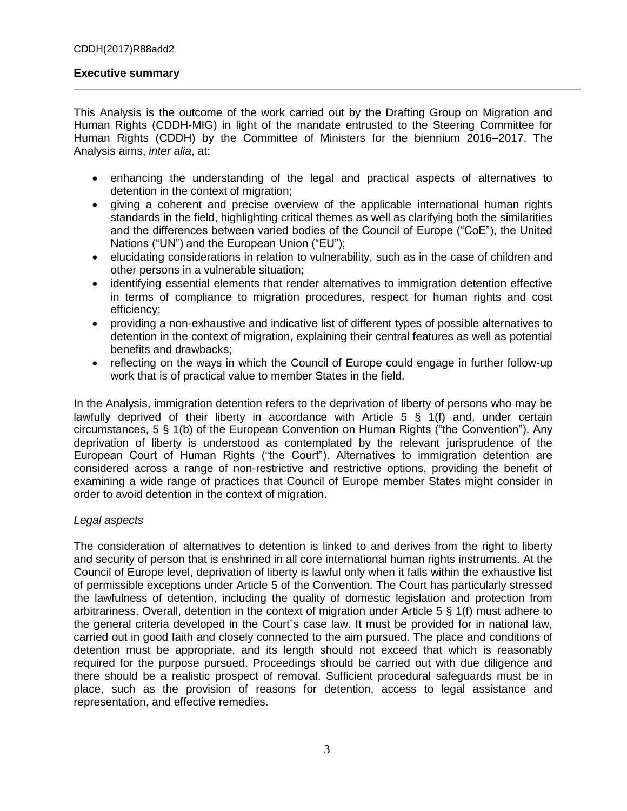#### **Executive summary**

This Analysis is the outcome of the work carried out by the Drafting Group on Migration and Human Rights (CDDH-MIG) in light of the mandate entrusted to the Steering Committee for Human Rights (CDDH) by the Committee of Ministers for the biennium 2016–2017. The Analysis aims, *inter alia*, at:

- enhancing the understanding of the legal and practical aspects of alternatives to detention in the context of migration;
- giving a coherent and precise overview of the applicable international human rights standards in the field, highlighting critical themes as well as clarifying both the similarities and the differences between varied bodies of the Council of Europe ("CoE"), the United Nations ("UN") and the European Union ("EU");
- elucidating considerations in relation to vulnerability, such as in the case of children and other persons in a vulnerable situation;
- identifying essential elements that render alternatives to immigration detention effective in terms of compliance to migration procedures, respect for human rights and cost efficiency;
- providing a non-exhaustive and indicative list of different types of possible alternatives to detention in the context of migration, explaining their central features as well as potential benefits and drawbacks;
- reflecting on the ways in which the Council of Europe could engage in further follow-up work that is of practical value to member States in the field.

In the Analysis, immigration detention refers to the deprivation of liberty of persons who may be lawfully deprived of their liberty in accordance with Article 5 § 1(f) and, under certain circumstances, 5 § 1(b) of the European Convention on Human Rights ("the Convention"). Any deprivation of liberty is understood as contemplated by the relevant jurisprudence of the European Court of Human Rights ("the Court"). Alternatives to immigration detention are considered across a range of non-restrictive and restrictive options, providing the benefit of examining a wide range of practices that Council of Europe member States might consider in order to avoid detention in the context of migration.

#### *Legal aspects*

The consideration of alternatives to detention is linked to and derives from the right to liberty and security of person that is enshrined in all core international human rights instruments. At the Council of Europe level, deprivation of liberty is lawful only when it falls within the exhaustive list of permissible exceptions under Article 5 of the Convention. The Court has particularly stressed the lawfulness of detention, including the quality of domestic legislation and protection from arbitrariness. Overall, detention in the context of migration under Article 5 § 1(f) must adhere to the general criteria developed in the Court´s case law. It must be provided for in national law, carried out in good faith and closely connected to the aim pursued. The place and conditions of detention must be appropriate, and its length should not exceed that which is reasonably required for the purpose pursued. Proceedings should be carried out with due diligence and there should be a realistic prospect of removal. Sufficient procedural safeguards must be in place, such as the provision of reasons for detention, access to legal assistance and representation, and effective remedies.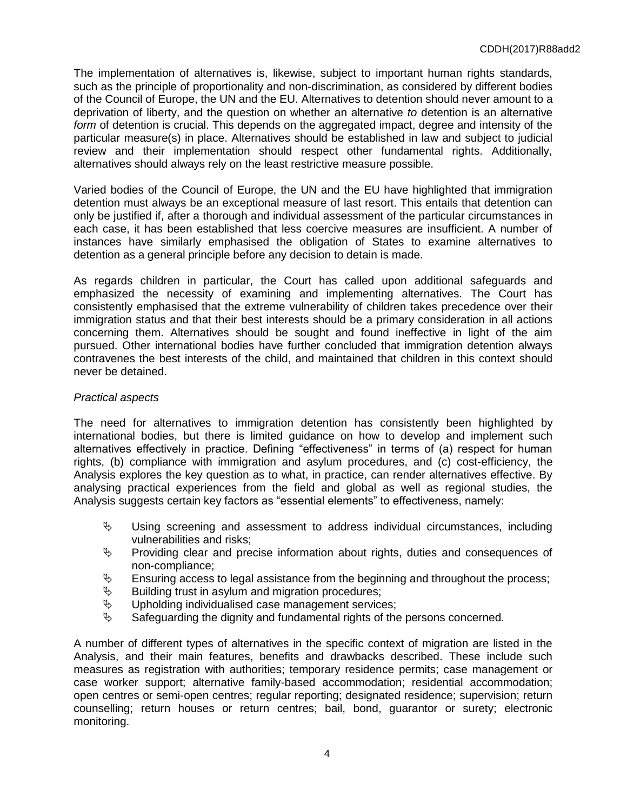The implementation of alternatives is, likewise, subject to important human rights standards, such as the principle of proportionality and non-discrimination, as considered by different bodies of the Council of Europe, the UN and the EU. Alternatives to detention should never amount to a deprivation of liberty, and the question on whether an alternative *to* detention is an alternative *form* of detention is crucial. This depends on the aggregated impact, degree and intensity of the particular measure(s) in place. Alternatives should be established in law and subject to judicial review and their implementation should respect other fundamental rights. Additionally, alternatives should always rely on the least restrictive measure possible.

Varied bodies of the Council of Europe, the UN and the EU have highlighted that immigration detention must always be an exceptional measure of last resort. This entails that detention can only be justified if, after a thorough and individual assessment of the particular circumstances in each case, it has been established that less coercive measures are insufficient. A number of instances have similarly emphasised the obligation of States to examine alternatives to detention as a general principle before any decision to detain is made.

As regards children in particular, the Court has called upon additional safeguards and emphasized the necessity of examining and implementing alternatives. The Court has consistently emphasised that the extreme vulnerability of children takes precedence over their immigration status and that their best interests should be a primary consideration in all actions concerning them. Alternatives should be sought and found ineffective in light of the aim pursued. Other international bodies have further concluded that immigration detention always contravenes the best interests of the child, and maintained that children in this context should never be detained.

### *Practical aspects*

The need for alternatives to immigration detention has consistently been highlighted by international bodies, but there is limited guidance on how to develop and implement such alternatives effectively in practice. Defining "effectiveness" in terms of (a) respect for human rights, (b) compliance with immigration and asylum procedures, and (c) cost-efficiency, the Analysis explores the key question as to what, in practice, can render alternatives effective. By analysing practical experiences from the field and global as well as regional studies, the Analysis suggests certain key factors as "essential elements" to effectiveness, namely:

- $\uppsi$  Using screening and assessment to address individual circumstances, including vulnerabilities and risks;
- $\uparrow$  Providing clear and precise information about rights, duties and consequences of non-compliance;
- $\mathfrak{g}$  Ensuring access to legal assistance from the beginning and throughout the process;
- $\&$  Building trust in asylum and migration procedures;
- $\uparrow$  Upholding individualised case management services;<br>
Safequarding the dignity and fundamental rights of the
- Safeguarding the dignity and fundamental rights of the persons concerned.

A number of different types of alternatives in the specific context of migration are listed in the Analysis, and their main features, benefits and drawbacks described. These include such measures as registration with authorities; temporary residence permits; case management or case worker support; alternative family-based accommodation; residential accommodation; open centres or semi-open centres; regular reporting; designated residence; supervision; return counselling; return houses or return centres; bail, bond, guarantor or surety; electronic monitoring.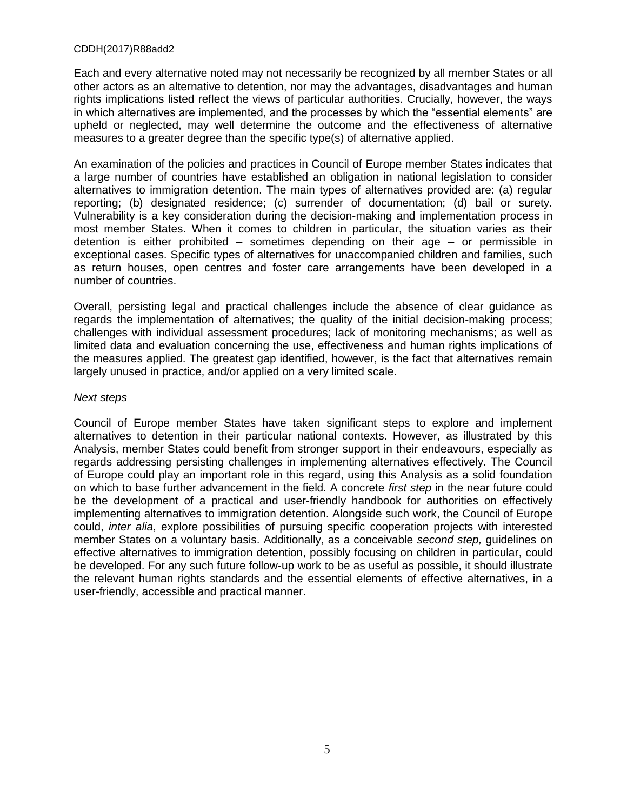Each and every alternative noted may not necessarily be recognized by all member States or all other actors as an alternative to detention, nor may the advantages, disadvantages and human rights implications listed reflect the views of particular authorities. Crucially, however, the ways in which alternatives are implemented, and the processes by which the "essential elements" are upheld or neglected, may well determine the outcome and the effectiveness of alternative measures to a greater degree than the specific type(s) of alternative applied.

An examination of the policies and practices in Council of Europe member States indicates that a large number of countries have established an obligation in national legislation to consider alternatives to immigration detention. The main types of alternatives provided are: (a) regular reporting; (b) designated residence; (c) surrender of documentation; (d) bail or surety. Vulnerability is a key consideration during the decision-making and implementation process in most member States. When it comes to children in particular, the situation varies as their detention is either prohibited – sometimes depending on their age – or permissible in exceptional cases. Specific types of alternatives for unaccompanied children and families, such as return houses, open centres and foster care arrangements have been developed in a number of countries.

Overall, persisting legal and practical challenges include the absence of clear guidance as regards the implementation of alternatives; the quality of the initial decision-making process; challenges with individual assessment procedures; lack of monitoring mechanisms; as well as limited data and evaluation concerning the use, effectiveness and human rights implications of the measures applied. The greatest gap identified, however, is the fact that alternatives remain largely unused in practice, and/or applied on a very limited scale.

#### *Next steps*

Council of Europe member States have taken significant steps to explore and implement alternatives to detention in their particular national contexts. However, as illustrated by this Analysis, member States could benefit from stronger support in their endeavours, especially as regards addressing persisting challenges in implementing alternatives effectively. The Council of Europe could play an important role in this regard, using this Analysis as a solid foundation on which to base further advancement in the field. A concrete *first step* in the near future could be the development of a practical and user-friendly handbook for authorities on effectively implementing alternatives to immigration detention. Alongside such work, the Council of Europe could, *inter alia*, explore possibilities of pursuing specific cooperation projects with interested member States on a voluntary basis. Additionally, as a conceivable *second step,* guidelines on effective alternatives to immigration detention, possibly focusing on children in particular, could be developed. For any such future follow-up work to be as useful as possible, it should illustrate the relevant human rights standards and the essential elements of effective alternatives, in a user-friendly, accessible and practical manner.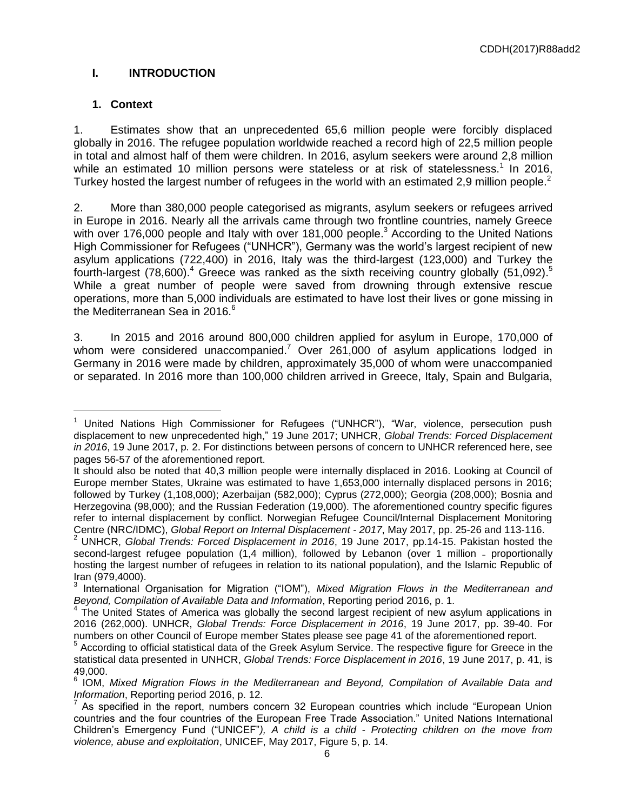# **I. INTRODUCTION**

# **1. Context**

 $\overline{a}$ 

1. Estimates show that an unprecedented 65,6 million people were forcibly displaced globally in 2016. The refugee population worldwide reached a record high of 22,5 million people in total and almost half of them were children. In 2016, asylum seekers were around 2,8 million while an estimated 10 million persons were stateless or at risk of statelessness.<sup>1</sup> In 2016, Turkey hosted the largest number of refugees in the world with an estimated 2.9 million people.<sup>2</sup>

2. More than 380,000 people categorised as migrants, asylum seekers or refugees arrived in Europe in 2016. Nearly all the arrivals came through two frontline countries, namely Greece with over 176,000 people and Italy with over 181,000 people.<sup>3</sup> According to the United Nations High Commissioner for Refugees ("UNHCR"), Germany was the world's largest recipient of new asylum applications (722,400) in 2016, Italy was the third-largest (123,000) and Turkey the fourth-largest (78,600).<sup>4</sup> Greece was ranked as the sixth receiving country globally (51,092).<sup>5</sup> While a great number of people were saved from drowning through extensive rescue operations, more than 5,000 individuals are estimated to have lost their lives or gone missing in the Mediterranean Sea in 2016. $6\overline{ }$ 

3. In 2015 and 2016 around 800,000 children applied for asylum in Europe, 170,000 of whom were considered unaccompanied.<sup>7</sup> Over 261,000 of asylum applications lodged in Germany in 2016 were made by children, approximately 35,000 of whom were unaccompanied or separated. In 2016 more than 100,000 children arrived in Greece, Italy, Spain and Bulgaria,

<sup>&</sup>lt;sup>1</sup> United Nations High Commissioner for Refugees ("UNHCR"), "War, violence, persecution push displacement to new unprecedented high,ˮ 19 June 2017; UNHCR, *Global Trends: Forced Displacement in 2016*, 19 June 2017, p. 2. For distinctions between persons of concern to UNHCR referenced here, see pages 56-57 of the aforementioned report.

It should also be noted that 40,3 million people were internally displaced in 2016. Looking at Council of Europe member States, Ukraine was estimated to have 1,653,000 internally displaced persons in 2016; followed by Turkey (1,108,000); Azerbaijan (582,000); Cyprus (272,000); Georgia (208,000); Bosnia and Herzegovina (98,000); and the Russian Federation (19,000). The aforementioned country specific figures refer to internal displacement by conflict. Norwegian Refugee Council/Internal Displacement Monitoring Centre (NRC/IDMC), *Global Report on Internal Displacement - 2017*, May 2017, pp. 25-26 and 113-116.

<sup>2</sup> UNHCR, *Global Trends: Forced Displacement in 2016*, 19 June 2017, pp.14-15. Pakistan hosted the second-largest refugee population (1,4 million), followed by Lebanon (over 1 million - proportionally hosting the largest number of refugees in relation to its national population), and the Islamic Republic of

Iran (979,4000).<br><sup>3</sup> International Organisation for Migration ("IOM"), *Mixed Migration Flows in the Mediterranean and* 

*Beyond, Compilation of Available Data and Information*, Reporting period 2016, p. 1.<br><sup>4</sup> The United States of America was globally the second largest recipient of new asylum applications in 2016 (262,000). UNHCR, *Global Trends: Force Displacement in 2016*, 19 June 2017, pp. 39-40. For numbers on other Council of Europe member States please see page 41 of the aforementioned report.

<sup>5</sup> According to official statistical data of the Greek Asylum Service. The respective figure for Greece in the statistical data presented in UNHCR, *Global Trends: Force Displacement in 2016*, 19 June 2017, p. 41, is 49,000. 6

IOM, *Mixed Migration Flows in the Mediterranean and Beyond, Compilation of Available Data and Information*, Reporting period 2016, p. 12.

<sup>&</sup>lt;sup>7</sup> As specified in the report, numbers concern 32 European countries which include "European Union countries and the four countries of the European Free Trade Association." United Nations International Children's Emergency Fund ("UNICEFˮ*), A child is a child - Protecting children on the move from violence, abuse and exploitation*, UNICEF, May 2017, Figure 5, p. 14.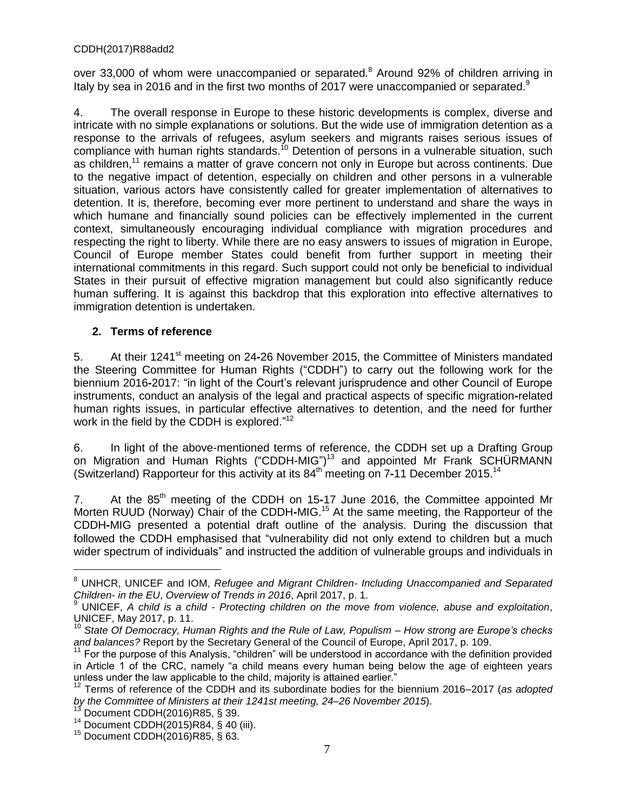over 33,000 of whom were unaccompanied or separated.<sup>8</sup> Around 92% of children arriving in Italy by sea in 2016 and in the first two months of 2017 were unaccompanied or separated.<sup>9</sup>

4. The overall response in Europe to these historic developments is complex, diverse and intricate with no simple explanations or solutions. But the wide use of immigration detention as a response to the arrivals of refugees, asylum seekers and migrants raises serious issues of compliance with human rights standards.<sup>10</sup> Detention of persons in a vulnerable situation, such as children,<sup>11</sup> remains a matter of grave concern not only in Europe but across continents. Due to the negative impact of detention, especially on children and other persons in a vulnerable situation, various actors have consistently called for greater implementation of alternatives to detention. It is, therefore, becoming ever more pertinent to understand and share the ways in which humane and financially sound policies can be effectively implemented in the current context, simultaneously encouraging individual compliance with migration procedures and respecting the right to liberty. While there are no easy answers to issues of migration in Europe, Council of Europe member States could benefit from further support in meeting their international commitments in this regard. Such support could not only be beneficial to individual States in their pursuit of effective migration management but could also significantly reduce human suffering. It is against this backdrop that this exploration into effective alternatives to immigration detention is undertaken.

# **2. Terms of reference**

5. At their 1241st meeting on 24**-**26 November 2015, the Committee of Ministers mandated the Steering Committee for Human Rights ("CDDH") to carry out the following work for the biennium 2016**-**2017: "in light of the Court's relevant jurisprudence and other Council of Europe instruments, conduct an analysis of the legal and practical aspects of specific migration**-**related human rights issues, in particular effective alternatives to detention, and the need for further work in the field by the CDDH is explored." $12$ 

6. In light of the above-mentioned terms of reference, the CDDH set up a Drafting Group on Migration and Human Rights ("CDDH-MIG")<sup>13</sup> and appointed Mr Frank SCHÜRMANN (Switzerland) Rapporteur for this activity at its 84<sup>th</sup> meeting on 7-11 December 2015.<sup>14</sup>

7. At the 85<sup>th</sup> meeting of the CDDH on 15-17 June 2016, the Committee appointed Mr Morten RUUD (Norway) Chair of the CDDH**-**MIG.<sup>15</sup> At the same meeting, the Rapporteur of the CDDH**-**MIG presented a potential draft outline of the analysis. During the discussion that followed the CDDH emphasised that "vulnerability did not only extend to children but a much wider spectrum of individuals" and instructed the addition of vulnerable groups and individuals in

Document CDDH(2016)R85, § 39.

<sup>8</sup> UNHCR, UNICEF and IOM, *Refugee and Migrant Children- Including Unaccompanied and Separated Children- in the EU*, *Overview of Trends in 2016*, April 2017, p. 1.

<sup>9</sup> UNICEF, *A child is a child - Protecting children on the move from violence, abuse and exploitation*, UNICEF, May 2017, p. 11.

<sup>10</sup> *State Of Democracy, Human Rights and the Rule of Law, Populism – How strong are Europe's checks and balances?* Report by the Secretary General of the Council of Europe, April 2017, p. 109.

 $11$  For the purpose of this Analysis, "children" will be understood in accordance with the definition provided in Article 1 of the CRC, namely "a child means every human being below the age of eighteen years unless under the law applicable to the child, majority is attained earlier.<sup>"</sup><br><sup>12</sup> Terms of reference of the CCCC.

<sup>12</sup> Terms of reference of the CDDH and its subordinate bodies for the biennium 2016–2017 (*as adopted by the Committee of Ministers at their 1241st meeting, 24–26 November 2015*).

<sup>&</sup>lt;sup>14</sup> Document CDDH $(2015)R84, S$  40 (iii).

<sup>15</sup> Document CDDH(2016)R85, § 63.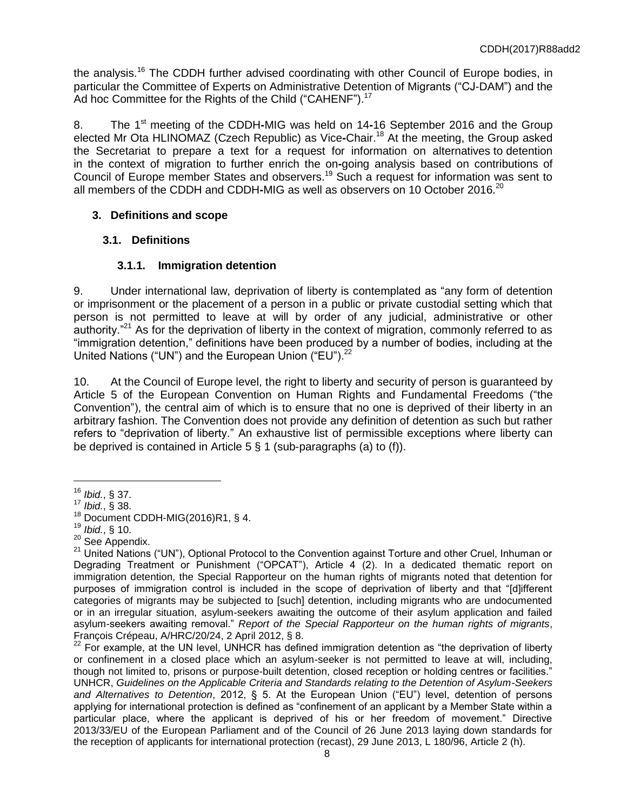the analysis.<sup>16</sup> The CDDH further advised coordinating with other Council of Europe bodies, in particular the Committee of Experts on Administrative Detention of Migrants ("CJ-DAM") and the Ad hoc Committee for the Rights of the Child ("CAHENF").<sup>17</sup>

8. The 1 st meeting of the CDDH**-**MIG was held on 14**-**16 September 2016 and the Group elected Mr Ota HLINOMAZ (Czech Republic) as Vice**-**Chair.<sup>18</sup> At the meeting, the Group asked the Secretariat to prepare a text for a request for information on alternatives to detention in the context of migration to further enrich the on**-**going analysis based on contributions of Council of Europe member States and observers.<sup>19</sup> Such a request for information was sent to all members of the CDDH and CDDH-MIG as well as observers on 10 October 2016.<sup>20</sup>

# **3. Definitions and scope**

# **3.1. Definitions**

# **3.1.1. Immigration detention**

9. Under international law, deprivation of liberty is contemplated as "any form of detention or imprisonment or the placement of a person in a public or private custodial setting which that person is not permitted to leave at will by order of any judicial, administrative or other authority. $"^{21}$  As for the deprivation of liberty in the context of migration, commonly referred to as "immigration detention,ˮ definitions have been produced by a number of bodies, including at the United Nations ("UN") and the European Union ("EU").<sup>22</sup>

10. At the Council of Europe level, the right to liberty and security of person is guaranteed by Article 5 of the European Convention on Human Rights and Fundamental Freedoms ("the Convention"), the central aim of which is to ensure that no one is deprived of their liberty in an arbitrary fashion. The Convention does not provide any definition of detention as such but rather refers to "deprivation of liberty." An exhaustive list of permissible exceptions where liberty can be deprived is contained in Article 5 § 1 (sub-paragraphs (a) to (f)).

<sup>16</sup> *Ibid.*, § 37.

<sup>17</sup> *Ibid.*, § 38.

 $18$  Document CDDH-MIG(2016)R1, § 4.

<sup>19</sup> *Ibid.*, § 10.

<sup>&</sup>lt;sup>20</sup> See Appendix.

<sup>&</sup>lt;sup>21</sup> United Nations ("UN"), Optional Protocol to the Convention against Torture and other Cruel, Inhuman or Degrading Treatment or Punishment ("OPCAT"), Article 4 (2). In a dedicated thematic report on immigration detention, the Special Rapporteur on the human rights of migrants noted that detention for purposes of immigration control is included in the scope of deprivation of liberty and that "[d]ifferent categories of migrants may be subjected to [such] detention, including migrants who are undocumented or in an irregular situation, asylum-seekers awaiting the outcome of their asylum application and failed asylum-seekers awaiting removal." *Report of the Special Rapporteur on the human rights of migrants*, François Crépeau, A/HRC/20/24, 2 April 2012, § 8.

 $^{22}$  For example, at the UN level, UNHCR has defined immigration detention as "the deprivation of liberty or confinement in a closed place which an asylum-seeker is not permitted to leave at will, including, though not limited to, prisons or purpose-built detention, closed reception or holding centres or facilities." UNHCR, *Guidelines on the Applicable Criteria and Standards relating to the Detention of Asylum-Seekers and Alternatives to Detention*, 2012, § 5. At the European Union ("EUˮ) level, detention of persons applying for international protection is defined as "confinement of an applicant by a Member State within a particular place, where the applicant is deprived of his or her freedom of movement." Directive 2013/33/EU of the European Parliament and of the Council of 26 June 2013 laying down standards for the reception of applicants for international protection (recast), 29 June 2013, L 180/96, Article 2 (h).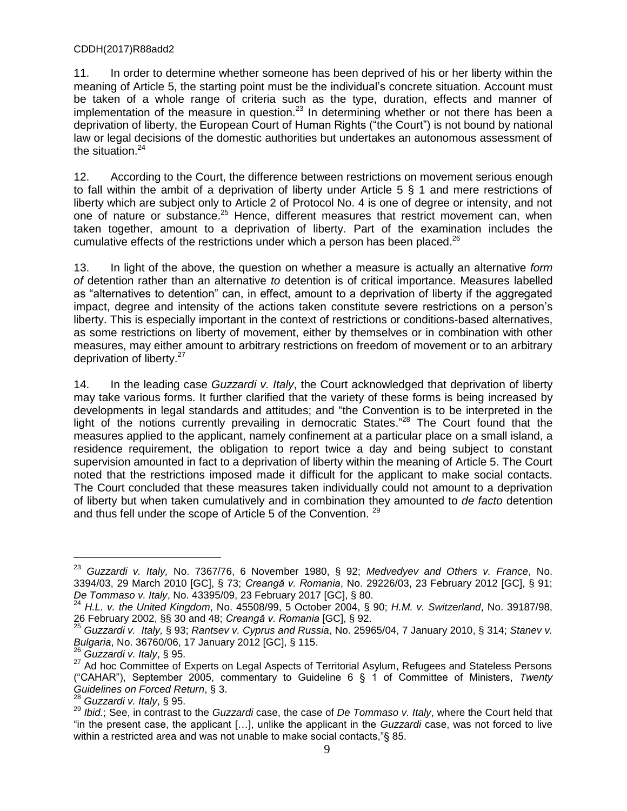11. In order to determine whether someone has been deprived of his or her liberty within the meaning of Article 5, the starting point must be the individual's concrete situation. Account must be taken of a whole range of criteria such as the type, duration, effects and manner of implementation of the measure in question.<sup>23</sup> In determining whether or not there has been a deprivation of liberty, the European Court of Human Rights ("the Court") is not bound by national law or legal decisions of the domestic authorities but undertakes an autonomous assessment of the situation. $24$ 

12. According to the Court, the difference between restrictions on movement serious enough to fall within the ambit of a deprivation of liberty under Article 5 § 1 and mere restrictions of liberty which are subject only to Article 2 of Protocol No. 4 is one of degree or intensity, and not one of nature or substance.<sup>25</sup> Hence, different measures that restrict movement can, when taken together, amount to a deprivation of liberty. Part of the examination includes the cumulative effects of the restrictions under which a person has been placed.<sup>26</sup>

13. In light of the above, the question on whether a measure is actually an alternative *form of* detention rather than an alternative *to* detention is of critical importance. Measures labelled as "alternatives to detention" can, in effect, amount to a deprivation of liberty if the aggregated impact, degree and intensity of the actions taken constitute severe restrictions on a person's liberty. This is especially important in the context of restrictions or conditions-based alternatives, as some restrictions on liberty of movement, either by themselves or in combination with other measures, may either amount to arbitrary restrictions on freedom of movement or to an arbitrary deprivation of liberty.<sup>27</sup>

14. In the leading case *Guzzardi v. Italy*, the Court acknowledged that deprivation of liberty may take various forms. It further clarified that the variety of these forms is being increased by developments in legal standards and attitudes; and "the Convention is to be interpreted in the light of the notions currently prevailing in democratic States."<sup>28</sup> The Court found that the measures applied to the applicant, namely confinement at a particular place on a small island, a residence requirement, the obligation to report twice a day and being subject to constant supervision amounted in fact to a deprivation of liberty within the meaning of Article 5. The Court noted that the restrictions imposed made it difficult for the applicant to make social contacts. The Court concluded that these measures taken individually could not amount to a deprivation of liberty but when taken cumulatively and in combination they amounted to *de facto* detention and thus fell under the scope of Article 5 of the Convention. <sup>29</sup>

<sup>23</sup> *Guzzardi v. Italy,* No. 7367/76, 6 November 1980, § 92; *Medvedyev and Others v. France*, No. 3394/03, 29 March 2010 [GC], § 73; *Creangă v. Romania*, No. 29226/03, 23 February 2012 [GC], § 91; *De Tommaso v. Italy*, No. 43395/09, 23 February 2017 [GC], § 80.

<sup>24</sup> *H.L. v. the United Kingdom*, No. 45508/99, 5 October 2004, § 90; *H.M. v. Switzerland*, No. 39187/98, 26 February 2002, §§ 30 and 48; *Creangă v. Romania* [GC], § 92.

<sup>25</sup> *Guzzardi v. Italy,* § 93; *Rantsev v. Cyprus and Russia*, No. 25965/04, 7 January 2010, § 314; *Stanev v. Bulgaria*, No. 36760/06, 17 January 2012 [GC], § 115.

<sup>26</sup> *Guzzardi v. Italy*, § 95.

<sup>27</sup> Ad hoc Committee of Experts on Legal Aspects of Territorial Asylum, Refugees and Stateless Persons ("CAHAR"), September 2005, commentary to Guideline 6 § 1 of Committee of Ministers, *Twenty Guidelines on Forced Return*, § 3.

<sup>28</sup> *Guzzardi v. Italy*, § 95.

<sup>29</sup> *Ibid.*; See, in contrast to the *Guzzardi* case, the case of *De Tommaso v. Italy*, where the Court held that "in the present case, the applicant […], unlike the applicant in the *Guzzardi* case, was not forced to live within a restricted area and was not unable to make social contacts,"§ 85.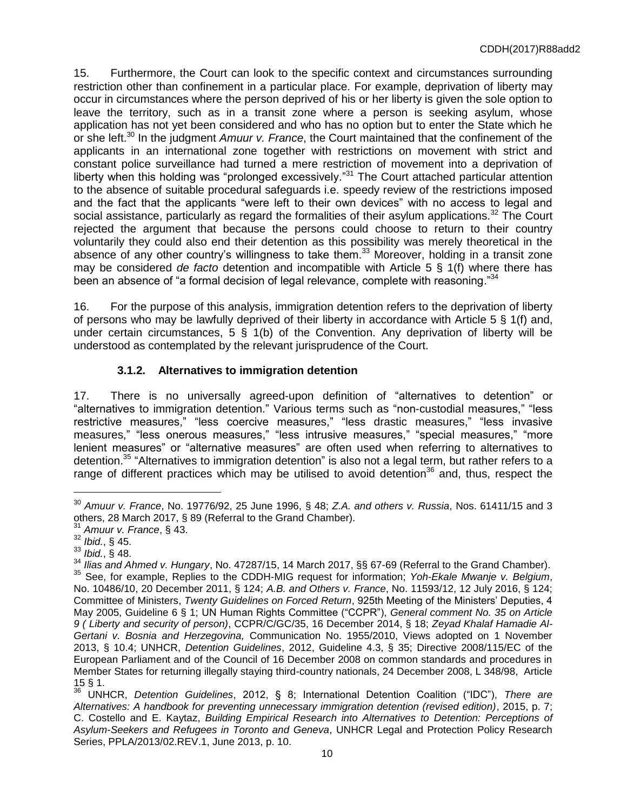15. Furthermore, the Court can look to the specific context and circumstances surrounding restriction other than confinement in a particular place. For example, deprivation of liberty may occur in circumstances where the person deprived of his or her liberty is given the sole option to leave the territory, such as in a transit zone where a person is seeking asylum, whose application has not yet been considered and who has no option but to enter the State which he or she left.<sup>30</sup> In the judgment *Amuur v. France*, the Court maintained that the confinement of the applicants in an international zone together with restrictions on movement with strict and constant police surveillance had turned a mere restriction of movement into a deprivation of liberty when this holding was "prolonged excessively."<sup>31</sup> The Court attached particular attention to the absence of suitable procedural safeguards i.e. speedy review of the restrictions imposed and the fact that the applicants "were left to their own devices" with no access to legal and social assistance, particularly as regard the formalities of their asylum applications.<sup>32</sup> The Court rejected the argument that because the persons could choose to return to their country voluntarily they could also end their detention as this possibility was merely theoretical in the absence of any other country's willingness to take them.<sup>33</sup> Moreover, holding in a transit zone may be considered *de facto* detention and incompatible with Article 5 § 1(f) where there has been an absence of "a formal decision of legal relevance, complete with reasoning."<sup>34</sup>

16. For the purpose of this analysis, immigration detention refers to the deprivation of liberty of persons who may be lawfully deprived of their liberty in accordance with Article 5 § 1(f) and, under certain circumstances,  $5 \S 1(b)$  of the Convention. Any deprivation of liberty will be understood as contemplated by the relevant jurisprudence of the Court.

# **3.1.2. Alternatives to immigration detention**

17. There is no universally agreed-upon definition of "alternatives to detention" or "alternatives to immigration detention." Various terms such as "non-custodial measures," "less restrictive measures," "less coercive measures," "less drastic measures," "less invasive measures," "less onerous measures," "less intrusive measures," "special measures," "more lenient measures" or "alternative measures" are often used when referring to alternatives to detention.<sup>35</sup> "Alternatives to immigration detention" is also not a legal term, but rather refers to a range of different practices which may be utilised to avoid detention<sup>36</sup> and, thus, respect the

<sup>30</sup> *Amuur v. France*, No. 19776/92, 25 June 1996, § 48; *Z.A. and others v. Russia*, Nos. 61411/15 and 3 others, 28 March 2017, § 89 (Referral to the Grand Chamber).

<sup>31</sup> *Amuur v. France*, § 43.

 $32$  *Ibid.*, § 45.

<sup>33</sup> *Ibid.*, § 48.

<sup>34</sup> *Ilias and Ahmed v. Hungary*, No. 47287/15, 14 March 2017, §§ 67-69 (Referral to the Grand Chamber). <sup>35</sup> See, for example, Replies to the CDDH-MIG request for information; *Yoh-Ekale Mwanje v. Belgium*, No. 10486/10, 20 December 2011, § 124; *A.B. and Others v. France*, No. 11593/12, 12 July 2016, § 124; Committee of Ministers, *Twenty Guidelines on Forced Return*, 925th Meeting of the Ministers' Deputies, 4 May 2005, Guideline 6 § 1; UN Human Rights Committee ("CCPRˮ), *General comment No. 35 on Article 9 ( Liberty and security of person)*, CCPR/C/GC/35, 16 December 2014, § 18; *Zeyad Khalaf Hamadie Al-Gertani v. Bosnia and Herzegovina,* Communication No. 1955/2010, Views adopted on 1 November 2013, § 10.4; UNHCR, *Detention Guidelines*, 2012, Guideline 4.3, § 35; Directive 2008/115/EC of the European Parliament and of the Council of 16 December 2008 on common standards and procedures in Member States for returning illegally staying third-country nationals, 24 December 2008, L 348/98, Article 15 § 1.

UNHCR, *Detention Guidelines*, 2012, § 8; International Detention Coalition ("IDC"), There are *Alternatives: A handbook for preventing unnecessary immigration detention (revised edition)*, 2015, p. 7; C. Costello and E. Kaytaz, *Building Empirical Research into Alternatives to Detention: Perceptions of Asylum-Seekers and Refugees in Toronto and Geneva*, UNHCR Legal and Protection Policy Research Series, PPLA/2013/02.REV.1, June 2013, p. 10.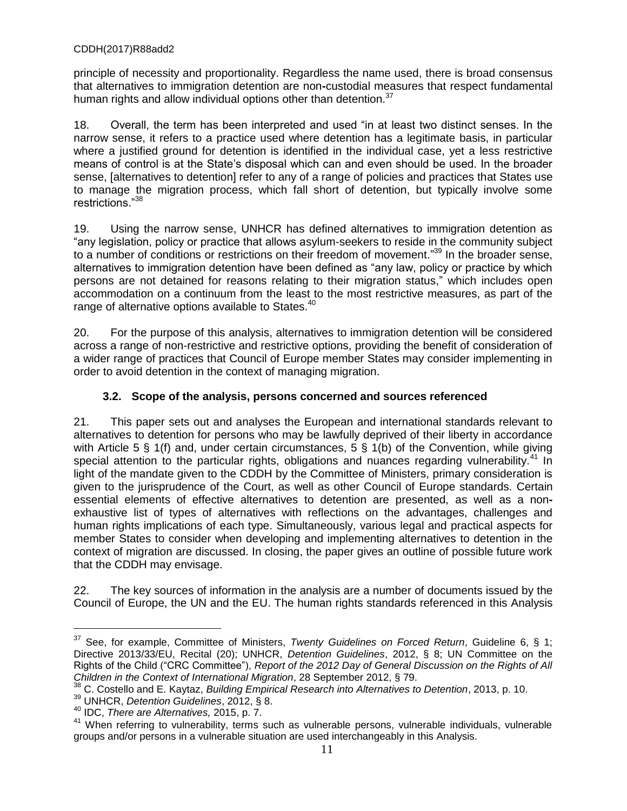principle of necessity and proportionality. Regardless the name used, there is broad consensus that alternatives to immigration detention are non**-**custodial measures that respect fundamental human rights and allow individual options other than detention.<sup>37</sup>

18. Overall, the term has been interpreted and used "in at least two distinct senses. In the narrow sense, it refers to a practice used where detention has a legitimate basis, in particular where a justified ground for detention is identified in the individual case, yet a less restrictive means of control is at the State's disposal which can and even should be used. In the broader sense, [alternatives to detention] refer to any of a range of policies and practices that States use to manage the migration process, which fall short of detention, but typically involve some restrictions."<sup>38</sup>

19. Using the narrow sense, UNHCR has defined alternatives to immigration detention as "any legislation, policy or practice that allows asylum-seekers to reside in the community subject to a number of conditions or restrictions on their freedom of movement."<sup>39</sup> In the broader sense, alternatives to immigration detention have been defined as "any law, policy or practice by which persons are not detained for reasons relating to their migration status," which includes open accommodation on a continuum from the least to the most restrictive measures, as part of the range of alternative options available to States.<sup>40</sup>

20. For the purpose of this analysis, alternatives to immigration detention will be considered across a range of non-restrictive and restrictive options, providing the benefit of consideration of a wider range of practices that Council of Europe member States may consider implementing in order to avoid detention in the context of managing migration.

### **3.2. Scope of the analysis, persons concerned and sources referenced**

21. This paper sets out and analyses the European and international standards relevant to alternatives to detention for persons who may be lawfully deprived of their liberty in accordance with Article 5 § 1(f) and, under certain circumstances, 5 § 1(b) of the Convention, while giving special attention to the particular rights, obligations and nuances regarding vulnerability.<sup>41</sup> In light of the mandate given to the CDDH by the Committee of Ministers, primary consideration is given to the jurisprudence of the Court, as well as other Council of Europe standards. Certain essential elements of effective alternatives to detention are presented, as well as a nonexhaustive list of types of alternatives with reflections on the advantages, challenges and human rights implications of each type. Simultaneously, various legal and practical aspects for member States to consider when developing and implementing alternatives to detention in the context of migration are discussed. In closing, the paper gives an outline of possible future work that the CDDH may envisage.

22. The key sources of information in the analysis are a number of documents issued by the Council of Europe, the UN and the EU. The human rights standards referenced in this Analysis

<sup>37</sup> See, for example, Committee of Ministers, *Twenty Guidelines on Forced Return*, Guideline 6, § 1; Directive 2013/33/EU, Recital (20); UNHCR, *Detention Guidelines*, 2012, § 8; UN Committee on the Rights of the Child ("CRC Committee"), *Report of the 2012 Day of General Discussion on the Rights of All Children in the Context of International Migration*, 28 September 2012, § 79.

<sup>38</sup> C. Costello and E. Kaytaz, *Building Empirical Research into Alternatives to Detention*, 2013, p. 10.

<sup>39</sup> UNHCR, *Detention Guidelines*, 2012, § 8.

<sup>40</sup> IDC, *There are Alternatives,* 2015, p. 7.

<sup>&</sup>lt;sup>41</sup> When referring to vulnerability, terms such as vulnerable persons, vulnerable individuals, vulnerable groups and/or persons in a vulnerable situation are used interchangeably in this Analysis.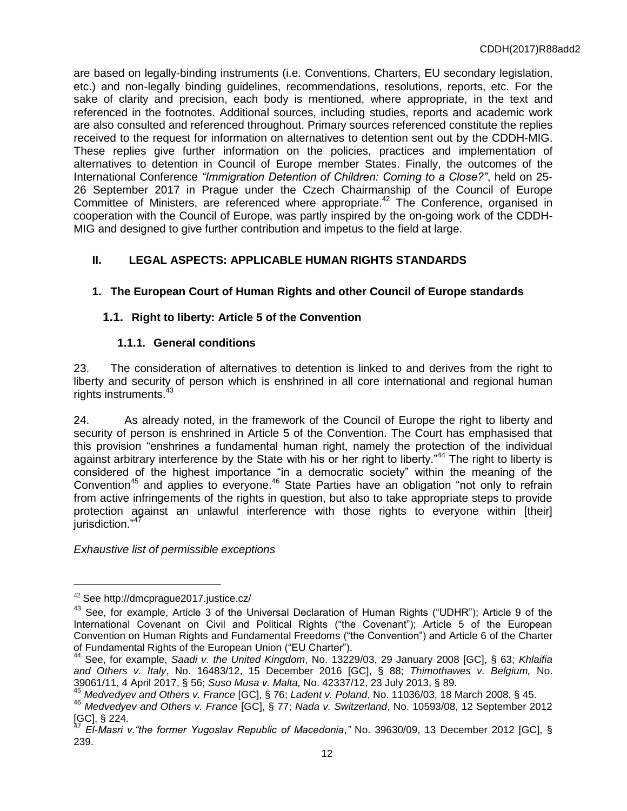are based on legally-binding instruments (i.e. Conventions, Charters, EU secondary legislation, etc.) and non-legally binding guidelines, recommendations, resolutions, reports, etc. For the sake of clarity and precision, each body is mentioned, where appropriate, in the text and referenced in the footnotes. Additional sources, including studies, reports and academic work are also consulted and referenced throughout. Primary sources referenced constitute the replies received to the request for information on alternatives to detention sent out by the CDDH-MIG. These replies give further information on the policies, practices and implementation of alternatives to detention in Council of Europe member States. Finally, the outcomes of the International Conference *"Immigration Detention of Children: Coming to a Close?ˮ*, held on 25- 26 September 2017 in Prague under the Czech Chairmanship of the Council of Europe Committee of Ministers, are referenced where appropriate.<sup>42</sup> The Conference, organised in cooperation with the Council of Europe, was partly inspired by the on-going work of the CDDH-MIG and designed to give further contribution and impetus to the field at large.

# **II. LEGAL ASPECTS: APPLICABLE HUMAN RIGHTS STANDARDS**

# **1. The European Court of Human Rights and other Council of Europe standards**

# **1.1. Right to liberty: Article 5 of the Convention**

# **1.1.1. General conditions**

23. The consideration of alternatives to detention is linked to and derives from the right to liberty and security of person which is enshrined in all core international and regional human rights instruments.<sup>43</sup>

24. As already noted, in the framework of the Council of Europe the right to liberty and security of person is enshrined in Article 5 of the Convention. The Court has emphasised that this provision "enshrines a fundamental human right, namely the protection of the individual against arbitrary interference by the State with his or her right to liberty."<sup>44</sup> The right to liberty is considered of the highest importance "in a democratic society" within the meaning of the Convention<sup>45</sup> and applies to everyone.<sup>46</sup> State Parties have an obligation "not only to refrain from active infringements of the rights in question, but also to take appropriate steps to provide protection against an unlawful interference with those rights to everyone within [their] jurisdiction."<sup>47</sup>

*Exhaustive list of permissible exceptions*

<sup>42</sup> See http://dmcprague2017.justice.cz/

 $43$  See, for example, Article 3 of the Universal Declaration of Human Rights ("UDHR"); Article 9 of the International Covenant on Civil and Political Rights ("the Covenant"); Article 5 of the European Convention on Human Rights and Fundamental Freedoms ("the Convention") and Article 6 of the Charter of Fundamental Rights of the European Union ("EU Charter").

<sup>44</sup> See, for example, *Saadi v. the United Kingdom*, No. 13229/03, 29 January 2008 [GC], § 63; *Khlaifia and Others v. Italy*, No. 16483/12, 15 December 2016 [GC], § 88; *Thimothawes v. Belgium,* No. 39061/11, 4 April 2017, § 56; *Suso Musa v. Malta,* No. 42337/12, 23 July 2013, § 89.

<sup>45</sup> *Medvedyev and Others v. France* [GC], § 76; *Ladent v. Poland*, No. 11036/03, 18 March 2008, § 45.

<sup>46</sup> *Medvedyev and Others v. France* [GC], § 77; *Nada v. Switzerland*, No. 10593/08, 12 September 2012  $[GC]$ , § 224.

<sup>47</sup> *El-Masri v."the former Yugoslav Republic of Macedonia*,*"* No. 39630/09, 13 December 2012 [GC], § 239.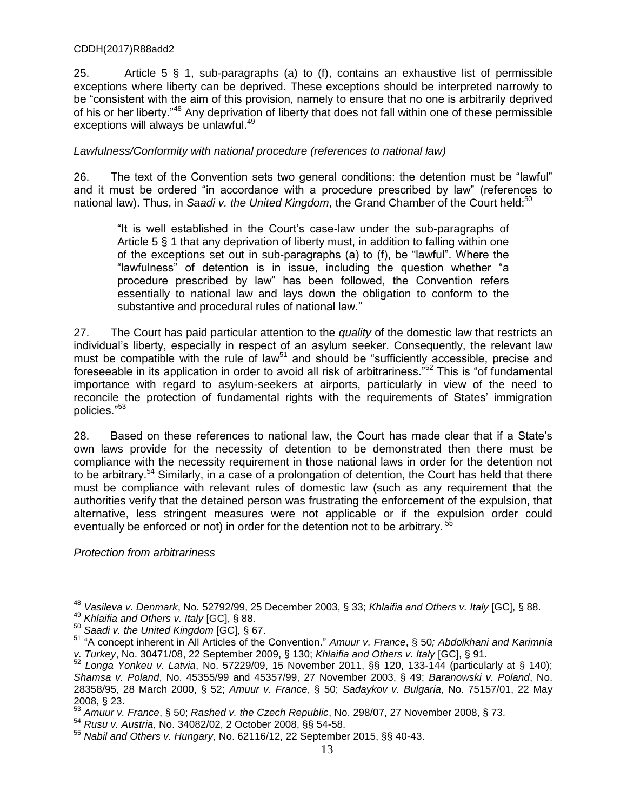25. Article 5 § 1, sub-paragraphs (a) to (f), contains an exhaustive list of permissible exceptions where liberty can be deprived. These exceptions should be interpreted narrowly to be "consistent with the aim of this provision, namely to ensure that no one is arbitrarily deprived of his or her liberty.<sup>48</sup> Any deprivation of liberty that does not fall within one of these permissible exceptions will always be unlawful.<sup>49</sup>

#### *Lawfulness/Conformity with national procedure (references to national law)*

26. The text of the Convention sets two general conditions: the detention must be "lawful" and it must be ordered "in accordance with a procedure prescribed by law" (references to national law). Thus, in *Saadi v. the United Kingdom*, the Grand Chamber of the Court held:<sup>50</sup>

"It is well established in the Court's case-law under the sub-paragraphs of Article 5 § 1 that any deprivation of liberty must, in addition to falling within one of the exceptions set out in sub-paragraphs (a) to (f), be "lawful". Where the "lawfulness" of detention is in issue, including the question whether "a procedure prescribed by law" has been followed, the Convention refers essentially to national law and lays down the obligation to conform to the substantive and procedural rules of national law."

27. The Court has paid particular attention to the *quality* of the domestic law that restricts an individual's liberty, especially in respect of an asylum seeker. Consequently, the relevant law must be compatible with the rule of law<sup>51</sup> and should be "sufficiently accessible, precise and foreseeable in its application in order to avoid all risk of arbitrariness.<sup> $52$ </sup> This is "of fundamental importance with regard to asylum-seekers at airports, particularly in view of the need to reconcile the protection of fundamental rights with the requirements of States' immigration policies."<sup>53</sup>

28. Based on these references to national law, the Court has made clear that if a State's own laws provide for the necessity of detention to be demonstrated then there must be compliance with the necessity requirement in those national laws in order for the detention not to be arbitrary.<sup>54</sup> Similarly, in a case of a prolongation of detention, the Court has held that there must be compliance with relevant rules of domestic law (such as any requirement that the authorities verify that the detained person was frustrating the enforcement of the expulsion, that alternative, less stringent measures were not applicable or if the expulsion order could eventually be enforced or not) in order for the detention not to be arbitrary.<sup>55</sup>

*Protection from arbitrariness*

<sup>48</sup> *Vasileva v. Denmark*, No. 52792/99, 25 December 2003, § 33; *Khlaifia and Others v. Italy* [GC], § 88.

<sup>49</sup> *Khlaifia and Others v. Italy* [GC], § 88.

<sup>50</sup> *Saadi v. the United Kingdom* [GC], § 67.

<sup>51</sup> "A concept inherent in All Articles of the Convention.ˮ *Amuur v. France*, § 50*; Abdolkhani and Karimnia v. Turkey*, No. 30471/08, 22 September 2009, § 130; *Khlaifia and Others v. Italy* [GC], § 91.

<sup>52</sup> *Longa Yonkeu v. Latvia*, No. 57229/09, 15 November 2011, §§ 120, 133-144 (particularly at § 140); *Shamsa v. Poland*, No. 45355/99 and 45357/99, 27 November 2003, § 49; *Baranowski v. Poland*, No. 28358/95, 28 March 2000, § 52; *Amuur v. France*, § 50; *Sadaykov v. Bulgaria*, No. 75157/01, 22 May  $2008, \S 23.$ 

<sup>53</sup> *Amuur v. France*, § 50; *Rashed v. the Czech Republic*, No. 298/07, 27 November 2008, § 73.

<sup>54</sup> *Rusu v. Austria,* No. 34082/02, 2 October 2008, §§ 54-58.

<sup>55</sup> *Nabil and Others v. Hungary*, No. 62116/12, 22 September 2015, §§ 40-43.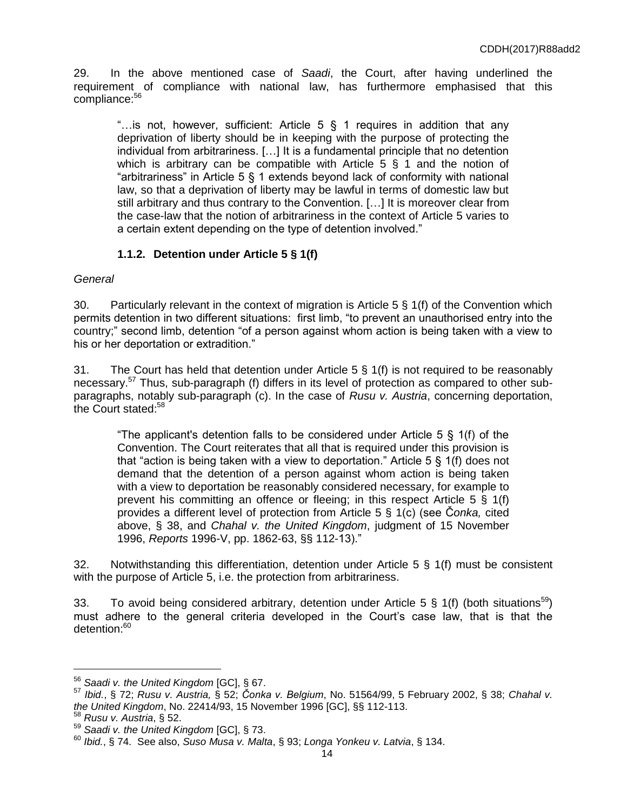29. In the above mentioned case of *Saadi*, the Court, after having underlined the requirement of compliance with national law, has furthermore emphasised that this compliance: 56

"... is not, however, sufficient: Article  $5 \S 1$  requires in addition that any deprivation of liberty should be in keeping with the purpose of protecting the individual from arbitrariness. […] It is a fundamental principle that no detention which is arbitrary can be compatible with Article  $5 \S 1$  and the notion of "arbitrariness" in Article 5 § 1 extends beyond lack of conformity with national law, so that a deprivation of liberty may be lawful in terms of domestic law but still arbitrary and thus contrary to the Convention. […] It is moreover clear from the case-law that the notion of arbitrariness in the context of Article 5 varies to a certain extent depending on the type of detention involved."

# **1.1.2. Detention under Article 5 § 1(f)**

### *General*

30. Particularly relevant in the context of migration is Article 5 § 1(f) of the Convention which permits detention in two different situations: first limb, "to prevent an unauthorised entry into the country;" second limb, detention "of a person against whom action is being taken with a view to his or her deportation or extradition."

31. The Court has held that detention under Article  $5 \S 1(f)$  is not required to be reasonably necessary.<sup>57</sup> Thus, sub-paragraph (f) differs in its level of protection as compared to other subparagraphs, notably sub-paragraph (c). In the case of *Rusu v. Austria*, concerning deportation, the Court stated:<sup>58</sup>

"The applicant's detention falls to be considered under Article 5 § 1(f) of the Convention. The Court reiterates that all that is required under this provision is that "action is being taken with a view to deportation." Article 5 § 1(f) does not demand that the detention of a person against whom action is being taken with a view to deportation be reasonably considered necessary, for example to prevent his committing an offence or fleeing; in this respect Article 5 § 1(f) provides a different level of protection from Article 5 § 1(c) (see Č*onka,* cited above, § 38, and *Chahal v. the United Kingdom*, judgment of 15 November 1996, *Reports* 1996-V, pp. 1862-63, §§ 112-13).ˮ

32. Notwithstanding this differentiation, detention under Article 5 § 1(f) must be consistent with the purpose of Article 5, i.e. the protection from arbitrariness.

33. To avoid being considered arbitrary, detention under Article 5 § 1(f) (both situations<sup>59</sup>) must adhere to the general criteria developed in the Court's case law, that is that the detention:<sup>60</sup>

<sup>56</sup> *Saadi v. the United Kingdom* [GC], § 67.

<sup>57</sup> *Ibid.*, § 72; *Rusu v. Austria,* § 52; *Čonka v. Belgium*, No. 51564/99, 5 February 2002, § 38; *Chahal v. the United Kingdom*, No. 22414/93, 15 November 1996 [GC], §§ 112-113.

<sup>58</sup> *Rusu v. Austria*, § 52.

<sup>59</sup> *Saadi v. the United Kingdom* [GC], § 73.

<sup>60</sup> *Ibid.*, § 74. See also, *Suso Musa v. Malta*, § 93; *Longa Yonkeu v. Latvia*, § 134.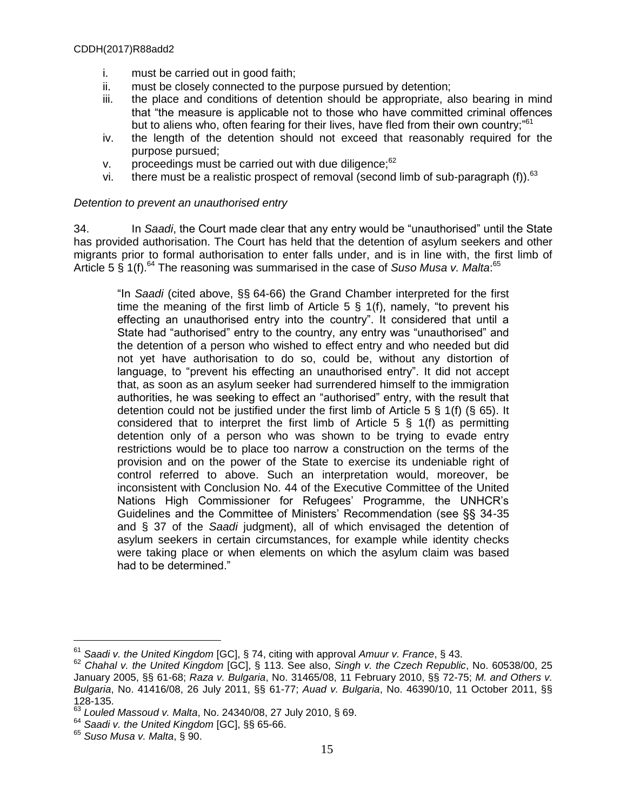- i. must be carried out in good faith;
- ii. must be closely connected to the purpose pursued by detention;
- iii. the place and conditions of detention should be appropriate, also bearing in mind that "the measure is applicable not to those who have committed criminal offences but to aliens who, often fearing for their lives, have fled from their own country;<sup>"61</sup>
- iv. the length of the detention should not exceed that reasonably required for the purpose pursued;
- v. proceedings must be carried out with due diligence; $62$
- vi. there must be a realistic prospect of removal (second limb of sub-paragraph (f)).<sup>63</sup>

#### *Detention to prevent an unauthorised entry*

34. In *Saadi*, the Court made clear that any entry would be "unauthorised" until the State has provided authorisation. The Court has held that the detention of asylum seekers and other migrants prior to formal authorisation to enter falls under, and is in line with, the first limb of Article 5 § 1(f).<sup>64</sup> The reasoning was summarised in the case of Suso Musa v. Malta:<sup>65</sup>

"In *Saadi* (cited above, §§ 64-66) the Grand Chamber interpreted for the first time the meaning of the first limb of Article  $5 \,$  \$ 1(f), namely, "to prevent his effecting an unauthorised entry into the country". It considered that until a State had "authorised" entry to the country, any entry was "unauthorised" and the detention of a person who wished to effect entry and who needed but did not yet have authorisation to do so, could be, without any distortion of language, to "prevent his effecting an unauthorised entry". It did not accept that, as soon as an asylum seeker had surrendered himself to the immigration authorities, he was seeking to effect an "authorised" entry, with the result that detention could not be justified under the first limb of Article 5 § 1(f) (§ 65). It considered that to interpret the first limb of Article  $5 \S 1(f)$  as permitting detention only of a person who was shown to be trying to evade entry restrictions would be to place too narrow a construction on the terms of the provision and on the power of the State to exercise its undeniable right of control referred to above. Such an interpretation would, moreover, be inconsistent with Conclusion No. 44 of the Executive Committee of the United Nations High Commissioner for Refugees' Programme, the UNHCR's Guidelines and the Committee of Ministers' Recommendation (see §§ 34-35 and § 37 of the *Saadi* judgment), all of which envisaged the detention of asylum seekers in certain circumstances, for example while identity checks were taking place or when elements on which the asylum claim was based had to be determined."

<sup>61</sup> *Saadi v. the United Kingdom* [GC], § 74, citing with approval *Amuur v. France*, § 43.

<sup>62</sup> *Chahal v. the United Kingdom* [GC], § 113. See also, *Singh v. the Czech Republic*, No. 60538/00, 25 January 2005, §§ 61-68; *Raza v. Bulgaria*, No. 31465/08, 11 February 2010, §§ 72-75; *M. and Others v. Bulgaria*, No. 41416/08, 26 July 2011, §§ 61-77; *Auad v. Bulgaria*, No. 46390/10, 11 October 2011, §§  $128-135.$ <sup>63</sup>

<sup>63</sup> *Louled Massoud v. Malta*, No. 24340/08, 27 July 2010, § 69.

<sup>64</sup> *Saadi v. the United Kingdom* [GC], §§ 65-66.

<sup>65</sup> *Suso Musa v. Malta*, § 90.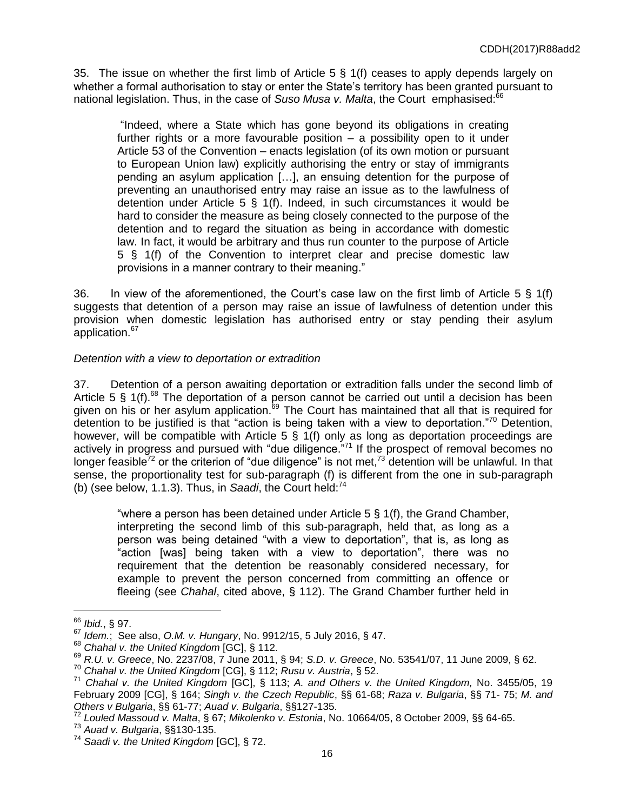35. The issue on whether the first limb of Article 5 § 1(f) ceases to apply depends largely on whether a formal authorisation to stay or enter the State's territory has been granted pursuant to national legislation. Thus, in the case of *Suso Musa v. Malta*, the Court emphasised:<sup>66</sup>

"Indeed, where a State which has gone beyond its obligations in creating further rights or a more favourable position – a possibility open to it under Article 53 of the Convention – enacts legislation (of its own motion or pursuant to European Union law) explicitly authorising the entry or stay of immigrants pending an asylum application […], an ensuing detention for the purpose of preventing an unauthorised entry may raise an issue as to the lawfulness of detention under Article 5 § 1(f). Indeed, in such circumstances it would be hard to consider the measure as being closely connected to the purpose of the detention and to regard the situation as being in accordance with domestic law. In fact, it would be arbitrary and thus run counter to the purpose of Article 5 § 1(f) of the Convention to interpret clear and precise domestic law provisions in a manner contrary to their meaning."

36. In view of the aforementioned, the Court's case law on the first limb of Article 5 § 1(f) suggests that detention of a person may raise an issue of lawfulness of detention under this provision when domestic legislation has authorised entry or stay pending their asylum application.<sup>67</sup>

# *Detention with a view to deportation or extradition*

37. Detention of a person awaiting deportation or extradition falls under the second limb of Article 5  $\frac{6}{5}$  1(f).<sup>68</sup> The deportation of a person cannot be carried out until a decision has been given on his or her asylum application.<sup>69</sup> The Court has maintained that all that is required for detention to be justified is that "action is being taken with a view to deportation."<sup>70</sup> Detention, however, will be compatible with Article 5 § 1(f) only as long as deportation proceedings are actively in progress and pursued with "due diligence."<sup>71</sup> If the prospect of removal becomes no longer feasible<sup>72</sup> or the criterion of "due diligence" is not met,<sup>73</sup> detention will be unlawful. In that sense, the proportionality test for sub-paragraph (f) is different from the one in sub-paragraph (b) (see below, 1.1.3). Thus, in *Saadi*, the Court held:<sup>74</sup>

"where a person has been detained under Article  $5 \S 1(f)$ , the Grand Chamber, interpreting the second limb of this sub-paragraph, held that, as long as a person was being detained "with a view to deportation", that is, as long as "action [was] being taken with a view to deportation", there was no requirement that the detention be reasonably considered necessary, for example to prevent the person concerned from committing an offence or fleeing (see *Chahal*, cited above, § 112). The Grand Chamber further held in

<sup>66</sup> *Ibid.*, § 97.

<sup>67</sup> *Idem.*; See also, *O.M. v. Hungary*, No. 9912/15, 5 July 2016, § 47.

<sup>68</sup> *Chahal v. the United Kingdom* [GC], § 112.

<sup>69</sup> *R.U. v. Greece*, No. 2237/08, 7 June 2011, § 94; *S.D. v. Greece*, No. 53541/07, 11 June 2009, § 62.

<sup>70</sup> *Chahal v. the United Kingdom* [CG], § 112; *Rusu v. Austria*, § 52.

<sup>71</sup> *Chahal v. the United Kingdom* [GC], § 113; *A. and Others v. the United Kingdom,* No. 3455/05, 19 February 2009 [CG], § 164; *Singh v. the Czech Republic*, §§ 61-68; *Raza v. Bulgaria*, §§ 71- 75; *M. and Others v Bulgaria*, §§ 61-77; *Auad v. Bulgaria*, §§127-135.

<sup>72</sup> *Louled Massoud v. Malta*, § 67; *Mikolenko v. Estonia*, No. 10664/05, 8 October 2009, §§ 64-65.

<sup>73</sup> *Auad v. Bulgaria*, §§130-135.

<sup>74</sup> *Saadi v. the United Kingdom* [GC], § 72.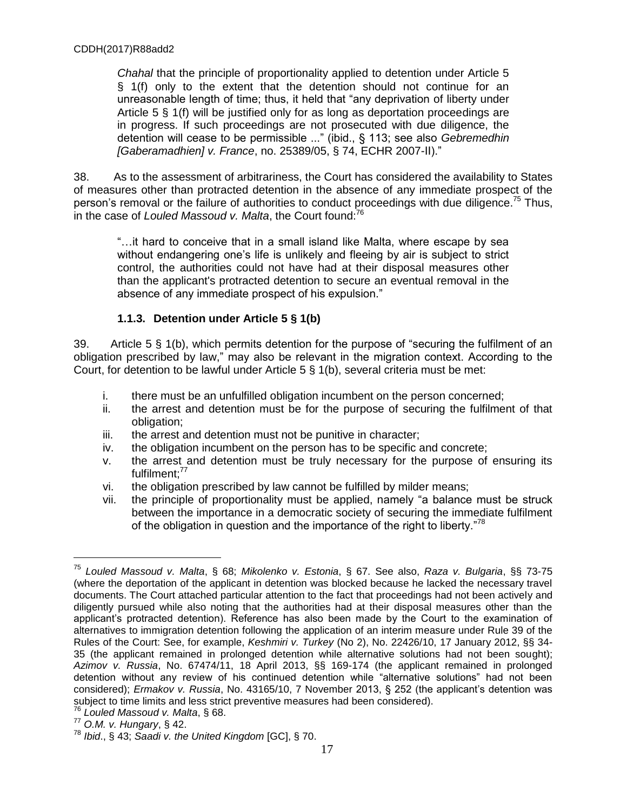*Chahal* that the principle of proportionality applied to detention under Article 5 § 1(f) only to the extent that the detention should not continue for an unreasonable length of time; thus, it held that "any deprivation of liberty under Article 5 § 1(f) will be justified only for as long as deportation proceedings are in progress. If such proceedings are not prosecuted with due diligence, the detention will cease to be permissible ..." (ibid., § 113; see also *Gebremedhin [Gaberamadhien] v. France*, no. 25389/05, § 74, ECHR 2007-II)."

38. As to the assessment of arbitrariness, the Court has considered the availability to States of measures other than protracted detention in the absence of any immediate prospect of the person's removal or the failure of authorities to conduct proceedings with due diligence.<sup>75</sup> Thus, in the case of *Louled Massoud v. Malta*, the Court found:<sup>76</sup>

"…it hard to conceive that in a small island like Malta, where escape by sea without endangering one's life is unlikely and fleeing by air is subject to strict control, the authorities could not have had at their disposal measures other than the applicant's protracted detention to secure an eventual removal in the absence of any immediate prospect of his expulsion."

# **1.1.3. Detention under Article 5 § 1(b)**

39. Article 5 § 1(b), which permits detention for the purpose of "securing the fulfilment of an obligation prescribed by law," may also be relevant in the migration context. According to the Court, for detention to be lawful under Article 5 § 1(b), several criteria must be met:

- i. there must be an unfulfilled obligation incumbent on the person concerned;
- ii. the arrest and detention must be for the purpose of securing the fulfilment of that obligation;
- iii. the arrest and detention must not be punitive in character;
- iv. the obligation incumbent on the person has to be specific and concrete;
- v. the arrest and detention must be truly necessary for the purpose of ensuring its fulfilment:<sup>77</sup>
- vi. the obligation prescribed by law cannot be fulfilled by milder means;
- vii. the principle of proportionality must be applied, namely "a balance must be struck between the importance in a democratic society of securing the immediate fulfilment of the obligation in question and the importance of the right to liberty."<sup>78</sup>

<sup>75</sup> *Louled Massoud v. Malta*, § 68; *Mikolenko v. Estonia*, § 67. See also, *Raza v. Bulgaria*, §§ 73-75 (where the deportation of the applicant in detention was blocked because he lacked the necessary travel documents. The Court attached particular attention to the fact that proceedings had not been actively and diligently pursued while also noting that the authorities had at their disposal measures other than the applicant's protracted detention). Reference has also been made by the Court to the examination of alternatives to immigration detention following the application of an interim measure under Rule 39 of the Rules of the Court: See, for example, *Keshmiri v. Turkey* (No 2), No. 22426/10, 17 January 2012, §§ 34- 35 (the applicant remained in prolonged detention while alternative solutions had not been sought); *Azimov v. Russia*, No. 67474/11, 18 April 2013, §§ 169-174 (the applicant remained in prolonged detention without any review of his continued detention while "alternative solutions" had not been considered); *Ermakov v. Russia*, No. 43165/10, 7 November 2013, § 252 (the applicant's detention was subject to time limits and less strict preventive measures had been considered).

<sup>76</sup> *Louled Massoud v. Malta*, § 68.

<sup>77</sup> *O.M. v. Hungary*, § 42.

<sup>78</sup> *Ibid*., § 43; *Saadi v. the United Kingdom* [GC], § 70.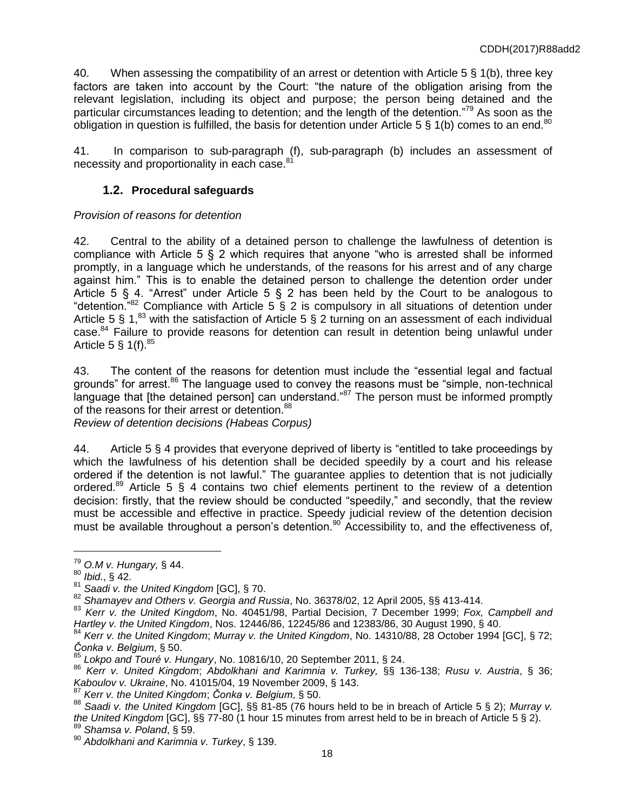40. When assessing the compatibility of an arrest or detention with Article 5 § 1(b), three key factors are taken into account by the Court: "the nature of the obligation arising from the relevant legislation, including its object and purpose; the person being detained and the particular circumstances leading to detention; and the length of the detention."<sup>79</sup> As soon as the obligation in question is fulfilled, the basis for detention under Article 5  $\S$  1(b) comes to an end.<sup>80</sup>

41. In comparison to sub-paragraph (f), sub-paragraph (b) includes an assessment of necessity and proportionality in each case. $8$ 

## **1.2. Procedural safeguards**

#### *Provision of reasons for detention*

42. Central to the ability of a detained person to challenge the lawfulness of detention is compliance with Article 5 § 2 which requires that anyone "who is arrested shall be informed promptly, in a language which he understands, of the reasons for his arrest and of any charge against him." This is to enable the detained person to challenge the detention order under Article 5 § 4. "Arrest" under Article 5 § 2 has been held by the Court to be analogous to "detention."<sup>82</sup> Compliance with Article 5  $\bar{\S}$  2 is compulsory in all situations of detention under Article 5 § 1,<sup>83</sup> with the satisfaction of Article 5 § 2 turning on an assessment of each individual case.<sup>84</sup> Failure to provide reasons for detention can result in detention being unlawful under Article 5  $\S$  1(f).  $85$ 

43. The content of the reasons for detention must include the "essential legal and factual grounds" for arrest.<sup>86</sup> The language used to convey the reasons must be "simple, non-technical language that [the detained person] can understand."87 The person must be informed promptly of the reasons for their arrest or detention.<sup>88</sup>

*Review of detention decisions (Habeas Corpus)*

44. Article 5 § 4 provides that everyone deprived of liberty is "entitled to take proceedings by which the lawfulness of his detention shall be decided speedily by a court and his release ordered if the detention is not lawful." The guarantee applies to detention that is not judicially ordered.<sup>89</sup> Article 5 § 4 contains two chief elements pertinent to the review of a detention decision: firstly, that the review should be conducted "speedily," and secondly, that the review must be accessible and effective in practice. Speedy judicial review of the detention decision must be available throughout a person's detention.<sup>90</sup> Accessibility to, and the effectiveness of,

 $\overline{a}$ 

<sup>90</sup> *Abdolkhani and Karimnia v. Turkey*, § 139.

<sup>79</sup> *O.M v. Hungary,* § 44.

<sup>80</sup> *Ibid*., § 42.

<sup>81</sup> *Saadi v. the United Kingdom* [GC], § 70.

<sup>82</sup> *Shamayev and Others v. Georgia and Russia*, No. 36378/02, 12 April 2005, §§ 413-414.

<sup>83</sup> *Kerr v. the United Kingdom*, No. 40451/98, Partial Decision, 7 December 1999; *Fox, Campbell and Hartley v. the United Kingdom*, Nos. 12446/86, 12245/86 and 12383/86, 30 August 1990, § 40.

<sup>84</sup> *Kerr v. the United Kingdom*; *Murray v. the United Kingdom*, No. 14310/88, 28 October 1994 [GC], § 72; *Čonka v. Belgium*, § 50.

<sup>85</sup> *Lokpo and Touré v. Hungary*, No. 10816/10, 20 September 2011, § 24.

<sup>86</sup> *Kerr v. United Kingdom*; *Abdolkhani and Karimnia v. Turkey,* §§ 136-138; *Rusu v. Austria*, § 36; *Kaboulov v. Ukraine*, No. 41015/04, 19 November 2009, § 143.

<sup>87</sup> *Kerr v. the United Kingdom*; *Čonka v. Belgium*, § 50.

<sup>88</sup> *Saadi v. the United Kingdom* [GC], §§ 81-85 (76 hours held to be in breach of Article 5 § 2); *Murray v. the United Kingdom* [GC], §§ 77-80 (1 hour 15 minutes from arrest held to be in breach of Article 5 § 2). <sup>89</sup> *Shamsa v. Poland*, § 59.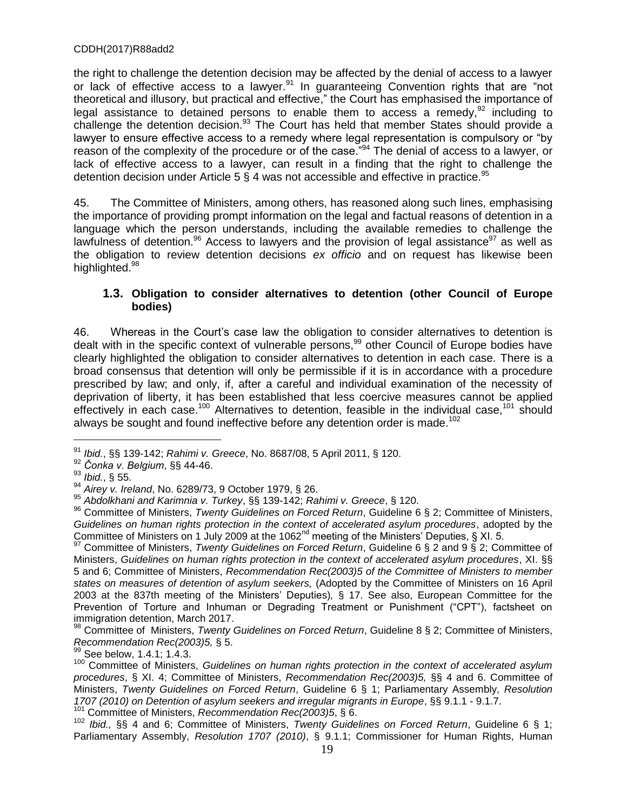the right to challenge the detention decision may be affected by the denial of access to a lawyer or lack of effective access to a lawyer.<sup>91</sup> In guaranteeing Convention rights that are "not theoretical and illusory, but practical and effective," the Court has emphasised the importance of legal assistance to detained persons to enable them to access a remedy,  $92$  including to challenge the detention decision.<sup>93</sup> The Court has held that member States should provide a lawyer to ensure effective access to a remedy where legal representation is compulsory or "by reason of the complexity of the procedure or of the case.<sup>"94</sup> The denial of access to a lawyer, or lack of effective access to a lawyer, can result in a finding that the right to challenge the detention decision under Article 5  $\S$  4 was not accessible and effective in practice.<sup>95</sup>

45. The Committee of Ministers, among others, has reasoned along such lines, emphasising the importance of providing prompt information on the legal and factual reasons of detention in a language which the person understands, including the available remedies to challenge the lawfulness of detention.<sup>96</sup> Access to lawyers and the provision of legal assistance<sup>97</sup> as well as the obligation to review detention decisions *ex officio* and on request has likewise been highlighted.<sup>98</sup>

### **1.3. Obligation to consider alternatives to detention (other Council of Europe bodies)**

46. Whereas in the Court's case law the obligation to consider alternatives to detention is dealt with in the specific context of vulnerable persons,<sup>99</sup> other Council of Europe bodies have clearly highlighted the obligation to consider alternatives to detention in each case. There is a broad consensus that detention will only be permissible if it is in accordance with a procedure prescribed by law; and only, if, after a careful and individual examination of the necessity of deprivation of liberty, it has been established that less coercive measures cannot be applied effectively in each case.<sup>100</sup> Alternatives to detention, feasible in the individual case,<sup>101</sup> should always be sought and found ineffective before any detention order is made.<sup>102</sup>

<sup>91</sup> *Ibid.*, §§ 139-142; *Rahimi v. Greece*, No. 8687/08, 5 April 2011, § 120.

<sup>92</sup> *Čonka v. Belgium*, §§ 44-46.

<sup>93</sup> *Ibid.*, § 55.

<sup>94</sup> *Airey v. Ireland*, No. 6289/73, 9 October 1979, § 26.

<sup>95</sup> *Abdolkhani and Karimnia v. Turkey*, §§ 139-142; *Rahimi v. Greece*, § 120.

<sup>96</sup> Committee of Ministers, *Twenty Guidelines on Forced Return*, Guideline 6 § 2; Committee of Ministers, *Guidelines on human rights protection in the context of accelerated asylum procedures*, adopted by the Committee of Ministers on 1 July 2009 at the 1062<sup>nd</sup> meeting of the Ministers' Deputies, § XI. 5.

<sup>97</sup> Committee of Ministers, *Twenty Guidelines on Forced Return*, Guideline 6 § 2 and 9 § 2; Committee of Ministers, *Guidelines on human rights protection in the context of accelerated asylum procedures*, XI. §§ 5 and 6; Committee of Ministers, *Recommendation Rec(2003)5 of the Committee of Ministers to member states on measures of detention of asylum seekers,* (Adopted by the Committee of Ministers on 16 April 2003 at the 837th meeting of the Ministers' Deputies)*,* § 17. See also, European Committee for the Prevention of Torture and Inhuman or Degrading Treatment or Punishment ("CPT"), factsheet on immigration detention, March 2017.

<sup>98</sup> Committee of Ministers, *Twenty Guidelines on Forced Return*, Guideline 8 § 2; Committee of Ministers, *Recommendation Rec(2003)5,* § 5.

 $^{99}$  See below, 1.4.1; 1.4.3.

<sup>&</sup>lt;sup>100</sup> Committee of Ministers, *Guidelines on human rights protection in the context of accelerated asylum procedures*, § XI. 4; Committee of Ministers, *Recommendation Rec(2003)5,* §§ 4 and 6. Committee of Ministers, *Twenty Guidelines on Forced Return*, Guideline 6 § 1; Parliamentary Assembly, *Resolution 1707 (2010) on Detention of asylum seekers and irregular migrants in Europe*, §§ 9.1.1 - 9.1.7.

<sup>101</sup> Committee of Ministers, *Recommendation Rec(2003)5*, § 6.

<sup>102</sup> *Ibid.,* §§ 4 and 6; Committee of Ministers, *Twenty Guidelines on Forced Return*, Guideline 6 § 1; Parliamentary Assembly, *Resolution 1707 (2010)*, § 9.1.1; Commissioner for Human Rights, Human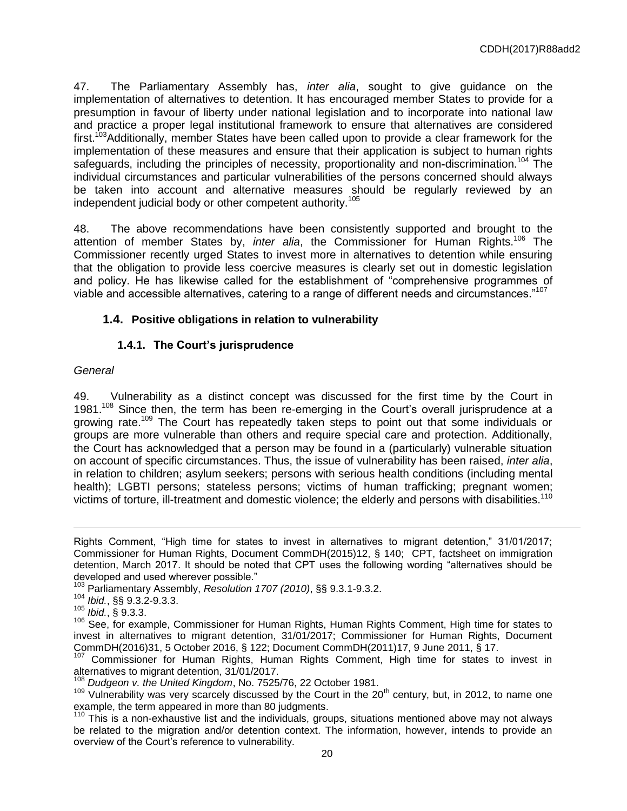47. The Parliamentary Assembly has, *inter alia*, sought to give guidance on the implementation of alternatives to detention. It has encouraged member States to provide for a presumption in favour of liberty under national legislation and to incorporate into national law and practice a proper legal institutional framework to ensure that alternatives are considered first.<sup>103</sup>Additionally, member States have been called upon to provide a clear framework for the implementation of these measures and ensure that their application is subject to human rights safeguards, including the principles of necessity, proportionality and non**-**discrimination.<sup>104</sup> The individual circumstances and particular vulnerabilities of the persons concerned should always be taken into account and alternative measures should be regularly reviewed by an independent judicial body or other competent authority.<sup>105</sup>

48. The above recommendations have been consistently supported and brought to the attention of member States by, *inter alia*, the Commissioner for Human Rights.<sup>106</sup> The Commissioner recently urged States to invest more in alternatives to detention while ensuring that the obligation to provide less coercive measures is clearly set out in domestic legislation and policy. He has likewise called for the establishment of "comprehensive programmes of viable and accessible alternatives, catering to a range of different needs and circumstances."<sup>107</sup>

# **1.4. Positive obligations in relation to vulnerability**

### **1.4.1. The Court's jurisprudence**

#### *General*

 $\overline{a}$ 

49. Vulnerability as a distinct concept was discussed for the first time by the Court in 1981.<sup>108</sup> Since then, the term has been re-emerging in the Court's overall jurisprudence at a growing rate.<sup>109</sup> The Court has repeatedly taken steps to point out that some individuals or groups are more vulnerable than others and require special care and protection. Additionally, the Court has acknowledged that a person may be found in a (particularly) vulnerable situation on account of specific circumstances. Thus, the issue of vulnerability has been raised, *inter alia*, in relation to children; asylum seekers; persons with serious health conditions (including mental health); LGBTI persons; stateless persons; victims of human trafficking; pregnant women; victims of torture, ill-treatment and domestic violence; the elderly and persons with disabilities.<sup>110</sup>

- <sup>104</sup> *Ibid.*, §§ 9.3.2-9.3.3.
- <sup>105</sup> *Ibid.*, § 9.3.3.

Rights Comment, "High time for states to invest in alternatives to migrant detention," 31/01/2017; Commissioner for Human Rights, Document CommDH(2015)12, § 140; CPT, factsheet on immigration detention, March 2017. It should be noted that CPT uses the following wording "alternatives should be developed and used wherever possible."

<sup>103</sup> Parliamentary Assembly, *Resolution 1707 (2010)*, §§ 9.3.1-9.3.2.

<sup>&</sup>lt;sup>106</sup> See, for example, Commissioner for Human Rights, Human Rights Comment, High time for states to invest in alternatives to migrant detention, 31/01/2017; Commissioner for Human Rights, Document CommDH(2016)31, 5 October 2016, § 122; Document CommDH(2011)17, 9 June 2011, § 17.

 $107$  Commissioner for Human Rights, Human Rights Comment, High time for states to invest in alternatives to migrant detention, 31/01/2017.

<sup>108</sup> *Dudgeon v. the United Kingdom*, No. 7525/76, 22 October 1981.

 $109$  Vulnerability was very scarcely discussed by the Court in the 20<sup>th</sup> century, but, in 2012, to name one example, the term appeared in more than 80 judgments.

 $110$  This is a non-exhaustive list and the individuals, groups, situations mentioned above may not always be related to the migration and/or detention context. The information, however, intends to provide an overview of the Court's reference to vulnerability.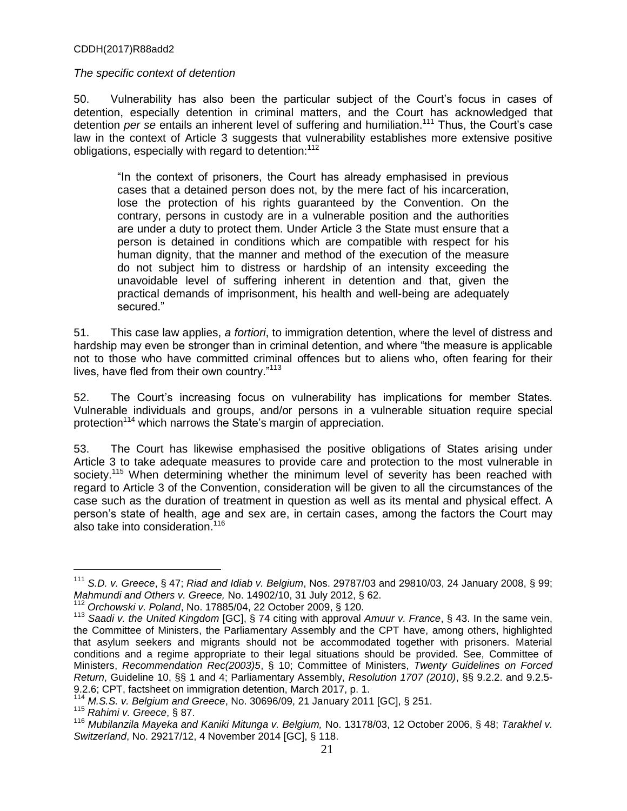#### *The specific context of detention*

50. Vulnerability has also been the particular subject of the Court's focus in cases of detention, especially detention in criminal matters, and the Court has acknowledged that detention *per se* entails an inherent level of suffering and humiliation.<sup>111</sup> Thus, the Court's case law in the context of Article 3 suggests that vulnerability establishes more extensive positive obligations, especially with regard to detention: $112$ 

"In the context of prisoners, the Court has already emphasised in previous cases that a detained person does not, by the mere fact of his incarceration, lose the protection of his rights guaranteed by the Convention. On the contrary, persons in custody are in a vulnerable position and the authorities are under a duty to protect them. Under Article 3 the State must ensure that a person is detained in conditions which are compatible with respect for his human dignity, that the manner and method of the execution of the measure do not subject him to distress or hardship of an intensity exceeding the unavoidable level of suffering inherent in detention and that, given the practical demands of imprisonment, his health and well-being are adequately secured."

51. This case law applies, *a fortiori*, to immigration detention, where the level of distress and hardship may even be stronger than in criminal detention, and where "the measure is applicable not to those who have committed criminal offences but to aliens who, often fearing for their lives, have fled from their own country."<sup>113</sup>

52. The Court's increasing focus on vulnerability has implications for member States. Vulnerable individuals and groups, and/or persons in a vulnerable situation require special protection<sup>114</sup> which narrows the State's margin of appreciation.

53. The Court has likewise emphasised the positive obligations of States arising under Article 3 to take adequate measures to provide care and protection to the most vulnerable in society.<sup>115</sup> When determining whether the minimum level of severity has been reached with regard to Article 3 of the Convention, consideration will be given to all the circumstances of the case such as the duration of treatment in question as well as its mental and physical effect. A person's state of health, age and sex are, in certain cases, among the factors the Court may also take into consideration.<sup>116</sup>

<sup>111</sup> *S.D. v. Greece*, § 47; *Riad and Idiab v. Belgium*, Nos. 29787/03 and 29810/03, 24 January 2008, § 99; *Mahmundi and Others v. Greece,* No. 14902/10, 31 July 2012, § 62.

<sup>112</sup> *Orchowski v. Poland*, No. 17885/04, 22 October 2009, § 120.

<sup>113</sup> *Saadi v. the United Kingdom* [GC], § 74 citing with approval *Amuur v. France*, § 43. In the same vein, the Committee of Ministers, the Parliamentary Assembly and the CPT have, among others, highlighted that asylum seekers and migrants should not be accommodated together with prisoners. Material conditions and a regime appropriate to their legal situations should be provided. See, Committee of Ministers, *Recommendation Rec(2003)5*, § 10; Committee of Ministers, *Twenty Guidelines on Forced Return*, Guideline 10, §§ 1 and 4; Parliamentary Assembly, *Resolution 1707 (2010)*, §§ 9.2.2. and 9.2.5- 9.2.6; CPT, factsheet on immigration detention, March 2017, p. 1.

<sup>114</sup> *M.S.S. v. Belgium and Greece*, No. 30696/09, 21 January 2011 [GC], § 251.

<sup>115</sup> *Rahimi v. Greece*, § 87.

<sup>116</sup> *Mubilanzila Mayeka and Kaniki Mitunga v. Belgium,* No. 13178/03, 12 October 2006, § 48; *Tarakhel v. Switzerland*, No. 29217/12, 4 November 2014 [GC], § 118.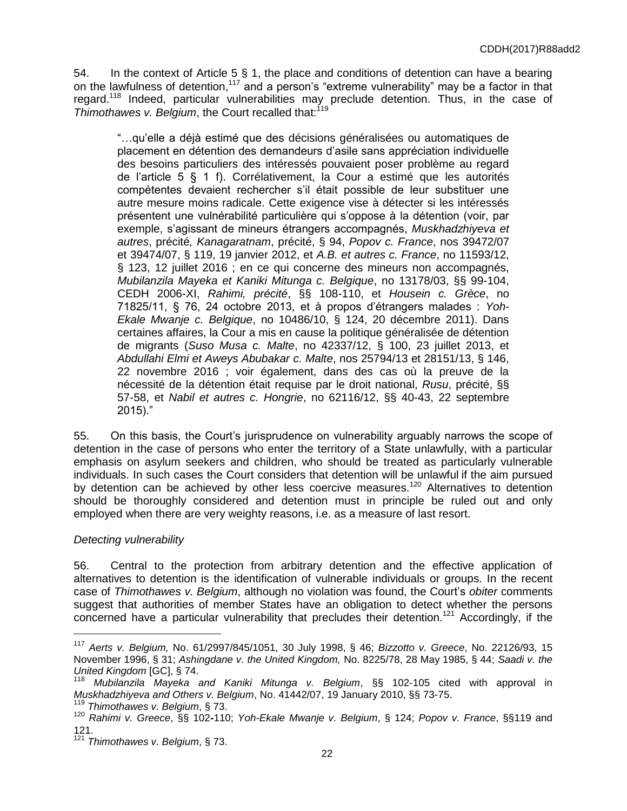54. In the context of Article 5 § 1, the place and conditions of detention can have a bearing on the lawfulness of detention,<sup>117</sup> and a person's "extreme vulnerability" may be a factor in that regard.<sup>118</sup> Indeed, particular vulnerabilities may preclude detention. Thus, in the case of *Thimothawes v. Belgium*, the Court recalled that:<sup>119</sup>

"…qu'elle a déjà estimé que des décisions généralisées ou automatiques de placement en détention des demandeurs d'asile sans appréciation individuelle des besoins particuliers des intéressés pouvaient poser problème au regard de l'article 5 § 1 f). Corrélativement, la Cour a estimé que les autorités compétentes devaient rechercher s'il était possible de leur substituer une autre mesure moins radicale. Cette exigence vise à détecter si les intéressés présentent une vulnérabilité particulière qui s'oppose à la détention (voir, par exemple, s'agissant de mineurs étrangers accompagnés, *Muskhadzhiyeva et autres*, précité*, Kanagaratnam*, précité, § 94, *Popov c. France*, nos 39472/07 et 39474/07, § 119, 19 janvier 2012, et *A.B. et autres c. France*, no 11593/12, § 123, 12 juillet 2016 ; en ce qui concerne des mineurs non accompagnés, *Mubilanzila Mayeka et Kaniki Mitunga c. Belgique*, no 13178/03, §§ 99-104, CEDH 2006-XI, *Rahimi, précité*, §§ 108-110, et *Housein c. Grèce*, no 71825/11, § 76, 24 octobre 2013, et à propos d'étrangers malades : *Yoh-Ekale Mwanje c. Belgique*, no 10486/10, § 124, 20 décembre 2011). Dans certaines affaires, la Cour a mis en cause la politique généralisée de détention de migrants (*Suso Musa c. Malte*, no 42337/12, § 100, 23 juillet 2013, et *Abdullahi Elmi et Aweys Abubakar c. Malte*, nos 25794/13 et 28151/13, § 146, 22 novembre 2016 ; voir également, dans des cas où la preuve de la nécessité de la détention était requise par le droit national, *Rusu*, précité, §§ 57-58, et *Nabil et autres c. Hongrie*, no 62116/12, §§ 40-43, 22 septembre  $2015$ ).

55. On this basis, the Court's jurisprudence on vulnerability arguably narrows the scope of detention in the case of persons who enter the territory of a State unlawfully, with a particular emphasis on asylum seekers and children, who should be treated as particularly vulnerable individuals. In such cases the Court considers that detention will be unlawful if the aim pursued by detention can be achieved by other less coercive measures.<sup>120</sup> Alternatives to detention should be thoroughly considered and detention must in principle be ruled out and only employed when there are very weighty reasons, i.e. as a measure of last resort.

### *Detecting vulnerability*

 $\overline{a}$ 

56. Central to the protection from arbitrary detention and the effective application of alternatives to detention is the identification of vulnerable individuals or groups. In the recent case of *Thimothawes v. Belgium*, although no violation was found, the Court's *obiter* comments suggest that authorities of member States have an obligation to detect whether the persons concerned have a particular vulnerability that precludes their detention.<sup>121</sup> Accordingly, if the

<sup>117</sup> *Aerts v. Belgium,* No. 61/2997/845/1051, 30 July 1998, § 46; *Bizzotto v. Greece*, No. 22126/93, 15 November 1996, § 31; *Ashingdane v. the United Kingdom,* No. 8225/78, 28 May 1985, § 44; *Saadi v. the United Kingdom* [GC], § 74.

<sup>118</sup> *Mubilanzila Mayeka and Kaniki Mitunga v. Belgium*, §§ 102-105 cited with approval in *Muskhadzhiyeva and Others v. Belgium*, No. 41442/07, 19 January 2010, §§ 73-75.

<sup>119</sup> *Thimothawes v. Belgium*, § 73.

<sup>120</sup> *Rahimi v. Greece*, §§ 102**-**110; *Yoh-Ekale Mwanje v. Belgium*, § 124; *Popov v. France*, §§119 and 121.

<sup>121</sup> *Thimothawes v. Belgium*, § 73.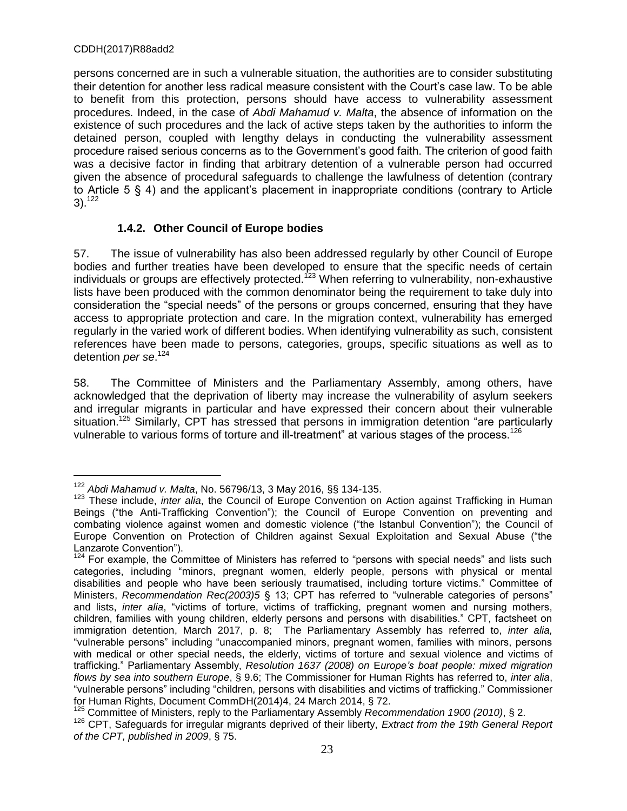$\overline{a}$ 

persons concerned are in such a vulnerable situation, the authorities are to consider substituting their detention for another less radical measure consistent with the Court's case law. To be able to benefit from this protection, persons should have access to vulnerability assessment procedures. Indeed, in the case of *Abdi Mahamud v. Malta*, the absence of information on the existence of such procedures and the lack of active steps taken by the authorities to inform the detained person, coupled with lengthy delays in conducting the vulnerability assessment procedure raised serious concerns as to the Government's good faith. The criterion of good faith was a decisive factor in finding that arbitrary detention of a vulnerable person had occurred given the absence of procedural safeguards to challenge the lawfulness of detention (contrary to Article 5 § 4) and the applicant's placement in inappropriate conditions (contrary to Article  $3)$ .<sup>122</sup>

# **1.4.2. Other Council of Europe bodies**

57. The issue of vulnerability has also been addressed regularly by other Council of Europe bodies and further treaties have been developed to ensure that the specific needs of certain individuals or groups are effectively protected.<sup>123</sup> When referring to vulnerability, non-exhaustive lists have been produced with the common denominator being the requirement to take duly into consideration the "special needs" of the persons or groups concerned, ensuring that they have access to appropriate protection and care. In the migration context, vulnerability has emerged regularly in the varied work of different bodies. When identifying vulnerability as such, consistent references have been made to persons, categories, groups, specific situations as well as to detention *per se*. 124

58. The Committee of Ministers and the Parliamentary Assembly, among others, have acknowledged that the deprivation of liberty may increase the vulnerability of asylum seekers and irregular migrants in particular and have expressed their concern about their vulnerable situation.<sup>125</sup> Similarly, CPT has stressed that persons in immigration detention "are particularly vulnerable to various forms of torture and ill-treatment" at various stages of the process.<sup>126</sup>

<sup>122</sup> *Abdi Mahamud v. Malta*, No. 56796/13, 3 May 2016, §§ 134-135.

<sup>&</sup>lt;sup>123</sup> These include, *inter alia*, the Council of Europe Convention on Action against Trafficking in Human Beings ("the Anti-Trafficking Convention"); the Council of Europe Convention on preventing and combating violence against women and domestic violence ("the Istanbul Convention"); the Council of Europe Convention on Protection of Children against Sexual Exploitation and Sexual Abuse ("the Lanzarote Convention").

 $124$  For example, the Committee of Ministers has referred to "persons with special needs" and lists such categories, including "minors, pregnant women, elderly people, persons with physical or mental disabilities and people who have been seriously traumatised, including torture victims." Committee of Ministers, *Recommendation Rec(2003)5* § 13; CPT has referred to "vulnerable categories of personsˮ and lists, *inter alia*, "victims of torture, victims of trafficking, pregnant women and nursing mothers, children, families with young children, elderly persons and persons with disabilities." CPT, factsheet on immigration detention, March 2017, p. 8; The Parliamentary Assembly has referred to, *inter alia,* "vulnerable persons" including "unaccompanied minors, pregnant women, families with minors, persons with medical or other special needs, the elderly, victims of torture and sexual violence and victims of trafficking.ˮ Parliamentary Assembly, *Resolution 1637 (2008) on* E*urope's boat people: mixed migration flows by sea into southern Europe*, § 9.6; The Commissioner for Human Rights has referred to, *inter alia*, "vulnerable persons" including "children, persons with disabilities and victims of trafficking." Commissioner for Human Rights, Document CommDH(2014)4, 24 March 2014, § 72.

<sup>125</sup> Committee of Ministers, reply to the Parliamentary Assembly *Recommendation 1900 (2010)*, § 2.

<sup>126</sup> CPT, Safeguards for irregular migrants deprived of their liberty, *Extract from the 19th General Report of the CPT, published in 2009*, § 75.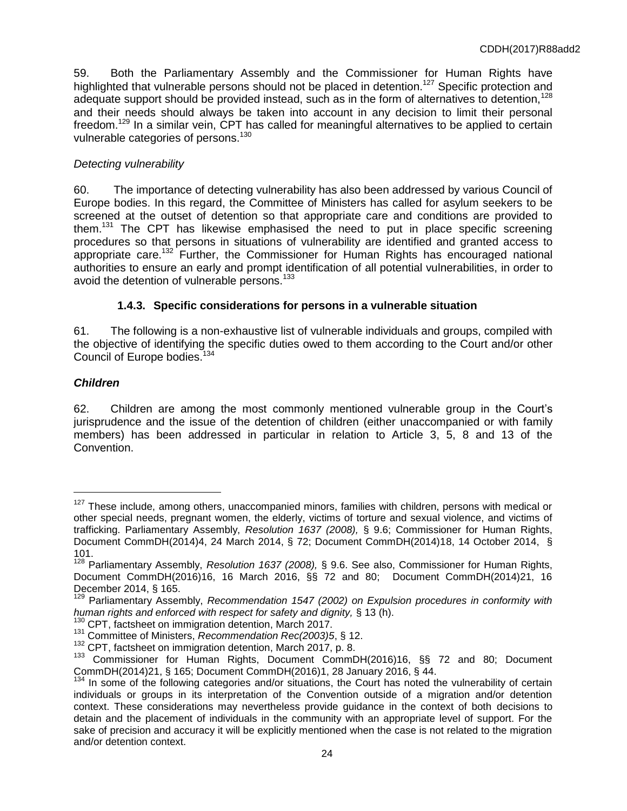59. Both the Parliamentary Assembly and the Commissioner for Human Rights have highlighted that vulnerable persons should not be placed in detention.<sup>127</sup> Specific protection and adequate support should be provided instead, such as in the form of alternatives to detention,  $128$ and their needs should always be taken into account in any decision to limit their personal freedom.<sup>129</sup> In a similar vein, CPT has called for meaningful alternatives to be applied to certain vulnerable categories of persons.<sup>130</sup>

## *Detecting vulnerability*

60. The importance of detecting vulnerability has also been addressed by various Council of Europe bodies. In this regard, the Committee of Ministers has called for asylum seekers to be screened at the outset of detention so that appropriate care and conditions are provided to them.<sup>131</sup> The CPT has likewise emphasised the need to put in place specific screening procedures so that persons in situations of vulnerability are identified and granted access to appropriate care.<sup>132</sup> Further, the Commissioner for Human Rights has encouraged national authorities to ensure an early and prompt identification of all potential vulnerabilities, in order to avoid the detention of vulnerable persons.<sup>133</sup>

# **1.4.3. Specific considerations for persons in a vulnerable situation**

61. The following is a non-exhaustive list of vulnerable individuals and groups, compiled with the objective of identifying the specific duties owed to them according to the Court and/or other Council of Europe bodies.<sup>134</sup>

# *Children*

 $\overline{a}$ 

62. Children are among the most commonly mentioned vulnerable group in the Court's jurisprudence and the issue of the detention of children (either unaccompanied or with family members) has been addressed in particular in relation to Article 3, 5, 8 and 13 of the Convention.

<sup>&</sup>lt;sup>127</sup> These include, among others, unaccompanied minors, families with children, persons with medical or other special needs, pregnant women, the elderly, victims of torture and sexual violence, and victims of trafficking. Parliamentary Assembly, *Resolution 1637 (2008),* § 9.6; Commissioner for Human Rights, Document CommDH(2014)4, 24 March 2014, § 72; Document CommDH(2014)18, 14 October 2014, § 101.

<sup>128</sup> Parliamentary Assembly, *Resolution 1637 (2008),* § 9.6. See also, Commissioner for Human Rights, Document CommDH(2016)16, 16 March 2016, §§ 72 and 80; Document CommDH(2014)21, 16 December 2014, § 165.

<sup>129</sup> Parliamentary Assembly, *Recommendation 1547 (2002) on Expulsion procedures in conformity with human rights and enforced with respect for safety and dignity,* § 13 (h).

<sup>&</sup>lt;sup>130</sup> CPT, factsheet on immigration detention, March 2017.

<sup>131</sup> Committee of Ministers, *Recommendation Rec(2003)5*, § 12.

<sup>&</sup>lt;sup>132</sup> CPT, factsheet on immigration detention, March 2017, p. 8.

<sup>&</sup>lt;sup>133</sup> Commissioner for Human Rights, Document CommDH(2016)16, §§ 72 and 80; Document CommDH(2014)21, § 165; Document CommDH(2016)1, 28 January 2016, § 44.

<sup>&</sup>lt;sup>134</sup> In some of the following categories and/or situations, the Court has noted the vulnerability of certain individuals or groups in its interpretation of the Convention outside of a migration and/or detention context. These considerations may nevertheless provide guidance in the context of both decisions to detain and the placement of individuals in the community with an appropriate level of support. For the sake of precision and accuracy it will be explicitly mentioned when the case is not related to the migration and/or detention context.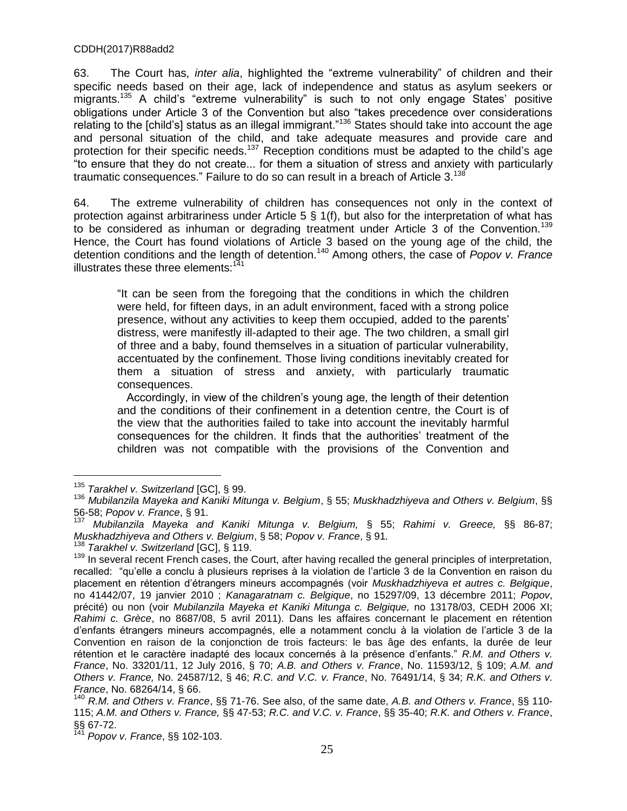63. The Court has, *inter alia*, highlighted the "extreme vulnerability" of children and their specific needs based on their age, lack of independence and status as asylum seekers or migrants.<sup>135</sup> A child's "extreme vulnerability" is such to not only engage States' positive obligations under Article 3 of the Convention but also "takes precedence over considerations relating to the [child's] status as an illegal immigrant."<sup>136</sup> States should take into account the age and personal situation of the child, and take adequate measures and provide care and protection for their specific needs.<sup>137</sup> Reception conditions must be adapted to the child's age "to ensure that they do not create... for them a situation of stress and anxiety with particularly traumatic consequences." Failure to do so can result in a breach of Article 3.<sup>138</sup>

64. The extreme vulnerability of children has consequences not only in the context of protection against arbitrariness under Article 5 § 1(f), but also for the interpretation of what has to be considered as inhuman or degrading treatment under Article 3 of the Convention.<sup>139</sup> Hence, the Court has found violations of Article 3 based on the young age of the child, the detention conditions and the length of detention.<sup>140</sup> Among others, the case of *Popov v. France* illustrates these three elements: $141$ 

"It can be seen from the foregoing that the conditions in which the children were held, for fifteen days, in an adult environment, faced with a strong police presence, without any activities to keep them occupied, added to the parents' distress, were manifestly ill-adapted to their age. The two children, a small girl of three and a baby, found themselves in a situation of particular vulnerability, accentuated by the confinement. Those living conditions inevitably created for them a situation of stress and anxiety, with particularly traumatic consequences.

 Accordingly, in view of the children's young age, the length of their detention and the conditions of their confinement in a detention centre, the Court is of the view that the authorities failed to take into account the inevitably harmful consequences for the children. It finds that the authorities' treatment of the children was not compatible with the provisions of the Convention and

<sup>135</sup> *Tarakhel v. Switzerland* [GC], § 99.

<sup>136</sup> *Mubilanzila Mayeka and Kaniki Mitunga v. Belgium*, § 55; *Muskhadzhiyeva and Others v. Belgium*, §§ 56-58; *Popov v. France*, § 91.

<sup>137</sup> *Mubilanzila Mayeka and Kaniki Mitunga v. Belgium,* § 55; *Rahimi v. Greece,* §§ 86-87; *Muskhadzhiyeva and Others v. Belgium*, § 58; *Popov v. France*, § 91*.*

<sup>138</sup> *Tarakhel v. Switzerland* [GC], § 119.

<sup>139</sup> In several recent French cases, the Court, after having recalled the general principles of interpretation, recalled: "qu'elle a conclu à plusieurs reprises à la violation de l'article 3 de la Convention en raison du placement en rétention d'étrangers mineurs accompagnés (voir *Muskhadzhiyeva et autres c. Belgique*, no 41442/07, 19 janvier 2010 ; *Kanagaratnam c. Belgique*, no 15297/09, 13 décembre 2011; *Popov*, précité) ou non (voir *Mubilanzila Mayeka et Kaniki Mitunga c. Belgique,* no 13178/03, CEDH 2006 XI; *Rahimi c. Grèce*, no 8687/08, 5 avril 2011). Dans les affaires concernant le placement en rétention d'enfants étrangers mineurs accompagnés, elle a notamment conclu à la violation de l'article 3 de la Convention en raison de la conjonction de trois facteurs: le bas âge des enfants, la durée de leur rétention et le caractère inadapté des locaux concernés à la présence d'enfants." *R.M. and Others v. France*, No. 33201/11, 12 July 2016, § 70; *A.B. and Others v. France*, No. 11593/12, § 109; *A.M. and Others v. France,* No. 24587/12, § 46; *R.C. and V.C. v. France*, No. 76491/14, § 34; *R.K. and Others v. France*, No. 68264/14, § 66.

<sup>140</sup> *R.M. and Others v. France*, §§ 71-76. See also, of the same date, *A.B. and Others v. France*, §§ 110- 115; *A.M. and Others v. France,* §§ 47-53; *R.C. and V.C. v. France*, §§ 35-40; *R.K. and Others v. France*,  $\S$ § 67-72.

<sup>141</sup> *Popov v. France*, §§ 102-103.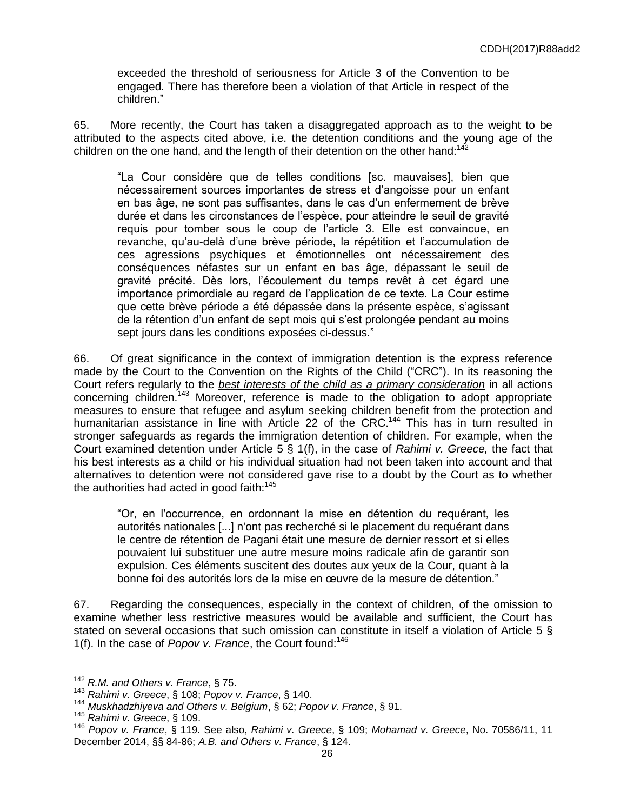exceeded the threshold of seriousness for Article 3 of the Convention to be engaged. There has therefore been a violation of that Article in respect of the children."

65. More recently, the Court has taken a disaggregated approach as to the weight to be attributed to the aspects cited above, i.e. the detention conditions and the young age of the children on the one hand, and the length of their detention on the other hand: $142$ 

"La Cour considère que de telles conditions [sc. mauvaises], bien que nécessairement sources importantes de stress et d'angoisse pour un enfant en bas âge, ne sont pas suffisantes, dans le cas d'un enfermement de brève durée et dans les circonstances de l'espèce, pour atteindre le seuil de gravité requis pour tomber sous le coup de l'article 3. Elle est convaincue, en revanche, qu'au-delà d'une brève période, la répétition et l'accumulation de ces agressions psychiques et émotionnelles ont nécessairement des conséquences néfastes sur un enfant en bas âge, dépassant le seuil de gravité précité. Dès lors, l'écoulement du temps revêt à cet égard une importance primordiale au regard de l'application de ce texte. La Cour estime que cette brève période a été dépassée dans la présente espèce, s'agissant de la rétention d'un enfant de sept mois qui s'est prolongée pendant au moins sept jours dans les conditions exposées ci-dessus."

66. Of great significance in the context of immigration detention is the express reference made by the Court to the Convention on the Rights of the Child ("CRC"). In its reasoning the Court refers regularly to the *best interests of the child as a primary consideration* in all actions concerning children.<sup>143</sup> Moreover, reference is made to the obligation to adopt appropriate measures to ensure that refugee and asylum seeking children benefit from the protection and humanitarian assistance in line with Article 22 of the CRC.<sup>144</sup> This has in turn resulted in stronger safeguards as regards the immigration detention of children. For example, when the Court examined detention under Article 5 § 1(f), in the case of *Rahimi v. Greece,* the fact that his best interests as a child or his individual situation had not been taken into account and that alternatives to detention were not considered gave rise to a doubt by the Court as to whether the authorities had acted in good faith: $145$ 

"Or, en l'occurrence, en ordonnant la mise en détention du requérant, les autorités nationales [...] n'ont pas recherché si le placement du requérant dans le centre de rétention de Pagani était une mesure de dernier ressort et si elles pouvaient lui substituer une autre mesure moins radicale afin de garantir son expulsion. Ces éléments suscitent des doutes aux yeux de la Cour, quant à la bonne foi des autorités lors de la mise en œuvre de la mesure de détention.ˮ

67. Regarding the consequences, especially in the context of children, of the omission to examine whether less restrictive measures would be available and sufficient, the Court has stated on several occasions that such omission can constitute in itself a violation of Article 5 § 1(f). In the case of *Popov v. France*, the Court found:<sup>146</sup>

<sup>142</sup> *R.M. and Others v. France*, § 75.

<sup>143</sup> *Rahimi v. Greece*, § 108; *Popov v. France*, § 140.

<sup>144</sup> *Muskhadzhiyeva and Others v. Belgium*, § 62; *Popov v. France*, § 91.

<sup>145</sup> *Rahimi v. Greece*, § 109.

<sup>146</sup> *Popov v. France*, § 119. See also, *Rahimi v. Greece*, § 109; *Mohamad v. Greece*, No. 70586/11, 11 December 2014, §§ 84-86; *A.B. and Others v. France*, § 124.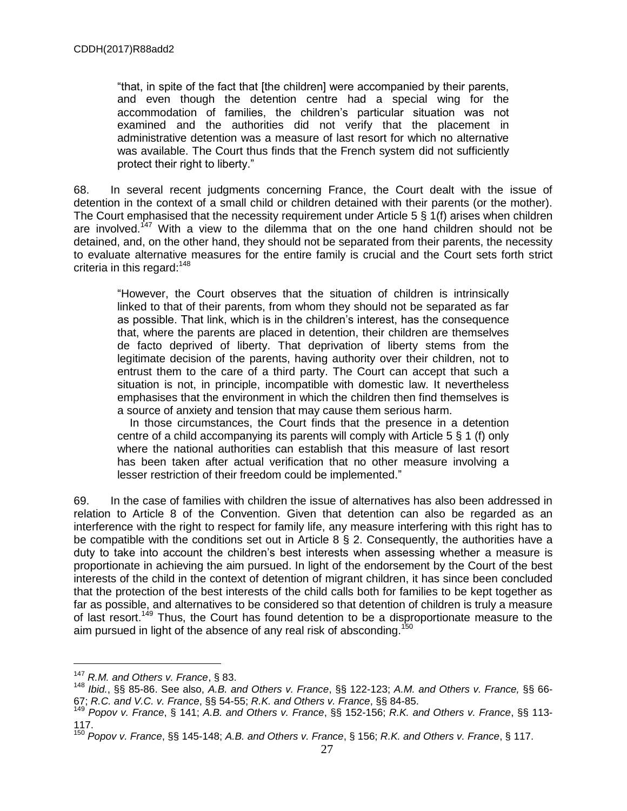"that, in spite of the fact that [the children] were accompanied by their parents, and even though the detention centre had a special wing for the accommodation of families, the children's particular situation was not examined and the authorities did not verify that the placement in administrative detention was a measure of last resort for which no alternative was available. The Court thus finds that the French system did not sufficiently protect their right to liberty."

68. In several recent judgments concerning France, the Court dealt with the issue of detention in the context of a small child or children detained with their parents (or the mother). The Court emphasised that the necessity requirement under Article 5 § 1(f) arises when children are involved.<sup>147</sup> With a view to the dilemma that on the one hand children should not be detained, and, on the other hand, they should not be separated from their parents, the necessity to evaluate alternative measures for the entire family is crucial and the Court sets forth strict criteria in this regard: $148$ 

"However, the Court observes that the situation of children is intrinsically linked to that of their parents, from whom they should not be separated as far as possible. That link, which is in the children's interest, has the consequence that, where the parents are placed in detention, their children are themselves de facto deprived of liberty. That deprivation of liberty stems from the legitimate decision of the parents, having authority over their children, not to entrust them to the care of a third party. The Court can accept that such a situation is not, in principle, incompatible with domestic law. It nevertheless emphasises that the environment in which the children then find themselves is a source of anxiety and tension that may cause them serious harm.

 In those circumstances, the Court finds that the presence in a detention centre of a child accompanying its parents will comply with Article 5 § 1 (f) only where the national authorities can establish that this measure of last resort has been taken after actual verification that no other measure involving a lesser restriction of their freedom could be implemented."

69. In the case of families with children the issue of alternatives has also been addressed in relation to Article 8 of the Convention. Given that detention can also be regarded as an interference with the right to respect for family life, any measure interfering with this right has to be compatible with the conditions set out in Article 8 § 2. Consequently, the authorities have a duty to take into account the children's best interests when assessing whether a measure is proportionate in achieving the aim pursued. In light of the endorsement by the Court of the best interests of the child in the context of detention of migrant children, it has since been concluded that the protection of the best interests of the child calls both for families to be kept together as far as possible, and alternatives to be considered so that detention of children is truly a measure of last resort.<sup>149</sup> Thus, the Court has found detention to be a disproportionate measure to the aim pursued in light of the absence of any real risk of absconding.<sup>150</sup>

<sup>147</sup> *R.M. and Others v. France*, § 83.

<sup>148</sup> *Ibid.*, §§ 85-86. See also, *A.B. and Others v. France*, §§ 122-123; *A.M. and Others v. France,* §§ 66- 67; *R.C. and V.C. v. France*, §§ 54-55; *R.K. and Others v. France*, §§ 84-85.

<sup>149</sup> *Popov v. France*, § 141; *A.B. and Others v. France*, §§ 152-156; *R.K. and Others v. France*, §§ 113- 117.

<sup>150</sup> *Popov v. France*, §§ 145-148; *A.B. and Others v. France*, § 156; *R.K. and Others v. France*, § 117.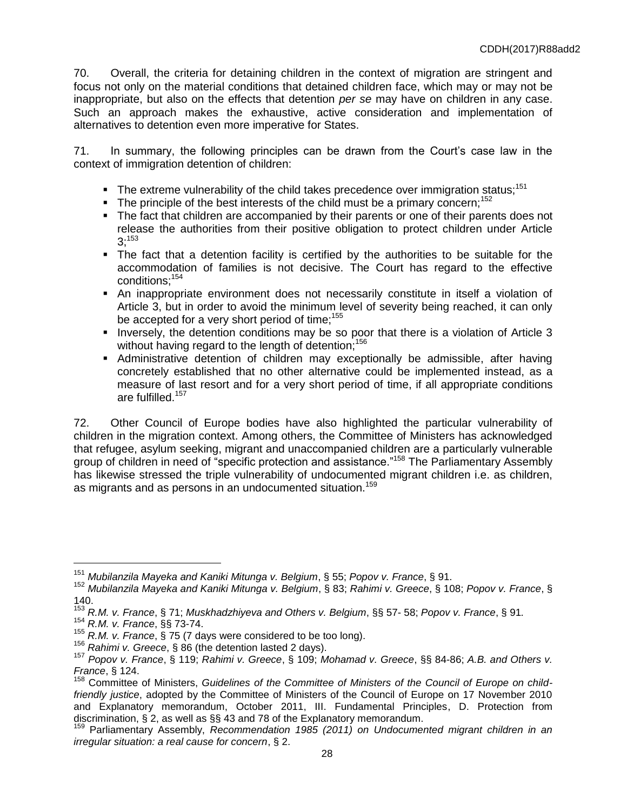70. Overall, the criteria for detaining children in the context of migration are stringent and focus not only on the material conditions that detained children face, which may or may not be inappropriate, but also on the effects that detention *per se* may have on children in any case. Such an approach makes the exhaustive, active consideration and implementation of alternatives to detention even more imperative for States.

71. In summary, the following principles can be drawn from the Court's case law in the context of immigration detention of children:

- $\blacksquare$  The extreme vulnerability of the child takes precedence over immigration status;<sup>151</sup>
- The principle of the best interests of the child must be a primary concern;<sup>152</sup>
- The fact that children are accompanied by their parents or one of their parents does not release the authorities from their positive obligation to protect children under Article  $3;^{153}$
- The fact that a detention facility is certified by the authorities to be suitable for the accommodation of families is not decisive. The Court has regard to the effective conditions;<sup>154</sup>
- An inappropriate environment does not necessarily constitute in itself a violation of Article 3, but in order to avoid the minimum level of severity being reached, it can only be accepted for a very short period of time;<sup>155</sup>
- **Inversely, the detention conditions may be so poor that there is a violation of Article 3** without having regard to the length of detention:<sup>156</sup>
- Administrative detention of children may exceptionally be admissible, after having concretely established that no other alternative could be implemented instead, as a measure of last resort and for a very short period of time, if all appropriate conditions are fulfilled.<sup>157</sup>

72. Other Council of Europe bodies have also highlighted the particular vulnerability of children in the migration context. Among others, the Committee of Ministers has acknowledged that refugee, asylum seeking, migrant and unaccompanied children are a particularly vulnerable group of children in need of "specific protection and assistance."<sup>158</sup> The Parliamentary Assembly has likewise stressed the triple vulnerability of undocumented migrant children i.e. as children, as migrants and as persons in an undocumented situation.<sup>159</sup>

 $\overline{a}$ 

<sup>156</sup> *Rahimi v. Greece*, § 86 (the detention lasted 2 days).

<sup>151</sup> *Mubilanzila Mayeka and Kaniki Mitunga v. Belgium*, § 55; *Popov v. France*, § 91.

<sup>152</sup> *Mubilanzila Mayeka and Kaniki Mitunga v. Belgium*, § 83; *Rahimi v. Greece*, § 108; *Popov v. France*, § 140.

<sup>153</sup> *R.M. v. France*, § 71; *Muskhadzhiyeva and Others v. Belgium*, §§ 57- 58; *Popov v. France*, § 91*.*

<sup>154</sup> *R.M. v. France*, §§ 73-74.

<sup>&</sup>lt;sup>154</sup> R.M. v. France, §§ 73-74.<br><sup>155</sup> R.M. v. France, § 75 (7 days were considered to be too long).

<sup>157</sup> *Popov v. France*, § 119; *Rahimi v. Greece*, § 109; *Mohamad v. Greece*, §§ 84-86; *A.B. and Others v. France*, § 124.

<sup>&</sup>lt;sup>158</sup> Committee of Ministers, Guidelines of the Committee of Ministers of the Council of Europe on child*friendly justice*, adopted by the Committee of Ministers of the Council of Europe on 17 November 2010 and Explanatory memorandum, October 2011, III. Fundamental Principles, D. Protection from discrimination, § 2, as well as §§ 43 and 78 of the Explanatory memorandum.

<sup>159</sup> Parliamentary Assembly, *Recommendation 1985 (2011) on Undocumented migrant children in an irregular situation: a real cause for concern*, § 2.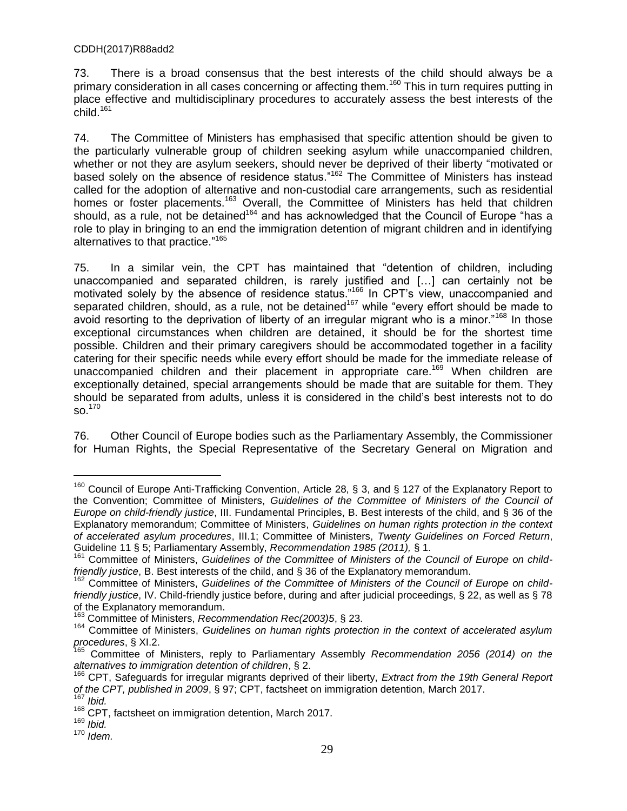73. There is a broad consensus that the best interests of the child should always be a primary consideration in all cases concerning or affecting them.<sup>160</sup> This in turn requires putting in place effective and multidisciplinary procedures to accurately assess the best interests of the child. $161$ 

74. The Committee of Ministers has emphasised that specific attention should be given to the particularly vulnerable group of children seeking asylum while unaccompanied children, whether or not they are asylum seekers, should never be deprived of their liberty "motivated or based solely on the absence of residence status.<sup>"162</sup> The Committee of Ministers has instead called for the adoption of alternative and non-custodial care arrangements, such as residential homes or foster placements.<sup>163</sup> Overall, the Committee of Ministers has held that children should, as a rule, not be detained<sup>164</sup> and has acknowledged that the Council of Europe "has a role to play in bringing to an end the immigration detention of migrant children and in identifying alternatives to that practice." 165

75. In a similar vein, the CPT has maintained that "detention of children, including unaccompanied and separated children, is rarely justified and […] can certainly not be motivated solely by the absence of residence status.<sup>"166</sup> In CPT's view, unaccompanied and separated children, should, as a rule, not be detained<sup>167</sup> while "every effort should be made to avoid resorting to the deprivation of liberty of an irregular migrant who is a minor.<sup> $168$ </sup> In those exceptional circumstances when children are detained, it should be for the shortest time possible. Children and their primary caregivers should be accommodated together in a facility catering for their specific needs while every effort should be made for the immediate release of unaccompanied children and their placement in appropriate care.<sup>169</sup> When children are exceptionally detained, special arrangements should be made that are suitable for them. They should be separated from adults, unless it is considered in the child's best interests not to do  $SO.<sup>170</sup>$ 

76. Other Council of Europe bodies such as the Parliamentary Assembly, the Commissioner for Human Rights, the Special Representative of the Secretary General on Migration and

<sup>&</sup>lt;sup>160</sup> Council of Europe Anti-Trafficking Convention, Article 28, § 3, and § 127 of the Explanatory Report to the Convention; Committee of Ministers, *Guidelines of the Committee of Ministers of the Council of Europe on child-friendly justice*, III. Fundamental Principles, B. Best interests of the child, and § 36 of the Explanatory memorandum; Committee of Ministers, *Guidelines on human rights protection in the context of accelerated asylum procedures*, III.1; Committee of Ministers, *Twenty Guidelines on Forced Return*, Guideline 11 § 5; Parliamentary Assembly, *Recommendation 1985 (2011),* § 1.

<sup>&</sup>lt;sup>161</sup> Committee of Ministers, Guidelines of the Committee of Ministers of the Council of Europe on child*friendly justice*, B. Best interests of the child, and § 36 of the Explanatory memorandum.

<sup>&</sup>lt;sup>162</sup> Committee of Ministers, Guidelines of the Committee of Ministers of the Council of Europe on child*friendly justice*, IV. Child-friendly justice before, during and after judicial proceedings, § 22, as well as § 78 of the Explanatory memorandum.

<sup>163</sup> Committee of Ministers, *Recommendation Rec(2003)5*, § 23.

<sup>164</sup> Committee of Ministers, *Guidelines on human rights protection in the context of accelerated asylum procedures*, § XI.2.

<sup>165</sup> Committee of Ministers, reply to Parliamentary Assembly *Recommendation 2056 (2014) on the alternatives to immigration detention of children*, § 2.

<sup>166</sup> CPT, Safeguards for irregular migrants deprived of their liberty, *Extract from the 19th General Report of the CPT, published in 2009*, § 97; CPT, factsheet on immigration detention, March 2017. <sup>167</sup> *Ibid.*

<sup>&</sup>lt;sup>168</sup> CPT, factsheet on immigration detention, March 2017.

<sup>169</sup> *Ibid.*

<sup>170</sup> *Idem.*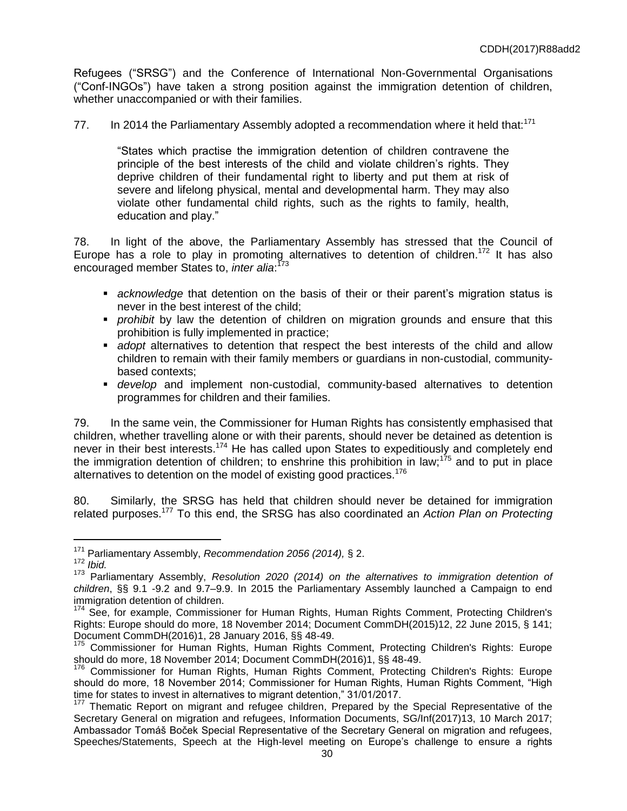Refugees ("SRSG") and the Conference of International Non-Governmental Organisations ("Conf-INGOsˮ) have taken a strong position against the immigration detention of children, whether unaccompanied or with their families.

77. In 2014 the Parliamentary Assembly adopted a recommendation where it held that:<sup>171</sup>

"States which practise the immigration detention of children contravene the principle of the best interests of the child and violate children's rights. They deprive children of their fundamental right to liberty and put them at risk of severe and lifelong physical, mental and developmental harm. They may also violate other fundamental child rights, such as the rights to family, health, education and play."

78. In light of the above, the Parliamentary Assembly has stressed that the Council of Europe has a role to play in promoting alternatives to detention of children.<sup>172</sup> It has also encouraged member States to, *inter alia*: 173

- *acknowledge* that detention on the basis of their or their parent's migration status is never in the best interest of the child;
- *prohibit* by law the detention of children on migration grounds and ensure that this prohibition is fully implemented in practice;
- *adopt* alternatives to detention that respect the best interests of the child and allow children to remain with their family members or guardians in non-custodial, communitybased contexts;
- *develop* and implement non-custodial, community-based alternatives to detention programmes for children and their families.

79. In the same vein, the Commissioner for Human Rights has consistently emphasised that children, whether travelling alone or with their parents, should never be detained as detention is never in their best interests.<sup>174</sup> He has called upon States to expeditiously and completely end the immigration detention of children; to enshrine this prohibition in law;<sup>175</sup> and to put in place alternatives to detention on the model of existing good practices.<sup>176</sup>

80. Similarly, the SRSG has held that children should never be detained for immigration related purposes.<sup>177</sup> To this end, the SRSG has also coordinated an *Action Plan on Protecting* 

<sup>171</sup> Parliamentary Assembly, *Recommendation 2056 (2014),* § 2.

<sup>172</sup> *Ibid.*

<sup>173</sup> Parliamentary Assembly, *Resolution 2020 (2014) on the alternatives to immigration detention of children*, §§ 9.1 -9.2 and 9.7–9.9. In 2015 the Parliamentary Assembly launched a Campaign to end immigration detention of children.

<sup>&</sup>lt;sup>174</sup> See, for example, Commissioner for Human Rights, Human Rights Comment, Protecting Children's Rights: Europe should do more, 18 November 2014; Document CommDH(2015)12, 22 June 2015, § 141; Document CommDH(2016)1, 28 January 2016, §§ 48-49.

<sup>&</sup>lt;sup>175</sup> Commissioner for Human Rights, Human Rights Comment, Protecting Children's Rights: Europe should do more, 18 November 2014; Document CommDH(2016)1, §§ 48-49.

<sup>176</sup> Commissioner for Human Rights, Human Rights Comment, Protecting Children's Rights: Europe should do more, 18 November 2014; Commissioner for Human Rights, Human Rights Comment, "High time for states to invest in alternatives to migrant detention," 31/01/2017.

<sup>177</sup> Thematic Report on migrant and refugee children, Prepared by the Special Representative of the Secretary General on migration and refugees, Information Documents, SG/Inf(2017)13, 10 March 2017; Ambassador Tomáš Boček Special Representative of the Secretary General on migration and refugees, Speeches/Statements, Speech at the High-level meeting on Europe's challenge to ensure a rights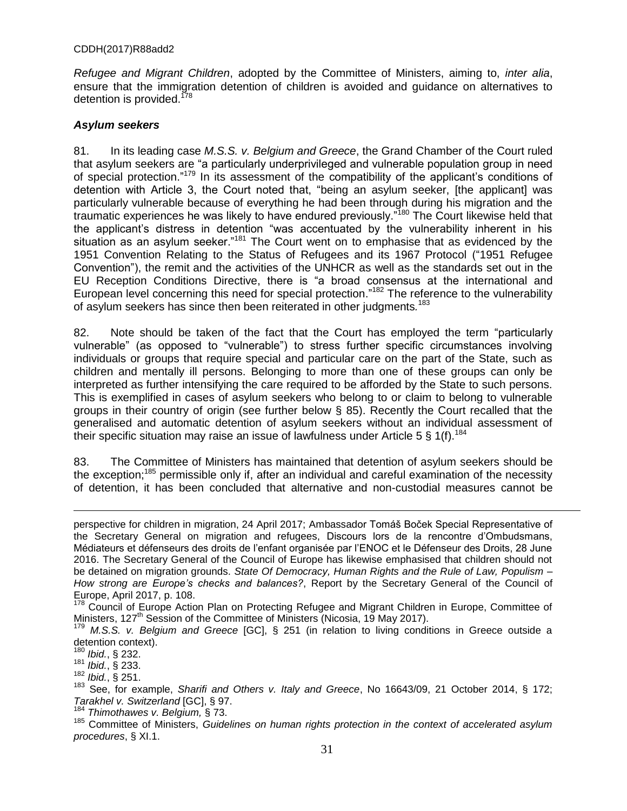*Refugee and Migrant Children*, adopted by the Committee of Ministers, aiming to, *inter alia*, ensure that the immigration detention of children is avoided and guidance on alternatives to detention is provided.<sup>178</sup>

#### *Asylum seekers*

81. In its leading case *M.S.S. v. Belgium and Greece*, the Grand Chamber of the Court ruled that asylum seekers are "a particularly underprivileged and vulnerable population group in need of special protection."<sup>179</sup> In its assessment of the compatibility of the applicant's conditions of detention with Article 3, the Court noted that, "being an asylum seeker, [the applicant] was particularly vulnerable because of everything he had been through during his migration and the traumatic experiences he was likely to have endured previously."<sup>180</sup> The Court likewise held that the applicant's distress in detention "was accentuated by the vulnerability inherent in his situation as an asylum seeker."<sup>181</sup> The Court went on to emphasise that as evidenced by the 1951 Convention Relating to the Status of Refugees and its 1967 Protocol ("1951 Refugee Conventionˮ), the remit and the activities of the UNHCR as well as the standards set out in the EU Reception Conditions Directive, there is "a broad consensus at the international and European level concerning this need for special protection."<sup>182</sup> The reference to the vulnerability of asylum seekers has since then been reiterated in other judgments*.* 183

82. Note should be taken of the fact that the Court has employed the term "particularly vulnerable" (as opposed to "vulnerable") to stress further specific circumstances involving individuals or groups that require special and particular care on the part of the State, such as children and mentally ill persons. Belonging to more than one of these groups can only be interpreted as further intensifying the care required to be afforded by the State to such persons. This is exemplified in cases of asylum seekers who belong to or claim to belong to vulnerable groups in their country of origin (see further below § 85). Recently the Court recalled that the generalised and automatic detention of asylum seekers without an individual assessment of their specific situation may raise an issue of lawfulness under Article 5  $\S$  1(f).<sup>184</sup>

83. The Committee of Ministers has maintained that detention of asylum seekers should be the exception;<sup>185</sup> permissible only if, after an individual and careful examination of the necessity of detention, it has been concluded that alternative and non-custodial measures cannot be

perspective for children in migration, 24 April 2017; Ambassador Tomáš Boček Special Representative of the Secretary General on migration and refugees, Discours lors de la rencontre d'Ombudsmans, Médiateurs et défenseurs des droits de l'enfant organisée par l'ENOC et le Défenseur des Droits, 28 June 2016. The Secretary General of the Council of Europe has likewise emphasised that children should not be detained on migration grounds. *State Of Democracy, Human Rights and the Rule of Law, Populism – How strong are Europe's checks and balances?*, Report by the Secretary General of the Council of Europe, April 2017, p. 108.

 $8$  Council of Europe Action Plan on Protecting Refugee and Migrant Children in Europe, Committee of Ministers, 127<sup>th</sup> Session of the Committee of Ministers (Nicosia, 19 May 2017).

<sup>179</sup> *M.S.S. v. Belgium and Greece* [GC], § 251 (in relation to living conditions in Greece outside a detention context).

<sup>180</sup> *Ibid.*, § 232.

<sup>181</sup> *Ibid.*, § 233.

<sup>182</sup> *Ibid.*, § 251.

<sup>183</sup> See, for example, *Sharifi and Others v. Italy and Greece*, No 16643/09, 21 October 2014, § 172; *Tarakhel v. Switzerland* [GC], § 97.

<sup>184</sup> *Thimothawes v. Belgium,* § 73.

<sup>185</sup> Committee of Ministers, *Guidelines on human rights protection in the context of accelerated asylum procedures*, § XI.1.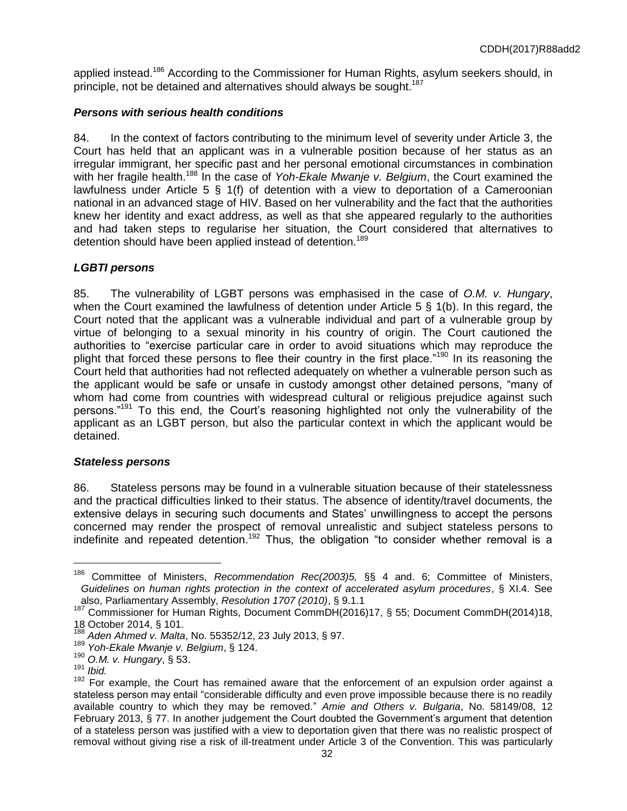applied instead.<sup>186</sup> According to the Commissioner for Human Rights, asylum seekers should, in principle, not be detained and alternatives should always be sought.<sup>187</sup>

## *Persons with serious health conditions*

84. In the context of factors contributing to the minimum level of severity under Article 3, the Court has held that an applicant was in a vulnerable position because of her status as an irregular immigrant, her specific past and her personal emotional circumstances in combination with her fragile health.<sup>188</sup> In the case of *Yoh-Ekale Mwanje v. Belgium*, the Court examined the lawfulness under Article 5 § 1(f) of detention with a view to deportation of a Cameroonian national in an advanced stage of HIV. Based on her vulnerability and the fact that the authorities knew her identity and exact address, as well as that she appeared regularly to the authorities and had taken steps to regularise her situation, the Court considered that alternatives to detention should have been applied instead of detention.<sup>189</sup>

# *LGBTI persons*

85. The vulnerability of LGBT persons was emphasised in the case of *O.M. v. Hungary*, when the Court examined the lawfulness of detention under Article 5 § 1(b). In this regard, the Court noted that the applicant was a vulnerable individual and part of a vulnerable group by virtue of belonging to a sexual minority in his country of origin. The Court cautioned the authorities to "exercise particular care in order to avoid situations which may reproduce the plight that forced these persons to flee their country in the first place.<sup>"190</sup> In its reasoning the Court held that authorities had not reflected adequately on whether a vulnerable person such as the applicant would be safe or unsafe in custody amongst other detained persons, "many of whom had come from countries with widespread cultural or religious prejudice against such persons."<sup>191</sup> To this end, the Court's reasoning highlighted not only the vulnerability of the applicant as an LGBT person, but also the particular context in which the applicant would be detained.

### *Stateless persons*

86. Stateless persons may be found in a vulnerable situation because of their statelessness and the practical difficulties linked to their status. The absence of identity/travel documents, the extensive delays in securing such documents and States' unwillingness to accept the persons concerned may render the prospect of removal unrealistic and subject stateless persons to indefinite and repeated detention.<sup>192</sup> Thus, the obligation "to consider whether removal is a

<sup>186</sup> Committee of Ministers, *Recommendation Rec(2003)5,* §§ 4 and. 6; Committee of Ministers, *Guidelines on human rights protection in the context of accelerated asylum procedures*, § XI.4. See also, Parliamentary Assembly, *Resolution 1707 (2010)*, § 9.1.1

<sup>&</sup>lt;sup>187</sup> Commissioner for Human Rights, Document CommDH(2016)17, § 55; Document CommDH(2014)18, 18 October 2014, § 101.

<sup>188</sup> *Aden Ahmed v. Malta*, No. 55352/12, 23 July 2013, § 97.

<sup>189</sup> *Yoh-Ekale Mwanje v. Belgium*, § 124.

<sup>190</sup> *O.M. v. Hungary*, § 53.

<sup>191</sup> *Ibid.*

<sup>192</sup> For example, the Court has remained aware that the enforcement of an expulsion order against a stateless person may entail "considerable difficulty and even prove impossible because there is no readily available country to which they may be removed.ˮ *Amie and Others v. Bulgaria*, No. 58149/08, 12 February 2013, § 77. In another judgement the Court doubted the Government's argument that detention of a stateless person was justified with a view to deportation given that there was no realistic prospect of removal without giving rise a risk of ill-treatment under Article 3 of the Convention. This was particularly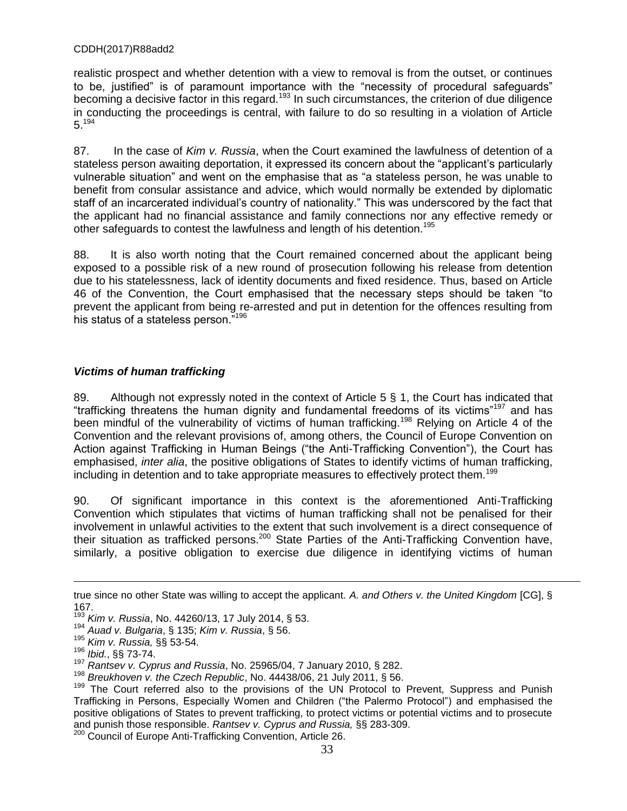realistic prospect and whether detention with a view to removal is from the outset, or continues to be, justified" is of paramount importance with the "necessity of procedural safequards" becoming a decisive factor in this regard.<sup>193</sup> In such circumstances, the criterion of due diligence in conducting the proceedings is central, with failure to do so resulting in a violation of Article 5.<sup>194</sup>

87. In the case of *Kim v. Russia*, when the Court examined the lawfulness of detention of a stateless person awaiting deportation, it expressed its concern about the "applicant's particularly vulnerable situation" and went on the emphasise that as "a stateless person, he was unable to benefit from consular assistance and advice, which would normally be extended by diplomatic staff of an incarcerated individual's country of nationality." This was underscored by the fact that the applicant had no financial assistance and family connections nor any effective remedy or other safeguards to contest the lawfulness and length of his detention.<sup>195</sup>

88. It is also worth noting that the Court remained concerned about the applicant being exposed to a possible risk of a new round of prosecution following his release from detention due to his statelessness, lack of identity documents and fixed residence. Thus, based on Article 46 of the Convention, the Court emphasised that the necessary steps should be taken "to prevent the applicant from being re-arrested and put in detention for the offences resulting from his status of a stateless person.<sup>7196</sup>

# *Victims of human trafficking*

89. Although not expressly noted in the context of Article 5 § 1, the Court has indicated that "trafficking threatens the human dignity and fundamental freedoms of its victims"<sup>197</sup> and has been mindful of the vulnerability of victims of human trafficking.<sup>198</sup> Relying on Article 4 of the Convention and the relevant provisions of, among others, the Council of Europe Convention on Action against Trafficking in Human Beings ("the Anti-Trafficking Convention"), the Court has emphasised, *inter alia*, the positive obligations of States to identify victims of human trafficking, including in detention and to take appropriate measures to effectively protect them.<sup>199</sup>

90. Of significant importance in this context is the aforementioned Anti-Trafficking Convention which stipulates that victims of human trafficking shall not be penalised for their involvement in unlawful activities to the extent that such involvement is a direct consequence of their situation as trafficked persons.<sup>200</sup> State Parties of the Anti-Trafficking Convention have, similarly, a positive obligation to exercise due diligence in identifying victims of human

true since no other State was willing to accept the applicant. *A. and Others v. the United Kingdom* [CG], §  $167.193.7$ 

<sup>193</sup> *Kim v. Russia*, No. 44260/13, 17 July 2014, § 53.

<sup>194</sup> *Auad v. Bulgaria*, § 135; *Kim v. Russia*, § 56.

<sup>195</sup> *Kim v. Russia,* §§ 53-54.

<sup>196</sup> *Ibid.*, §§ 73-74.

<sup>197</sup> *Rantsev v. Cyprus and Russia*, No. 25965/04, 7 January 2010, § 282.

<sup>198</sup> *Breukhoven v. the Czech Republic*, No. 44438/06, 21 July 2011, § 56.

<sup>&</sup>lt;sup>199</sup> The Court referred also to the provisions of the UN Protocol to Prevent, Suppress and Punish Trafficking in Persons, Especially Women and Children ("the Palermo Protocol") and emphasised the positive obligations of States to prevent trafficking, to protect victims or potential victims and to prosecute and punish those responsible. *Rantsev v. Cyprus and Russia,* §§ 283-309.

<sup>200</sup> Council of Europe Anti-Trafficking Convention, Article 26.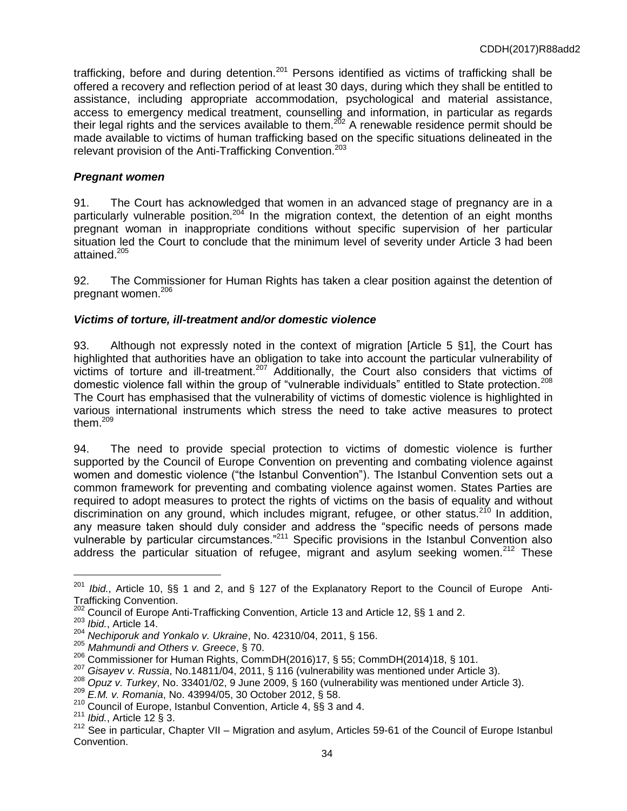trafficking, before and during detention.<sup>201</sup> Persons identified as victims of trafficking shall be offered a recovery and reflection period of at least 30 days, during which they shall be entitled to assistance, including appropriate accommodation, psychological and material assistance, access to emergency medical treatment, counselling and information, in particular as regards their legal rights and the services available to them.<sup>202</sup> A renewable residence permit should be made available to victims of human trafficking based on the specific situations delineated in the relevant provision of the Anti-Trafficking Convention.<sup>203</sup>

## *Pregnant women*

91. The Court has acknowledged that women in an advanced stage of pregnancy are in a particularly vulnerable position.<sup>204</sup> In the migration context, the detention of an eight months pregnant woman in inappropriate conditions without specific supervision of her particular situation led the Court to conclude that the minimum level of severity under Article 3 had been attained.<sup>205</sup>

92. The Commissioner for Human Rights has taken a clear position against the detention of pregnant women.<sup>206</sup>

# *Victims of torture, ill-treatment and/or domestic violence*

93. Although not expressly noted in the context of migration [Article 5 §1], the Court has highlighted that authorities have an obligation to take into account the particular vulnerability of victims of torture and ill-treatment.<sup>207</sup> Additionally, the Court also considers that victims of domestic violence fall within the group of "vulnerable individuals" entitled to State protection.<sup>208</sup> The Court has emphasised that the vulnerability of victims of domestic violence is highlighted in various international instruments which stress the need to take active measures to protect them.<sup>209</sup>

94. The need to provide special protection to victims of domestic violence is further supported by the Council of Europe Convention on preventing and combating violence against women and domestic violence ("the Istanbul Convention"). The Istanbul Convention sets out a common framework for preventing and combating violence against women. States Parties are required to adopt measures to protect the rights of victims on the basis of equality and without discrimination on any ground, which includes migrant, refugee, or other status.<sup>210</sup> In addition, any measure taken should duly consider and address the "specific needs of persons made vulnerable by particular circumstances.<sup>"211</sup> Specific provisions in the Istanbul Convention also address the particular situation of refugee, migrant and asylum seeking women.<sup>212</sup> These

<sup>201</sup> *Ibid.*, Article 10, §§ 1 and 2, and § 127 of the Explanatory Report to the Council of Europe Anti-Trafficking Convention.

<sup>&</sup>lt;sup>202</sup> Council of Europe Anti-Trafficking Convention, Article 13 and Article 12, §§ 1 and 2.

<sup>203</sup> *Ibid.*, Article 14.

<sup>204</sup> *Nechiporuk and Yonkalo v. Ukraine*, No. 42310/04, 2011, § 156.

<sup>205</sup> *Mahmundi and Others v. Greece*, § 70.

<sup>206</sup> Commissioner for Human Rights, CommDH(2016)17, § 55; CommDH(2014)18, § 101.

<sup>207</sup> *Gisayev v. Russia*, No.14811/04, 2011, § 116 (vulnerability was mentioned under Article 3).

<sup>208</sup> *Opuz v. Turkey*, No. 33401/02, 9 June 2009, § 160 (vulnerability was mentioned under Article 3).

<sup>209</sup> *E.M. v. Romania*, No. 43994/05, 30 October 2012, § 58.

<sup>210</sup> Council of Europe, Istanbul Convention, Article 4, §§ 3 and 4.

<sup>211</sup> *Ibid.*, Article 12 § 3.

 $212$  See in particular, Chapter VII – Migration and asylum, Articles 59-61 of the Council of Europe Istanbul Convention.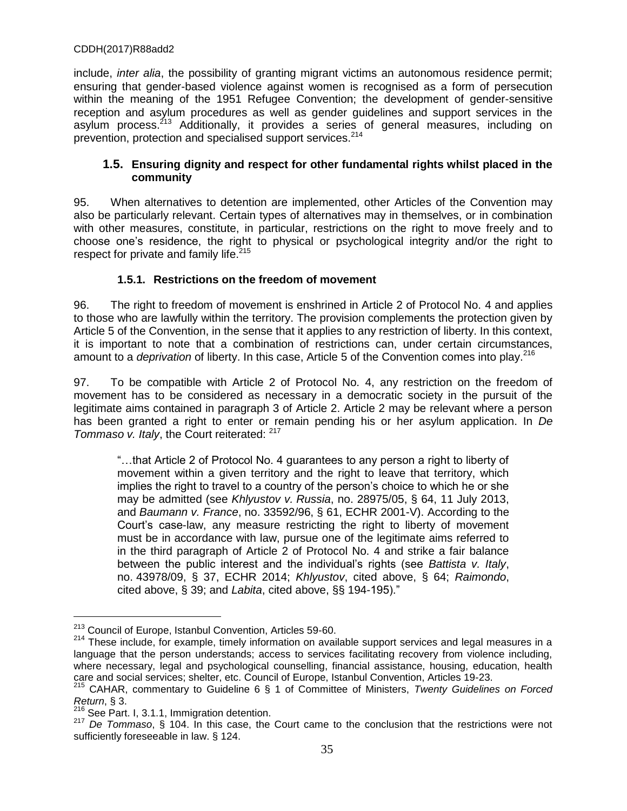include, *inter alia*, the possibility of granting migrant victims an autonomous residence permit; ensuring that gender-based violence against women is recognised as a form of persecution within the meaning of the 1951 Refugee Convention; the development of gender-sensitive reception and asylum procedures as well as gender guidelines and support services in the asylum process.<sup>213</sup> Additionally, it provides a series of general measures, including on prevention, protection and specialised support services.<sup>214</sup>

### **1.5. Ensuring dignity and respect for other fundamental rights whilst placed in the community**

95. When alternatives to detention are implemented, other Articles of the Convention may also be particularly relevant. Certain types of alternatives may in themselves, or in combination with other measures, constitute, in particular, restrictions on the right to move freely and to choose one's residence, the right to physical or psychological integrity and/or the right to respect for private and family life. $215$ 

# **1.5.1. Restrictions on the freedom of movement**

96. The right to freedom of movement is enshrined in Article 2 of Protocol No. 4 and applies to those who are lawfully within the territory. The provision complements the protection given by Article 5 of the Convention, in the sense that it applies to any restriction of liberty. In this context, it is important to note that a combination of restrictions can, under certain circumstances, amount to a *deprivation* of liberty. In this case, Article 5 of the Convention comes into play.<sup>216</sup>

97. To be compatible with Article 2 of Protocol No. 4, any restriction on the freedom of movement has to be considered as necessary in a democratic society in the pursuit of the legitimate aims contained in paragraph 3 of Article 2. Article 2 may be relevant where a person has been granted a right to enter or remain pending his or her asylum application. In *De Tommaso v. Italy*, the Court reiterated: 217

"…that Article 2 of Protocol No. 4 guarantees to any person a right to liberty of movement within a given territory and the right to leave that territory, which implies the right to travel to a country of the person's choice to which he or she may be admitted (see *Khlyustov v. Russia*, no. 28975/05, § 64, 11 July 2013, and *Baumann v. France*, no. 33592/96, § 61, ECHR 2001-V). According to the Court's case-law, any measure restricting the right to liberty of movement must be in accordance with law, pursue one of the legitimate aims referred to in the third paragraph of Article 2 of Protocol No. 4 and strike a fair balance between the public interest and the individual's rights (see *Battista v. Italy*, no. 43978/09, § 37, ECHR 2014; *Khlyustov*, cited above, § 64; *Raimondo*, cited above, § 39; and *Labita*, cited above, §§ 194-195)."

<sup>&</sup>lt;sup>213</sup> Council of Europe, Istanbul Convention, Articles 59-60.

<sup>&</sup>lt;sup>214</sup> These include, for example, timely information on available support services and legal measures in a language that the person understands; access to services facilitating recovery from violence including, where necessary, legal and psychological counselling, financial assistance, housing, education, health care and social services; shelter, etc. Council of Europe, Istanbul Convention, Articles 19-23.

<sup>215</sup> CAHAR, commentary to Guideline 6 § 1 of Committee of Ministers, *Twenty Guidelines on Forced Return*, § 3.

 $216$  See Part. I, 3.1.1, Immigration detention.

<sup>217</sup> *De Tommaso*, § 104. In this case, the Court came to the conclusion that the restrictions were not sufficiently foreseeable in law. § 124.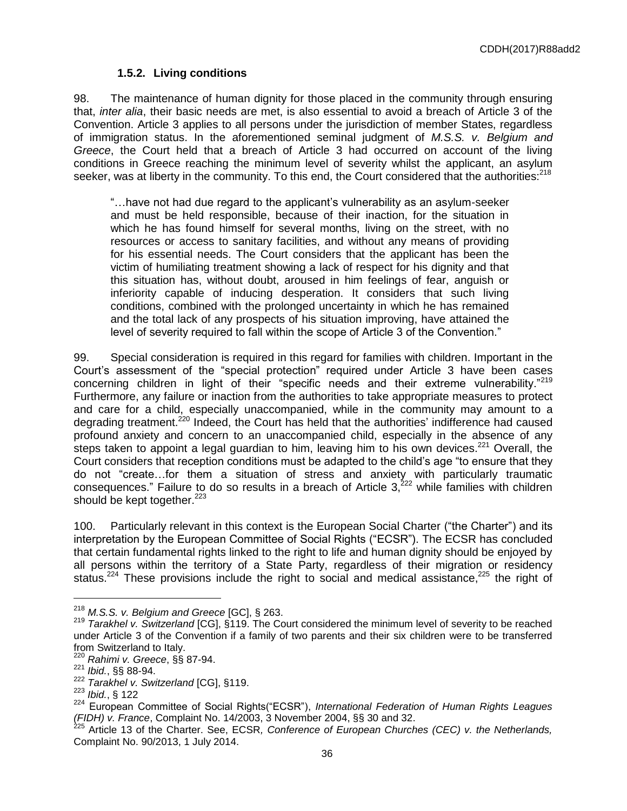### **1.5.2. Living conditions**

98. The maintenance of human dignity for those placed in the community through ensuring that, *inter alia*, their basic needs are met, is also essential to avoid a breach of Article 3 of the Convention. Article 3 applies to all persons under the jurisdiction of member States, regardless of immigration status. In the aforementioned seminal judgment of *M.S.S. v. Belgium and Greece*, the Court held that a breach of Article 3 had occurred on account of the living conditions in Greece reaching the minimum level of severity whilst the applicant, an asylum seeker, was at liberty in the community. To this end, the Court considered that the authorities:<sup>218</sup>

"…have not had due regard to the applicant's vulnerability as an asylum-seeker and must be held responsible, because of their inaction, for the situation in which he has found himself for several months, living on the street, with no resources or access to sanitary facilities, and without any means of providing for his essential needs. The Court considers that the applicant has been the victim of humiliating treatment showing a lack of respect for his dignity and that this situation has, without doubt, aroused in him feelings of fear, anguish or inferiority capable of inducing desperation. It considers that such living conditions, combined with the prolonged uncertainty in which he has remained and the total lack of any prospects of his situation improving, have attained the level of severity required to fall within the scope of Article 3 of the Convention."

99. Special consideration is required in this regard for families with children. Important in the Court's assessment of the "special protection" required under Article 3 have been cases concerning children in light of their "specific needs and their extreme vulnerability."<sup>219</sup> Furthermore, any failure or inaction from the authorities to take appropriate measures to protect and care for a child, especially unaccompanied, while in the community may amount to a degrading treatment.<sup>220</sup> Indeed, the Court has held that the authorities' indifference had caused profound anxiety and concern to an unaccompanied child, especially in the absence of any steps taken to appoint a legal guardian to him, leaving him to his own devices.<sup>221</sup> Overall, the Court considers that reception conditions must be adapted to the child's age "to ensure that they do not "create…for them a situation of stress and anxiety with particularly traumatic consequences." Failure to do so results in a breach of Article  $3,^{222}$  while families with children should be kept together.<sup>223</sup>

100. Particularly relevant in this context is the European Social Charter ("the Charter") and its interpretation by the European Committee of Social Rights ("ECSR"). The ECSR has concluded that certain fundamental rights linked to the right to life and human dignity should be enjoyed by all persons within the territory of a State Party, regardless of their migration or residency status.<sup>224</sup> These provisions include the right to social and medical assistance,<sup>225</sup> the right of

<sup>218</sup> *M.S.S. v. Belgium and Greece* [GC], § 263.

<sup>219</sup> *Tarakhel v. Switzerland* [CG], §119. The Court considered the minimum level of severity to be reached under Article 3 of the Convention if a family of two parents and their six children were to be transferred from Switzerland to Italy.

<sup>220</sup> *Rahimi v. Greece*, §§ 87-94.

<sup>221</sup> *Ibid.*, §§ 88-94.

<sup>222</sup> *Tarakhel v. Switzerland* [CG], §119.

<sup>223</sup> *Ibid.*, § 122

<sup>&</sup>lt;sup>224</sup> European Committee of Social Rights("ECSR"), *International Federation of Human Rights Leagues (FIDH) v. France*, Complaint No. 14/2003, 3 November 2004, §§ 30 and 32.

<sup>225</sup> Article 13 of the Charter. See, ECSR*, Conference of European Churches (CEC) v. the Netherlands,* Complaint No. 90/2013, 1 July 2014.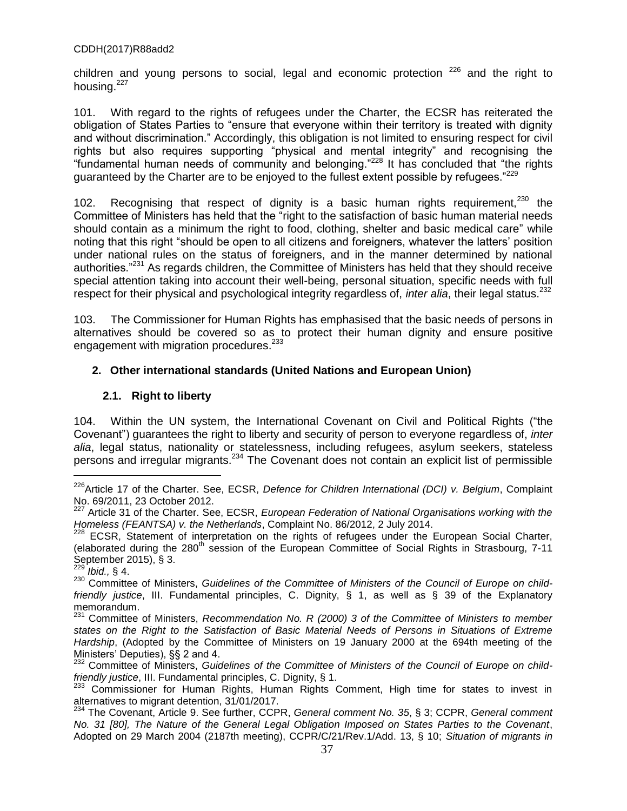children and young persons to social, legal and economic protection  $226$  and the right to housing.<sup>227</sup>

101. With regard to the rights of refugees under the Charter, the ECSR has reiterated the obligation of States Parties to "ensure that everyone within their territory is treated with dignity and without discrimination." Accordingly, this obligation is not limited to ensuring respect for civil rights but also requires supporting "physical and mental integrity" and recognising the "fundamental human needs of community and belonging."<sup>228</sup> It has concluded that "the rights guaranteed by the Charter are to be enjoyed to the fullest extent possible by refugees."<sup>229</sup>

102. Recognising that respect of dignity is a basic human rights requirement,  $230$  the Committee of Ministers has held that the "right to the satisfaction of basic human material needs should contain as a minimum the right to food, clothing, shelter and basic medical care" while noting that this right "should be open to all citizens and foreigners, whatever the latters' position under national rules on the status of foreigners, and in the manner determined by national authorities.<sup>"231</sup> As regards children, the Committee of Ministers has held that they should receive special attention taking into account their well-being, personal situation, specific needs with full respect for their physical and psychological integrity regardless of, *inter alia*, their legal status.<sup>232</sup>

103. The Commissioner for Human Rights has emphasised that the basic needs of persons in alternatives should be covered so as to protect their human dignity and ensure positive engagement with migration procedures.<sup>233</sup>

# **2. Other international standards (United Nations and European Union)**

# **2.1. Right to liberty**

104. Within the UN system, the International Covenant on Civil and Political Rights ("the Covenantˮ) guarantees the right to liberty and security of person to everyone regardless of, *inter alia*, legal status, nationality or statelessness, including refugees, asylum seekers, stateless persons and irregular migrants. <sup>234</sup> The Covenant does not contain an explicit list of permissible

<sup>226</sup>Article 17 of the Charter. See, ECSR, *Defence for Children International (DCI) v. Belgium*, Complaint No. 69/2011, 23 October 2012.

<sup>227</sup> Article 31 of the Charter. See, ECSR, *European Federation of National Organisations working with the Homeless (FEANTSA) v. the Netherlands*, Complaint No. 86/2012, 2 July 2014.

<sup>&</sup>lt;sup>228</sup> ECSR, Statement of interpretation on the rights of refugees under the European Social Charter, (elaborated during the  $280<sup>th</sup>$  session of the European Committee of Social Rights in Strasbourg, 7-11 September 2015), § 3.

*Ibid.,* § 4.

<sup>230</sup> Committee of Ministers, *Guidelines of the Committee of Ministers of the Council of Europe on childfriendly justice*, III. Fundamental principles, C. Dignity, § 1, as well as § 39 of the Explanatory memorandum.

<sup>231</sup> Committee of Ministers, *Recommendation No. R (2000) 3 of the Committee of Ministers to member states on the Right to the Satisfaction of Basic Material Needs of Persons in Situations of Extreme Hardship*, (Adopted by the Committee of Ministers on 19 January 2000 at the 694th meeting of the Ministers' Deputies), §§ 2 and 4.

<sup>&</sup>lt;sup>232</sup> Committee of Ministers, Guidelines of the Committee of Ministers of the Council of Europe on child*friendly justice*, III. Fundamental principles, C. Dignity, § 1.

<sup>&</sup>lt;sup>233</sup> Commissioner for Human Rights, Human Rights Comment, High time for states to invest in alternatives to migrant detention, 31/01/2017.

<sup>234</sup> The Covenant, Article 9. See further, CCPR, *General comment No. 35*, § 3; CCPR, *General comment No. 31 [80], The Nature of the General Legal Obligation Imposed on States Parties to the Covenant*, Adopted on 29 March 2004 (2187th meeting), CCPR/C/21/Rev.1/Add. 13, § 10; *Situation of migrants in*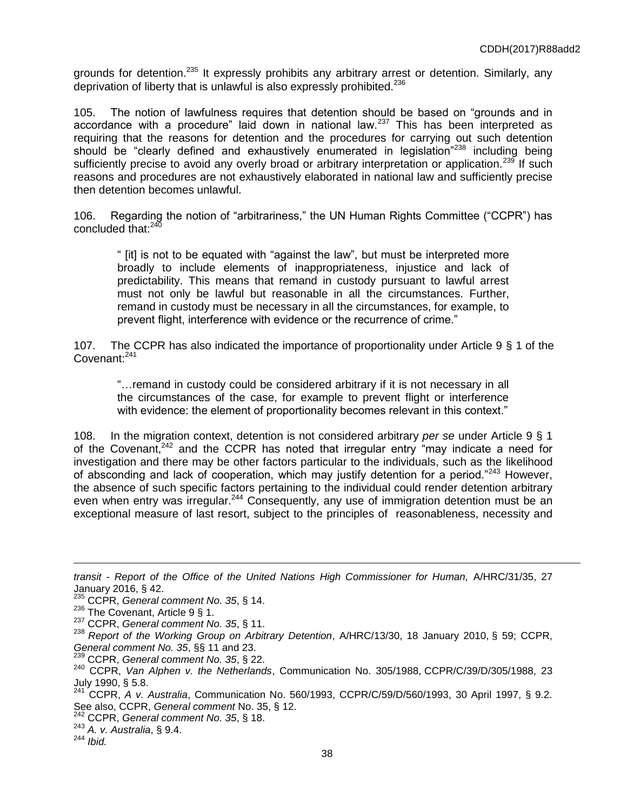grounds for detention.<sup>235</sup> It expressly prohibits any arbitrary arrest or detention. Similarly, any deprivation of liberty that is unlawful is also expressly prohibited.<sup>236</sup>

105. The notion of lawfulness requires that detention should be based on "grounds and in accordance with a procedure" laid down in national law.<sup>237</sup> This has been interpreted as requiring that the reasons for detention and the procedures for carrying out such detention should be "clearly defined and exhaustively enumerated in legislation"<sup>238</sup> including being sufficiently precise to avoid any overly broad or arbitrary interpretation or application.<sup>239</sup> If such reasons and procedures are not exhaustively elaborated in national law and sufficiently precise then detention becomes unlawful.

106. Regarding the notion of "arbitrariness," the UN Human Rights Committee ("CCPR") has concluded that: $24\bar{0}$ 

" [it] is not to be equated with "against the lawˮ, but must be interpreted more broadly to include elements of inappropriateness, injustice and lack of predictability. This means that remand in custody pursuant to lawful arrest must not only be lawful but reasonable in all the circumstances. Further, remand in custody must be necessary in all the circumstances, for example, to prevent flight, interference with evidence or the recurrence of crime."

107. The CCPR has also indicated the importance of proportionality under Article 9 § 1 of the Covenant:<sup>241</sup>

"…remand in custody could be considered arbitrary if it is not necessary in all the circumstances of the case, for example to prevent flight or interference with evidence: the element of proportionality becomes relevant in this context."

108. In the migration context, detention is not considered arbitrary *per se* under Article 9 § 1 of the Covenant, $242$  and the CCPR has noted that irregular entry "may indicate a need for investigation and there may be other factors particular to the individuals, such as the likelihood of absconding and lack of cooperation, which may justify detention for a period.<sup>7243</sup> However, the absence of such specific factors pertaining to the individual could render detention arbitrary even when entry was irregular.<sup>244</sup> Consequently, any use of immigration detention must be an exceptional measure of last resort, subject to the principles of reasonableness, necessity and

<sup>243</sup> *A. v. Australia*, § 9.4.

*transit - Report of the Office of the United Nations High Commissioner for Human, A/HRC/31/35, 27* January 2016, § 42.

<sup>235</sup> CCPR, *General comment No. 35*, § 14.

<sup>&</sup>lt;sup>236</sup> The Covenant, Article 9 § 1.

<sup>237</sup> CCPR, *General comment No. 35*, § 11.

<sup>238</sup> *Report of the Working Group on Arbitrary Detention*, A/HRC/13/30, 18 January 2010, § 59; CCPR, *General comment No. 35*, §§ 11 and 23.

<sup>239</sup> CCPR, *General comment No. 35*, § 22.

<sup>240</sup> CCPR, *Van Alphen v. the Netherlands*, Communication No. 305/1988, CCPR/C/39/D/305/1988, 23 July 1990, § 5.8.

<sup>241</sup> CCPR, *A v. Australia*, Communication No. 560/1993, CCPR/C/59/D/560/1993, 30 April 1997, § 9.2. See also, CCPR, *General comment* No. 35, § 12.

<sup>242</sup> CCPR, *General comment No. 35*, § 18.

<sup>244</sup> *Ibid.*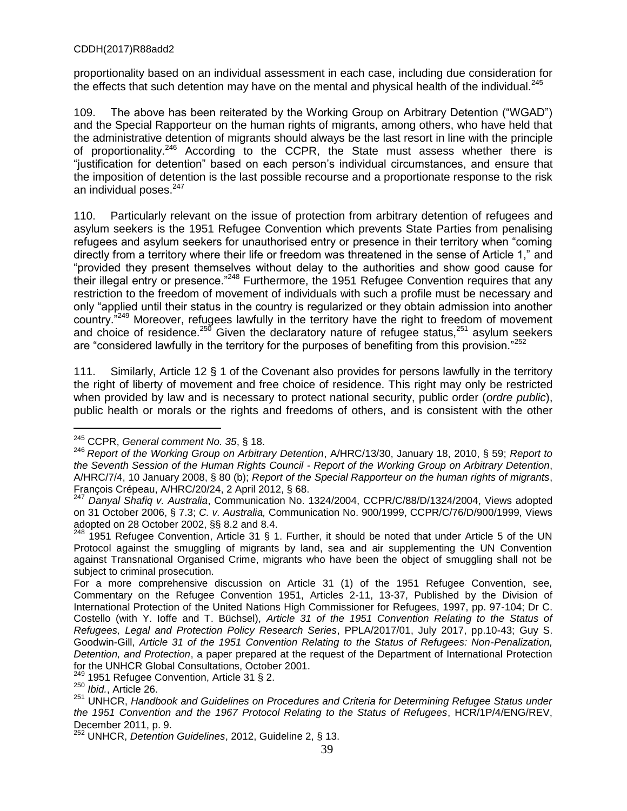proportionality based on an individual assessment in each case, including due consideration for the effects that such detention may have on the mental and physical health of the individual. $^{245}$ 

109. The above has been reiterated by the Working Group on Arbitrary Detention ("WGAD") and the Special Rapporteur on the human rights of migrants, among others, who have held that the administrative detention of migrants should always be the last resort in line with the principle of proportionality.<sup>246</sup> According to the CCPR, the State must assess whether there is "justification for detention" based on each person's individual circumstances, and ensure that the imposition of detention is the last possible recourse and a proportionate response to the risk an individual poses. 247

110. Particularly relevant on the issue of protection from arbitrary detention of refugees and asylum seekers is the 1951 Refugee Convention which prevents State Parties from penalising refugees and asylum seekers for unauthorised entry or presence in their territory when "coming directly from a territory where their life or freedom was threatened in the sense of Article 1," and "provided they present themselves without delay to the authorities and show good cause for their illegal entry or presence.<sup>"248</sup> Furthermore, the 1951 Refugee Convention requires that any restriction to the freedom of movement of individuals with such a profile must be necessary and only "applied until their status in the country is regularized or they obtain admission into another country.<sup>7249</sup> Moreover, refugees lawfully in the territory have the right to freedom of movement and choice of residence.<sup>250</sup> Given the declaratory nature of refugee status,<sup>251</sup> asylum seekers are "considered lawfully in the territory for the purposes of benefiting from this provision. $^{252}$ 

111. Similarly, Article 12 § 1 of the Covenant also provides for persons lawfully in the territory the right of liberty of movement and free choice of residence. This right may only be restricted when provided by law and is necessary to protect national security, public order (*ordre public*), public health or morals or the rights and freedoms of others, and is consistent with the other

<sup>245</sup> CCPR, *General comment No. 35*, § 18.

<sup>246</sup> *Report of the Working Group on Arbitrary Detention*, A/HRC/13/30, January 18, 2010, § 59; *Report to the Seventh Session of the Human Rights Council - Report of the Working Group on Arbitrary Detention*, A/HRC/7/4, 10 January 2008, § 80 (b); *Report of the Special Rapporteur on the human rights of migrants*, François Crépeau, A/HRC/20/24, 2 April 2012, § 68.

<sup>247</sup> *Danyal Shafiq v. Australia*, Communication No. 1324/2004, CCPR/C/88/D/1324/2004, Views adopted on 31 October 2006, § 7.3; *C. v. Australia,* Communication No. 900/1999, CCPR/C/76/D/900/1999, Views adopted on 28 October 2002, §§ 8.2 and 8.4.

 $248$  1951 Refugee Convention, Article 31 § 1. Further, it should be noted that under Article 5 of the UN Protocol against the smuggling of migrants by land, sea and air supplementing the UN Convention against Transnational Organised Crime, migrants who have been the object of smuggling shall not be subject to criminal prosecution.

For a more comprehensive discussion on Article 31 (1) of the 1951 Refugee Convention, see, Commentary on the Refugee Convention 1951, Articles 2-11, 13-37, Published by the Division of International Protection of the United Nations High Commissioner for Refugees, 1997, pp. 97-104; Dr C. Costello (with Y. Ioffe and T. Büchsel), *Article 31 of the 1951 Convention Relating to the Status of Refugees, Legal and Protection Policy Research Series*, PPLA/2017/01, July 2017, pp.10-43; Guy S. Goodwin-Gill, *Article 31 of the 1951 Convention Relating to the Status of Refugees: Non-Penalization, Detention, and Protection*, a paper prepared at the request of the Department of International Protection for the UNHCR Global Consultations, October 2001.

<sup>1951</sup> Refugee Convention, Article 31 § 2.

<sup>250</sup> *Ibid.*, Article 26.

<sup>251</sup> UNHCR, *Handbook and Guidelines on Procedures and Criteria for Determining Refugee Status under the 1951 Convention and the 1967 Protocol Relating to the Status of Refugees*, HCR/1P/4/ENG/REV, December 2011, p. 9.

<sup>252</sup> UNHCR, *Detention Guidelines*, 2012, Guideline 2, § 13.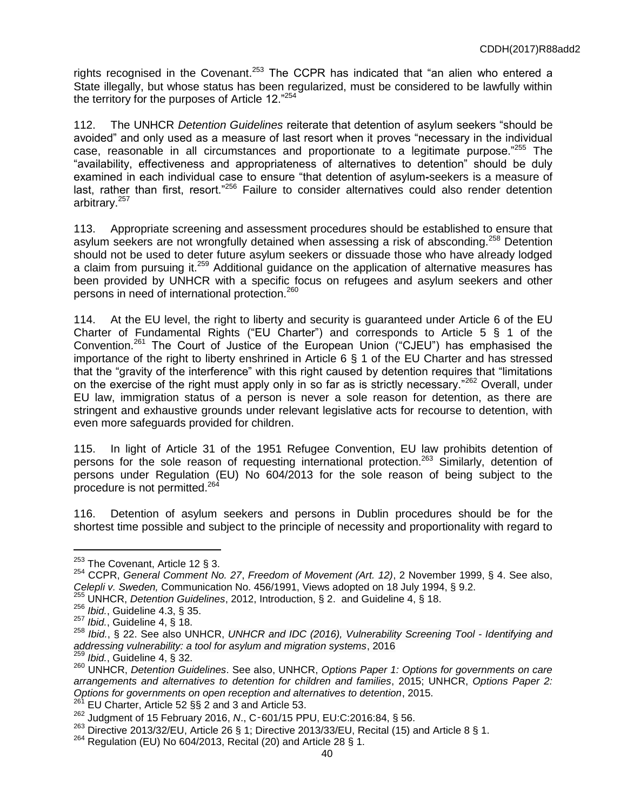rights recognised in the Covenant.<sup>253</sup> The CCPR has indicated that "an alien who entered a State illegally, but whose status has been regularized, must be considered to be lawfully within the territory for the purposes of Article 12."<sup>254</sup>

112. The UNHCR *Detention Guidelines* reiterate that detention of asylum seekers "should be avoided" and only used as a measure of last resort when it proves "necessary in the individual case, reasonable in all circumstances and proportionate to a legitimate purpose."<sup>255</sup> The "availability, effectiveness and appropriateness of alternatives to detention" should be duly examined in each individual case to ensure "that detention of asylum**-**seekers is a measure of last, rather than first, resort."<sup>256</sup> Failure to consider alternatives could also render detention arbitrary.<sup>257</sup>

113. Appropriate screening and assessment procedures should be established to ensure that asylum seekers are not wrongfully detained when assessing a risk of absconding.<sup>258</sup> Detention should not be used to deter future asylum seekers or dissuade those who have already lodged a claim from pursuing it.<sup>259</sup> Additional guidance on the application of alternative measures has been provided by UNHCR with a specific focus on refugees and asylum seekers and other persons in need of international protection.<sup>260</sup>

114. At the EU level, the right to liberty and security is guaranteed under Article 6 of the EU Charter of Fundamental Rights ("EU Charter") and corresponds to Article 5 § 1 of the Convention.<sup>261</sup> The Court of Justice of the European Union ("CJEU") has emphasised the importance of the right to liberty enshrined in Article 6 § 1 of the EU Charter and has stressed that the "gravity of the interference" with this right caused by detention requires that "limitations on the exercise of the right must apply only in so far as is strictly necessary.<sup>"262</sup> Overall, under EU law, immigration status of a person is never a sole reason for detention, as there are stringent and exhaustive grounds under relevant legislative acts for recourse to detention, with even more safeguards provided for children.

115. In light of Article 31 of the 1951 Refugee Convention, EU law prohibits detention of persons for the sole reason of requesting international protection.<sup>263</sup> Similarly, detention of persons under Regulation (EU) No 604/2013 for the sole reason of being subject to the procedure is not permitted.<sup>264</sup>

116. Detention of asylum seekers and persons in Dublin procedures should be for the shortest time possible and subject to the principle of necessity and proportionality with regard to

 $\overline{a}$ 

EU Charter, Article 52 §§ 2 and 3 and Article 53.

 $253$  The Covenant, Article 12 § 3.

<sup>254</sup> CCPR, *General Comment No. 27*, *Freedom of Movement (Art. 12)*, 2 November 1999, § 4. See also, *Celepli v. Sweden,* Communication No. 456/1991, Views adopted on 18 July 1994, § 9.2.

<sup>255</sup> UNHCR, *Detention Guidelines*, 2012, Introduction, § 2. and Guideline 4, § 18.

<sup>256</sup> *Ibid.*, Guideline 4.3, § 35.

<sup>257</sup> *Ibid.*, Guideline 4, § 18.

<sup>258</sup> *Ibid.*, § 22. See also UNHCR, *UNHCR and IDC (2016), Vulnerability Screening Tool - Identifying and addressing vulnerability: a tool for asylum and migration systems*, 2016

<sup>259</sup> *Ibid.*, Guideline 4, § 32.

<sup>260</sup> UNHCR, *Detention Guidelines*. See also, UNHCR, *Options Paper 1: Options for governments on care arrangements and alternatives to detention for children and families*, 2015; UNHCR, *Options Paper 2: Options for governments on open reception and alternatives to detention*, 2015.

<sup>262</sup> Judgment of 15 February 2016, *N*., C‑601/15 PPU, EU:C:2016:84, § 56.

 $^{263}$  Directive 2013/32/EU, Article 26 § 1; Directive 2013/33/EU, Recital (15) and Article 8 § 1.

<sup>264</sup> Regulation (EU) No 604/2013, Recital (20) and Article 28 § 1.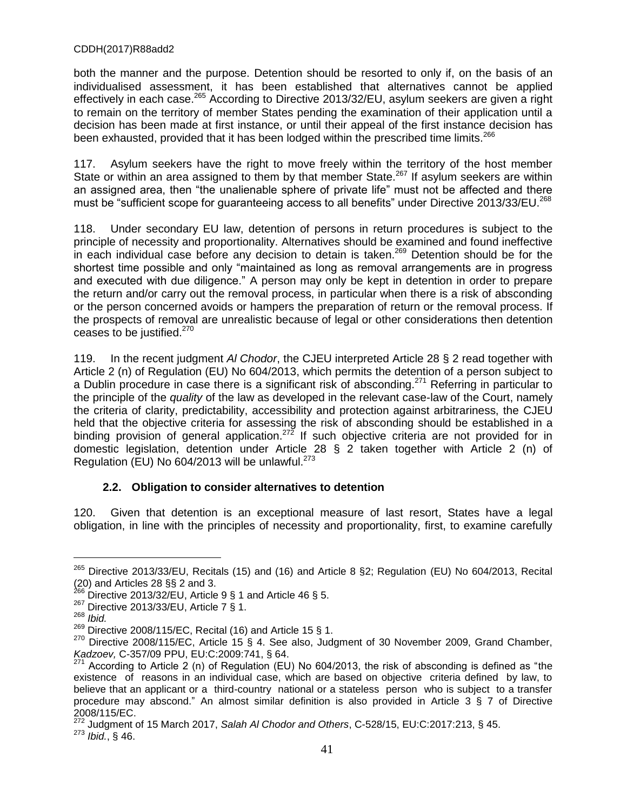both the manner and the purpose. Detention should be resorted to only if, on the basis of an individualised assessment, it has been established that alternatives cannot be applied effectively in each case.<sup>265</sup> According to Directive 2013/32/EU, asylum seekers are given a right to remain on the territory of member States pending the examination of their application until a decision has been made at first instance, or until their appeal of the first instance decision has been exhausted, provided that it has been lodged within the prescribed time limits.<sup>266</sup>

117. Asylum seekers have the right to move freely within the territory of the host member State or within an area assigned to them by that member State.<sup>267</sup> If asylum seekers are within an assigned area, then "the unalienable sphere of private life" must not be affected and there must be "sufficient scope for guaranteeing access to all benefits" under Directive 2013/33/EU.<sup>268</sup>

118. Under secondary EU law, detention of persons in return procedures is subject to the principle of necessity and proportionality. Alternatives should be examined and found ineffective in each individual case before any decision to detain is taken.<sup>269</sup> Detention should be for the shortest time possible and only "maintained as long as removal arrangements are in progress and executed with due diligence." A person may only be kept in detention in order to prepare the return and/or carry out the removal process, in particular when there is a risk of absconding or the person concerned avoids or hampers the preparation of return or the removal process. If the prospects of removal are unrealistic because of legal or other considerations then detention ceases to be justified.<sup>270</sup>

119. In the recent judgment *Al Chodor*, the CJEU interpreted Article 28 § 2 read together with Article 2 (n) of Regulation (EU) No 604/2013, which permits the detention of a person subject to a Dublin procedure in case there is a significant risk of absconding.<sup>271</sup> Referring in particular to the principle of the *quality* of the law as developed in the relevant case-law of the Court, namely the criteria of clarity, predictability, accessibility and protection against arbitrariness, the CJEU held that the objective criteria for assessing the risk of absconding should be established in a binding provision of general application.<sup>272</sup> If such objective criteria are not provided for in domestic legislation, detention under Article 28 § 2 taken together with Article 2 (n) of Regulation (EU) No 604/2013 will be unlawful. $273$ 

# **2.2. Obligation to consider alternatives to detention**

120. Given that detention is an exceptional measure of last resort, States have a legal obligation, in line with the principles of necessity and proportionality, first, to examine carefully

<sup>265</sup> Directive 2013/33/EU, Recitals (15) and (16) and Article 8 §2; Regulation (EU) No 604/2013, Recital (20) and Articles 28 §§ 2 and 3.

 $^{266}$  Directive 2013/32/EU, Article 9 § 1 and Article 46 § 5.

<sup>267</sup> Directive 2013/33/EU, Article 7 § 1.

<sup>268</sup> *Ibid.*

 $269$  Directive 2008/115/EC, Recital (16) and Article 15 § 1.

<sup>&</sup>lt;sup>270</sup> Directive 2008/115/EC, Article 15 § 4. See also, Judgment of 30 November 2009, Grand Chamber, *Kadzoev,* C-357/09 PPU, EU:C:2009:741, § 64.

<sup>271</sup> According to Article 2 (n) of Regulation (EU) No 604/2013, the risk of absconding is defined as "the existence of reasons in an individual case, which are based on objective criteria defined by law, to believe that an applicant or a third-country national or a stateless person who is subject to a transfer procedure may abscond." An almost similar definition is also provided in Article 3 § 7 of Directive 2008/115/EC.

<sup>272</sup> Judgment of 15 March 2017, *Salah Al Chodor and Others*, C-528/15, EU:C:2017:213, § 45. <sup>273</sup> *Ibid.*, § 46.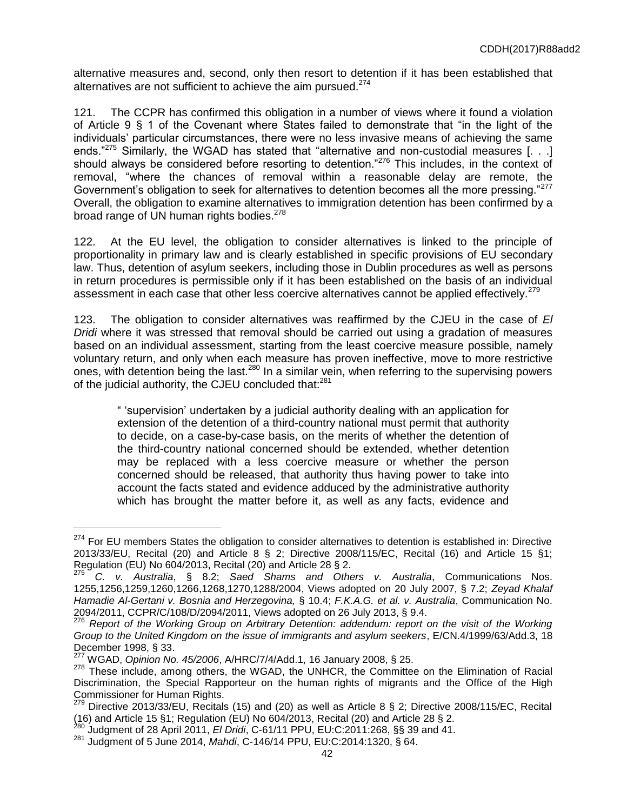alternative measures and, second, only then resort to detention if it has been established that alternatives are not sufficient to achieve the aim pursued.<sup>274</sup>

121. The CCPR has confirmed this obligation in a number of views where it found a violation of Article 9 § 1 of the Covenant where States failed to demonstrate that "in the light of the individuals' particular circumstances, there were no less invasive means of achieving the same ends." $275$  Similarly, the WGAD has stated that "alternative and non-custodial measures [...] should always be considered before resorting to detention."<sup>276</sup> This includes, in the context of removal, "where the chances of removal within a reasonable delay are remote, the Government's obligation to seek for alternatives to detention becomes all the more pressing."<sup>277</sup> Overall, the obligation to examine alternatives to immigration detention has been confirmed by a broad range of UN human rights bodies.<sup>278</sup>

122. At the EU level, the obligation to consider alternatives is linked to the principle of proportionality in primary law and is clearly established in specific provisions of EU secondary law. Thus, detention of asylum seekers, including those in Dublin procedures as well as persons in return procedures is permissible only if it has been established on the basis of an individual assessment in each case that other less coercive alternatives cannot be applied effectively.<sup>279</sup>

123. The obligation to consider alternatives was reaffirmed by the CJEU in the case of *El Dridi* where it was stressed that removal should be carried out using a gradation of measures based on an individual assessment, starting from the least coercive measure possible, namely voluntary return, and only when each measure has proven ineffective, move to more restrictive ones, with detention being the last.<sup>280</sup> In a similar vein, when referring to the supervising powers of the judicial authority, the CJEU concluded that:<sup>281</sup>

" 'supervision' undertaken by a judicial authority dealing with an application for extension of the detention of a third-country national must permit that authority to decide, on a case**-**by**-**case basis, on the merits of whether the detention of the third-country national concerned should be extended, whether detention may be replaced with a less coercive measure or whether the person concerned should be released, that authority thus having power to take into account the facts stated and evidence adduced by the administrative authority which has brought the matter before it, as well as any facts, evidence and

<sup>&</sup>lt;sup>274</sup> For EU members States the obligation to consider alternatives to detention is established in: Directive 2013/33/EU, Recital (20) and Article 8 § 2; Directive 2008/115/EC, Recital (16) and Article 15 §1; Regulation (EU) No 604/2013, Recital (20) and Article 28 § 2.

<sup>275</sup> *C. v. Australia*, § 8.2; *Saed Shams and Others v. Australia*, Communications Nos. 1255,1256,1259,1260,1266,1268,1270,1288/2004, Views adopted on 20 July 2007, § 7.2; *Zeyad Khalaf Hamadie Al-Gertani v. Bosnia and Herzegovina,* § 10.4; *F.K.A.G. et al. v. Australia*, Communication No. 2094/2011, CCPR/C/108/D/2094/2011, Views adopted on 26 July 2013, § 9.4.

<sup>276</sup> *Report of the Working Group on Arbitrary Detention: addendum: report on the visit of the Working Group to the United Kingdom on the issue of immigrants and asylum seekers*, E/CN.4/1999/63/Add.3, 18 December 1998, § 33.

<sup>277</sup> WGAD, *Opinion No. 45/2006*, A/HRC/7/4/Add.1, 16 January 2008, § 25.

<sup>278</sup> These include, among others, the WGAD, the UNHCR, the Committee on the Elimination of Racial Discrimination, the Special Rapporteur on the human rights of migrants and the Office of the High Commissioner for Human Rights.

<sup>279</sup> Directive 2013/33/EU, Recitals (15) and (20) as well as Article 8 § 2; Directive 2008/115/EC, Recital (16) and Article 15 §1; Regulation (EU) No 604/2013, Recital (20) and Article 28 § 2.

<sup>280</sup> Judgment of 28 April 2011, *El Dridi*, C-61/11 PPU, EU:C:2011:268, §§ 39 and 41.

<sup>281</sup> Judgment of 5 June 2014, *Mahdi*, C-146/14 PPU, EU:C:2014:1320, § 64.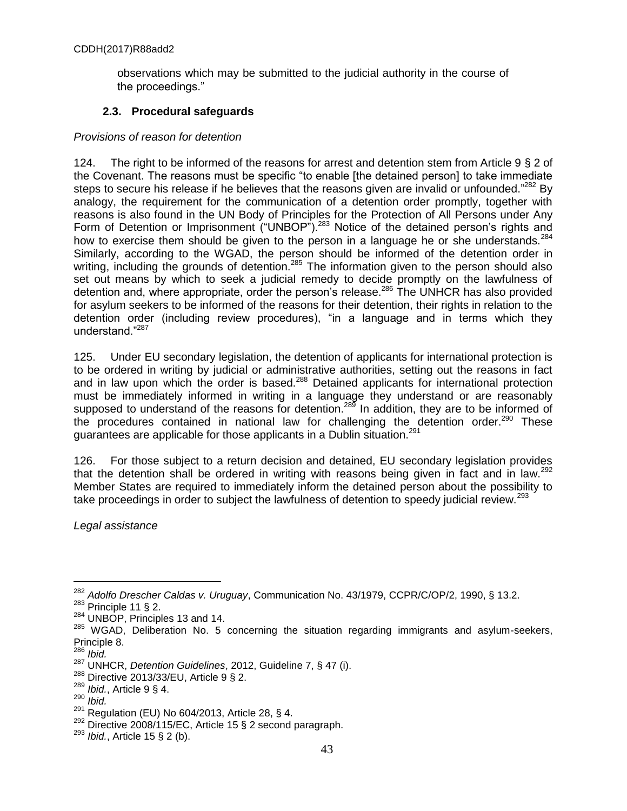observations which may be submitted to the judicial authority in the course of the proceedings."

# **2.3. Procedural safeguards**

# *Provisions of reason for detention*

124. The right to be informed of the reasons for arrest and detention stem from Article 9 § 2 of the Covenant. The reasons must be specific "to enable [the detained person] to take immediate steps to secure his release if he believes that the reasons given are invalid or unfounded."<sup>282</sup> By analogy, the requirement for the communication of a detention order promptly, together with reasons is also found in the UN Body of Principles for the Protection of All Persons under Any Form of Detention or Imprisonment ("UNBOP").<sup>283</sup> Notice of the detained person's rights and how to exercise them should be given to the person in a language he or she understands.  $284$ Similarly, according to the WGAD, the person should be informed of the detention order in writing, including the grounds of detention.<sup>285</sup> The information given to the person should also set out means by which to seek a judicial remedy to decide promptly on the lawfulness of detention and, where appropriate, order the person's release.<sup>286</sup> The UNHCR has also provided for asylum seekers to be informed of the reasons for their detention, their rights in relation to the detention order (including review procedures), "in a language and in terms which they understand."<sup>287</sup>

125. Under EU secondary legislation, the detention of applicants for international protection is to be ordered in writing by judicial or administrative authorities, setting out the reasons in fact and in law upon which the order is based.<sup>288</sup> Detained applicants for international protection must be immediately informed in writing in a language they understand or are reasonably supposed to understand of the reasons for detention.<sup>289</sup> In addition, they are to be informed of the procedures contained in national law for challenging the detention order.<sup>290</sup> These guarantees are applicable for those applicants in a Dublin situation.<sup>291</sup>

126. For those subject to a return decision and detained, EU secondary legislation provides that the detention shall be ordered in writing with reasons being given in fact and in law.<sup>292</sup> Member States are required to immediately inform the detained person about the possibility to take proceedings in order to subject the lawfulness of detention to speedy judicial review.<sup>293</sup>

*Legal assistance*

<sup>282</sup> *Adolfo Drescher Caldas v. Uruguay*, Communication No. 43/1979, CCPR/C/OP/2, 1990, § 13.2.

 $283$  Principle 11 § 2.

<sup>&</sup>lt;sup>284</sup> UNBOP, Principles 13 and 14.

 $285$  WGAD, Deliberation No. 5 concerning the situation regarding immigrants and asylum-seekers, Principle 8.

<sup>286</sup> *Ibid.*

<sup>287</sup> UNHCR, *Detention Guidelines*, 2012, Guideline 7, § 47 (i).

 $^{288}$  Directive 2013/33/EU, Article 9 § 2.

*Ibid.*, Article 9 § 4.

<sup>290</sup> *Ibid.*

 $291$  Regulation (EU) No 604/2013, Article 28, § 4.

 $292$  Directive 2008/115/EC, Article 15 § 2 second paragraph.

<sup>293</sup> *Ibid.*, Article 15 § 2 (b).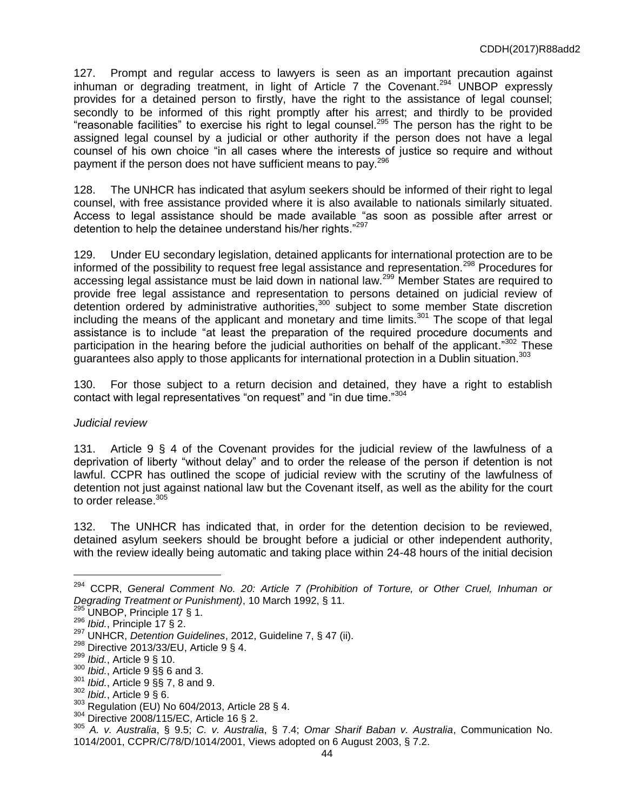127. Prompt and regular access to lawyers is seen as an important precaution against inhuman or degrading treatment, in light of Article 7 the Covenant.<sup>294</sup> UNBOP expressly provides for a detained person to firstly, have the right to the assistance of legal counsel; secondly to be informed of this right promptly after his arrest; and thirdly to be provided "reasonable facilities" to exercise his right to legal counsel.<sup>295</sup> The person has the right to be assigned legal counsel by a judicial or other authority if the person does not have a legal counsel of his own choice "in all cases where the interests of justice so require and without payment if the person does not have sufficient means to pay.<sup>296</sup>

128. The UNHCR has indicated that asylum seekers should be informed of their right to legal counsel, with free assistance provided where it is also available to nationals similarly situated. Access to legal assistance should be made available "as soon as possible after arrest or detention to help the detainee understand his/her rights."<sup>297</sup>

129. Under EU secondary legislation, detained applicants for international protection are to be informed of the possibility to request free legal assistance and representation.<sup>298</sup> Procedures for accessing legal assistance must be laid down in national law.<sup>299</sup> Member States are required to provide free legal assistance and representation to persons detained on judicial review of detention ordered by administrative authorities,<sup>300</sup> subject to some member State discretion including the means of the applicant and monetary and time limits.<sup>301</sup> The scope of that legal assistance is to include "at least the preparation of the required procedure documents and participation in the hearing before the judicial authorities on behalf of the applicant." $302$  These guarantees also apply to those applicants for international protection in a Dublin situation.<sup>303</sup>

130. For those subject to a return decision and detained, they have a right to establish contact with legal representatives "on request" and "in due time."<sup>304</sup>

### *Judicial review*

131. Article 9 § 4 of the Covenant provides for the judicial review of the lawfulness of a deprivation of liberty "without delay" and to order the release of the person if detention is not lawful. CCPR has outlined the scope of judicial review with the scrutiny of the lawfulness of detention not just against national law but the Covenant itself, as well as the ability for the court to order release. $305$ 

132. The UNHCR has indicated that, in order for the detention decision to be reviewed, detained asylum seekers should be brought before a judicial or other independent authority, with the review ideally being automatic and taking place within 24-48 hours of the initial decision

<sup>&</sup>lt;sup>294</sup> CCPR, General Comment No. 20: Article 7 (Prohibition of Torture, or Other Cruel, Inhuman or *Degrading Treatment or Punishment)*, 10 March 1992, § 11.

 $^{295}$  UNBOP, Principle 17 § 1.

<sup>296</sup> *Ibid.*, Principle 17 § 2.

<sup>297</sup> UNHCR, *Detention Guidelines*, 2012, Guideline 7, § 47 (ii).

<sup>298</sup> Directive 2013/33/EU, Article 9 § 4.

<sup>299</sup> *Ibid.*, Article 9 § 10.

<sup>&</sup>lt;sup>300</sup> *Ibid.*, Article 9 §§ 6 and 3.<br><sup>301</sup> *Ibid.*, Article 9 §§ 7, 8 and

*Ibid.*, Article 9 §§ 7, 8 and 9.

<sup>302</sup> *Ibid.*, Article 9 § 6.

<sup>303</sup> Regulation (EU) No 604/2013, Article 28 § 4.

<sup>304</sup> Directive 2008/115/EC, Article 16 § 2.

<sup>305</sup> *A. v. Australia*, § 9.5; *C. v. Australia*, § 7.4; *Omar Sharif Baban v. Australia*, Communication No. 1014/2001, CCPR/C/78/D/1014/2001, Views adopted on 6 August 2003, § 7.2.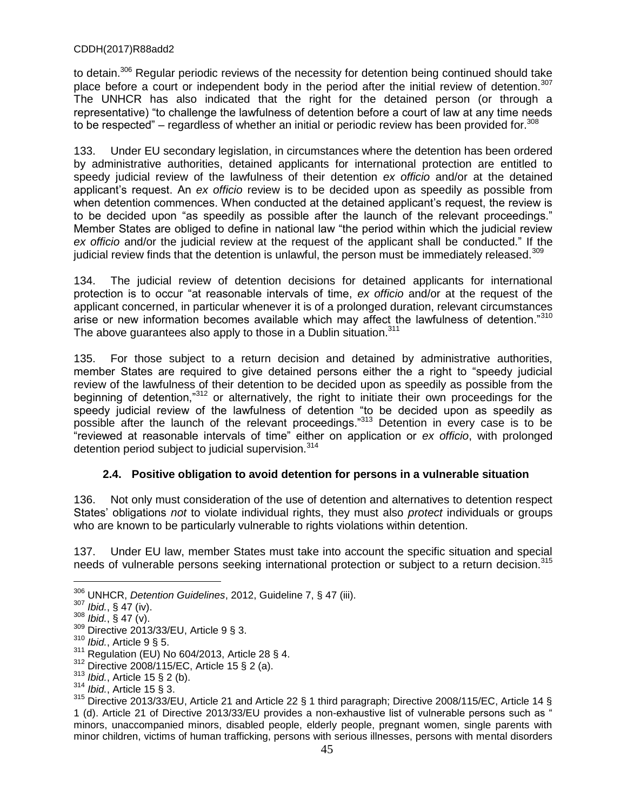to detain.<sup>306</sup> Regular periodic reviews of the necessity for detention being continued should take place before a court or independent body in the period after the initial review of detention.<sup>307</sup> The UNHCR has also indicated that the right for the detained person (or through a representative) "to challenge the lawfulness of detention before a court of law at any time needs to be respected" – regardless of whether an initial or periodic review has been provided for. $308$ 

133. Under EU secondary legislation, in circumstances where the detention has been ordered by administrative authorities, detained applicants for international protection are entitled to speedy judicial review of the lawfulness of their detention *ex officio* and/or at the detained applicant's request. An *ex officio* review is to be decided upon as speedily as possible from when detention commences. When conducted at the detained applicant's request, the review is to be decided upon "as speedily as possible after the launch of the relevant proceedings." Member States are obliged to define in national law "the period within which the judicial review ex officio and/or the judicial review at the request of the applicant shall be conducted." If the judicial review finds that the detention is unlawful, the person must be immediately released.<sup>309</sup>

134. The judicial review of detention decisions for detained applicants for international protection is to occur "at reasonable intervals of time, *ex officio* and/or at the request of the applicant concerned, in particular whenever it is of a prolonged duration, relevant circumstances arise or new information becomes available which may affect the lawfulness of detention."<sup>310</sup> The above guarantees also apply to those in a Dublin situation.<sup>311</sup>

135. For those subject to a return decision and detained by administrative authorities, member States are required to give detained persons either the a right to "speedy judicial review of the lawfulness of their detention to be decided upon as speedily as possible from the beginning of detention,"<sup>312</sup> or alternatively, the right to initiate their own proceedings for the speedy judicial review of the lawfulness of detention "to be decided upon as speedily as possible after the launch of the relevant proceedings."<sup>313</sup> Detention in every case is to be "reviewed at reasonable intervals of time" either on application or *ex officio*, with prolonged detention period subject to judicial supervision.<sup>314</sup>

# **2.4. Positive obligation to avoid detention for persons in a vulnerable situation**

136. Not only must consideration of the use of detention and alternatives to detention respect States' obligations *not* to violate individual rights, they must also *protect* individuals or groups who are known to be particularly vulnerable to rights violations within detention.

137. Under EU law, member States must take into account the specific situation and special needs of vulnerable persons seeking international protection or subject to a return decision.<sup>315</sup>

- <sup>313</sup> *Ibid.*, Article 15 § 2 (b).
- <sup>314</sup> *Ibid.*, Article 15 § 3.

<sup>306</sup> UNHCR, *Detention Guidelines*, 2012, Guideline 7, § 47 (iii).

<sup>307</sup> *Ibid.*, § 47 (iv).

 $308$  *Ibid.*,  $\frac{3}{5}$  47 (v).

<sup>309</sup> Directive 2013/33/EU, Article 9 § 3.

<sup>310</sup> *Ibid.*, Article 9 § 5.

 $311$  Regulation (EU) No 604/2013, Article 28 § 4.

<sup>312</sup> Directive 2008/115/EC, Article 15 § 2 (a).

<sup>315</sup> Directive 2013/33/EU, Article 21 and Article 22 § 1 third paragraph; Directive 2008/115/EC, Article 14 § 1 (d). Article 21 of Directive 2013/33/EU provides a non-exhaustive list of vulnerable persons such as " minors, unaccompanied minors, disabled people, elderly people, pregnant women, single parents with minor children, victims of human trafficking, persons with serious illnesses, persons with mental disorders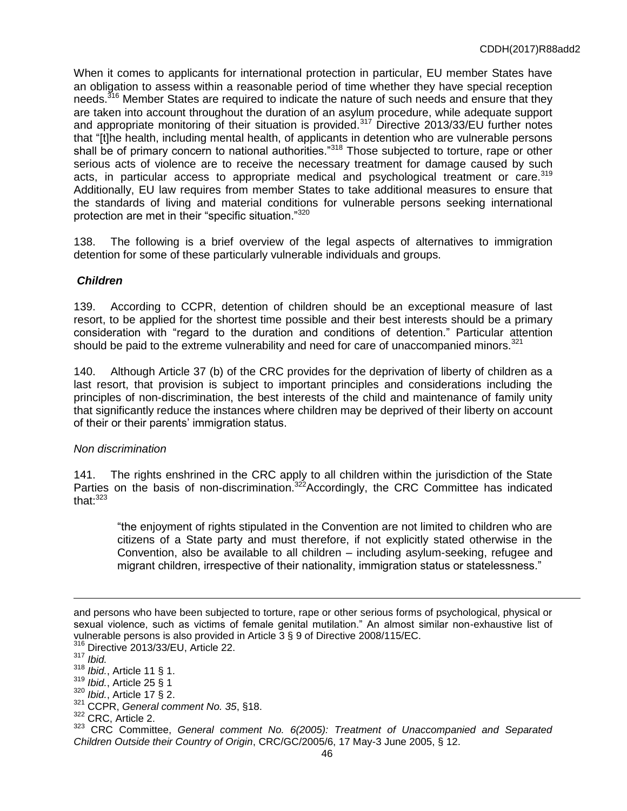When it comes to applicants for international protection in particular, EU member States have an obligation to assess within a reasonable period of time whether they have special reception needs.<sup>316</sup> Member States are required to indicate the nature of such needs and ensure that they are taken into account throughout the duration of an asylum procedure, while adequate support and appropriate monitoring of their situation is provided.<sup>317</sup> Directive 2013/33/EU further notes that "[t]he health, including mental health, of applicants in detention who are vulnerable persons shall be of primary concern to national authorities."<sup>318</sup> Those subjected to torture, rape or other serious acts of violence are to receive the necessary treatment for damage caused by such acts, in particular access to appropriate medical and psychological treatment or care.  $319$ Additionally, EU law requires from member States to take additional measures to ensure that the standards of living and material conditions for vulnerable persons seeking international protection are met in their "specific situation."320

138. The following is a brief overview of the legal aspects of alternatives to immigration detention for some of these particularly vulnerable individuals and groups.

# *Children*

139. According to CCPR, detention of children should be an exceptional measure of last resort, to be applied for the shortest time possible and their best interests should be a primary consideration with "regard to the duration and conditions of detention.ˮ Particular attention should be paid to the extreme vulnerability and need for care of unaccompanied minors. $321$ 

140. Although Article 37 (b) of the CRC provides for the deprivation of liberty of children as a last resort, that provision is subject to important principles and considerations including the principles of non-discrimination, the best interests of the child and maintenance of family unity that significantly reduce the instances where children may be deprived of their liberty on account of their or their parents' immigration status.

# *Non discrimination*

141. The rights enshrined in the CRC apply to all children within the jurisdiction of the State Parties on the basis of non-discrimination.<sup>322</sup>Accordingly, the CRC Committee has indicated that $^{.323}$ 

"the enjoyment of rights stipulated in the Convention are not limited to children who are citizens of a State party and must therefore, if not explicitly stated otherwise in the Convention, also be available to all children – including asylum-seeking, refugee and migrant children, irrespective of their nationality, immigration status or statelessness."

and persons who have been subjected to torture, rape or other serious forms of psychological, physical or sexual violence, such as victims of female genital mutilation." An almost similar non-exhaustive list of vulnerable persons is also provided in Article 3 § 9 of Directive 2008/115/EC.

Directive 2013/33/EU, Article 22.

<sup>317</sup> *Ibid.*

<sup>318</sup> *Ibid.*, Article 11 § 1.

*Ibid.*, Article 25 § 1

<sup>320</sup> *Ibid.*, Article 17 § 2.

<sup>321</sup> CCPR, *General comment No. 35*, §18.

<sup>322</sup> CRC, Article 2.

<sup>323</sup> CRC Committee, *General comment No. 6(2005): Treatment of Unaccompanied and Separated Children Outside their Country of Origin*, CRC/GC/2005/6, 17 May-3 June 2005, § 12.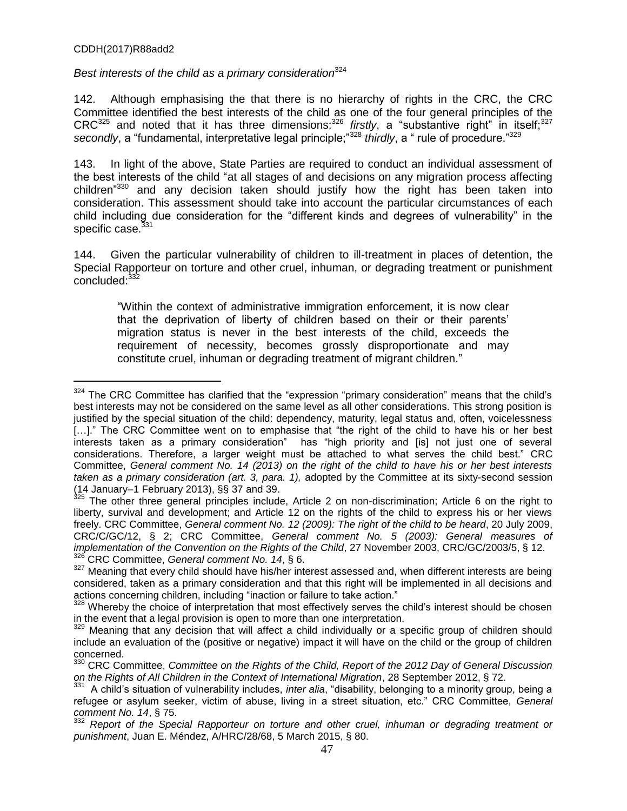$\overline{a}$ 

*Best interests of the child as a primary consideration*<sup>324</sup>

142. Although emphasising the that there is no hierarchy of rights in the CRC, the CRC Committee identified the best interests of the child as one of the four general principles of the CRC<sup>325</sup> and noted that it has three dimensions:<sup>326</sup> *firstly*, a "substantive right" in itself;<sup>327</sup> secondly, a "fundamental, interpretative legal principle;<sup>328</sup> *thirdly*, a " rule of procedure.<sup>329</sup>

143. In light of the above, State Parties are required to conduct an individual assessment of the best interests of the child "at all stages of and decisions on any migration process affecting children<sup>"330</sup> and any decision taken should justify how the right has been taken into consideration. This assessment should take into account the particular circumstances of each child including due consideration for the "different kinds and degrees of vulnerability" in the specific case.<sup>31</sup>

144. Given the particular vulnerability of children to ill-treatment in places of detention, the Special Rapporteur on torture and other cruel, inhuman, or degrading treatment or punishment concluded:<sup>332</sup>

"Within the context of administrative immigration enforcement, it is now clear that the deprivation of liberty of children based on their or their parents' migration status is never in the best interests of the child, exceeds the requirement of necessity, becomes grossly disproportionate and may constitute cruel, inhuman or degrading treatment of migrant children."

<sup>&</sup>lt;sup>324</sup> The CRC Committee has clarified that the "expression "primary consideration" means that the child's best interests may not be considered on the same level as all other considerations. This strong position is justified by the special situation of the child: dependency, maturity, legal status and, often, voicelessness [...]." The CRC Committee went on to emphasise that "the right of the child to have his or her best interests taken as a primary consideration" has "high priority and [is] not just one of several considerations. Therefore, a larger weight must be attached to what serves the child best." CRC Committee, *General comment No. 14 (2013) on the right of the child to have his or her best interests taken as a primary consideration (art. 3, para. 1),* adopted by the Committee at its sixty-second session (14 January–1 February 2013), §§ 37 and 39.

The other three general principles include, Article 2 on non-discrimination; Article 6 on the right to liberty, survival and development; and Article 12 on the rights of the child to express his or her views freely. CRC Committee, *General comment No. 12 (2009): The right of the child to be heard*, 20 July 2009, CRC/C/GC/12, § 2; CRC Committee, *General comment No. 5 (2003): General measures of implementation of the Convention on the Rights of the Child*, 27 November 2003, CRC/GC/2003/5, § 12. <sup>326</sup> CRC Committee, *General comment No. 14*, § 6.

<sup>&</sup>lt;sup>327</sup> Meaning that every child should have his/her interest assessed and, when different interests are being considered, taken as a primary consideration and that this right will be implemented in all decisions and actions concerning children, including "inaction or failure to take action."

<sup>&</sup>lt;sup>328</sup> Whereby the choice of interpretation that most effectively serves the child's interest should be chosen in the event that a legal provision is open to more than one interpretation.

<sup>329</sup> Meaning that any decision that will affect a child individually or a specific group of children should include an evaluation of the (positive or negative) impact it will have on the child or the group of children concerned.

<sup>330</sup> CRC Committee, *Committee on the Rights of the Child, Report of the 2012 Day of General Discussion*  on the Rights of All Children in the Context of International Migration, 28 September 2012, § 72.<br><sup>331</sup>, A shild'e situation of vulnershillty includes, inter elig. "dischillty, helenging to a minerity gravit

A child's situation of vulnerability includes, *inter alia*, "disability, belonging to a minority group, being a refugee or asylum seeker, victim of abuse, living in a street situation, etc.ˮ CRC Committee, *General comment No. 14*, § 75.

<sup>332</sup> *Report of the Special Rapporteur on torture and other cruel, inhuman or degrading treatment or punishment*, Juan E. Méndez, A/HRC/28/68, 5 March 2015, § 80.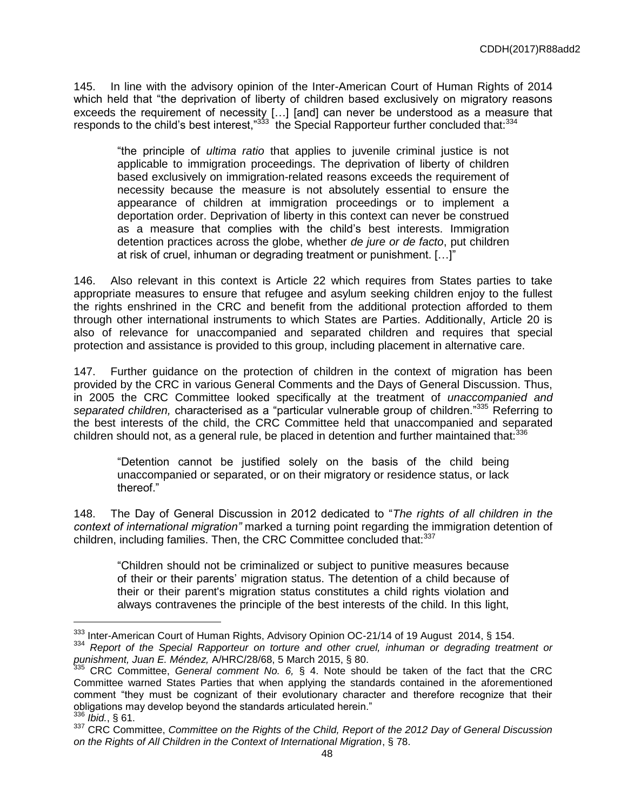145. In line with the advisory opinion of the Inter-American Court of Human Rights of 2014 which held that "the deprivation of liberty of children based exclusively on migratory reasons exceeds the requirement of necessity […] [and] can never be understood as a measure that responds to the child's best interest,"<sup>333</sup> the Special Rapporteur further concluded that:<sup>334</sup>

"the principle of *ultima ratio* that applies to juvenile criminal justice is not applicable to immigration proceedings. The deprivation of liberty of children based exclusively on immigration-related reasons exceeds the requirement of necessity because the measure is not absolutely essential to ensure the appearance of children at immigration proceedings or to implement a deportation order. Deprivation of liberty in this context can never be construed as a measure that complies with the child's best interests. Immigration detention practices across the globe, whether *de jure or de facto*, put children at risk of cruel, inhuman or degrading treatment or punishment. […]"

146. Also relevant in this context is Article 22 which requires from States parties to take appropriate measures to ensure that refugee and asylum seeking children enjoy to the fullest the rights enshrined in the CRC and benefit from the additional protection afforded to them through other international instruments to which States are Parties. Additionally, Article 20 is also of relevance for unaccompanied and separated children and requires that special protection and assistance is provided to this group, including placement in alternative care.

147. Further guidance on the protection of children in the context of migration has been provided by the CRC in various General Comments and the Days of General Discussion. Thus, in 2005 the CRC Committee looked specifically at the treatment of *unaccompanied and*  separated children, characterised as a "particular vulnerable group of children.<sup>335</sup> Referring to the best interests of the child, the CRC Committee held that unaccompanied and separated children should not, as a general rule, be placed in detention and further maintained that:<sup>336</sup>

"Detention cannot be justified solely on the basis of the child being unaccompanied or separated, or on their migratory or residence status, or lack thereof."

148. The Day of General Discussion in 2012 dedicated to "*The rights of all children in the context of international migrationˮ* marked a turning point regarding the immigration detention of children, including families. Then, the CRC Committee concluded that:<sup>337</sup>

"Children should not be criminalized or subject to punitive measures because of their or their parents' migration status. The detention of a child because of their or their parent's migration status constitutes a child rights violation and always contravenes the principle of the best interests of the child. In this light,

<sup>333</sup> Inter-American Court of Human Rights, Advisory Opinion OC-21/14 of 19 August 2014, § 154.

<sup>334</sup> *Report of the Special Rapporteur on torture and other cruel, inhuman or degrading treatment or punishment, Juan E. Méndez,* A/HRC/28/68, 5 March 2015, § 80.

<sup>335</sup> CRC Committee, *General comment No. 6,* § 4. Note should be taken of the fact that the CRC Committee warned States Parties that when applying the standards contained in the aforementioned comment "they must be cognizant of their evolutionary character and therefore recognize that their obligations may develop beyond the standards articulated herein."

<sup>336</sup> *Ibid.*, § 61.

<sup>337</sup> CRC Committee, *Committee on the Rights of the Child, Report of the 2012 Day of General Discussion on the Rights of All Children in the Context of International Migration*, § 78.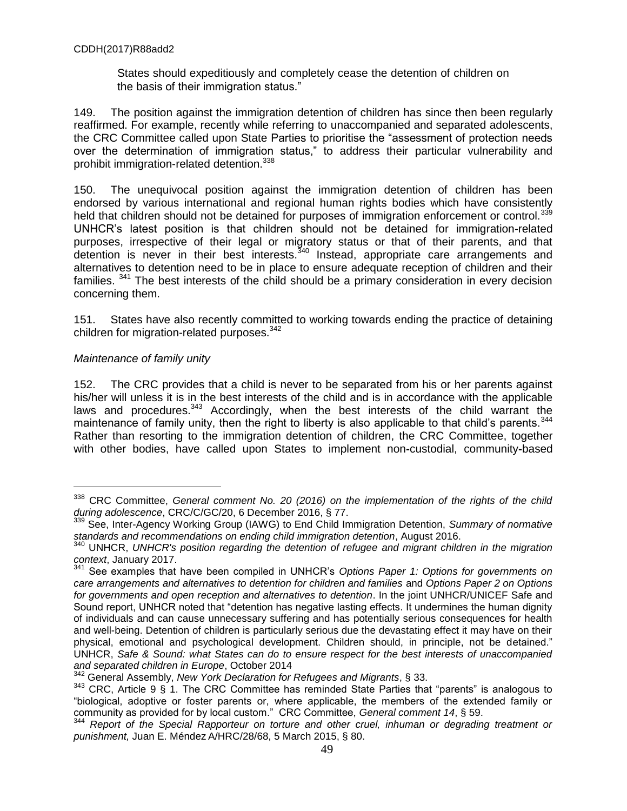States should expeditiously and completely cease the detention of children on the basis of their immigration status."

149. The position against the immigration detention of children has since then been regularly reaffirmed. For example, recently while referring to unaccompanied and separated adolescents, the CRC Committee called upon State Parties to prioritise the "assessment of protection needs over the determination of immigration status," to address their particular vulnerability and prohibit immigration-related detention.<sup>338</sup>

150. The unequivocal position against the immigration detention of children has been endorsed by various international and regional human rights bodies which have consistently held that children should not be detained for purposes of immigration enforcement or control.<sup>339</sup> UNHCR's latest position is that children should not be detained for immigration-related purposes, irrespective of their legal or migratory status or that of their parents, and that detention is never in their best interests.<sup>340</sup> Instead, appropriate care arrangements and alternatives to detention need to be in place to ensure adequate reception of children and their families. <sup>341</sup> The best interests of the child should be a primary consideration in every decision concerning them.

151. States have also recently committed to working towards ending the practice of detaining children for migration-related purposes.<sup>342</sup>

### *Maintenance of family unity*

 $\overline{a}$ 

152. The CRC provides that a child is never to be separated from his or her parents against his/her will unless it is in the best interests of the child and is in accordance with the applicable laws and procedures. $343$  Accordingly, when the best interests of the child warrant the maintenance of family unity, then the right to liberty is also applicable to that child's parents.<sup>344</sup> Rather than resorting to the immigration detention of children, the CRC Committee, together with other bodies, have called upon States to implement non**-**custodial, community**-**based

<sup>338</sup> CRC Committee, *General comment No. 20 (2016) on the implementation of the rights of the child during adolescence*, CRC/C/GC/20, 6 December 2016, § 77.

<sup>339</sup> See, Inter-Agency Working Group (IAWG) to End Child Immigration Detention, *Summary of normative standards and recommendations on ending child immigration detention*, August 2016.

<sup>340</sup> UNHCR, *UNHCR's position regarding the detention of refugee and migrant children in the migration context*, January 2017.

<sup>341</sup> See examples that have been compiled in UNHCR's *Options Paper 1: Options for governments on care arrangements and alternatives to detention for children and families* and *Options Paper 2 on Options for governments and open reception and alternatives to detention*. In the joint UNHCR/UNICEF Safe and Sound report, UNHCR noted that "detention has negative lasting effects. It undermines the human dignity of individuals and can cause unnecessary suffering and has potentially serious consequences for health and well-being. Detention of children is particularly serious due the devastating effect it may have on their physical, emotional and psychological development. Children should, in principle, not be detained." UNHCR, *Safe & Sound: what States can do to ensure respect for the best interests of unaccompanied and separated children in Europe*, October 2014

<sup>342</sup> General Assembly, *New York Declaration for Refugees and Migrants*, § 33.

<sup>&</sup>lt;sup>343</sup> CRC, Article 9 § 1. The CRC Committee has reminded State Parties that "parents" is analogous to "biological, adoptive or foster parents or, where applicable, the members of the extended family or community as provided for by local custom." CRC Committee, *General comment 14*, § 59.

<sup>344</sup> *Report of the Special Rapporteur on torture and other cruel, inhuman or degrading treatment or punishment,* Juan E. Méndez A/HRC/28/68, 5 March 2015, § 80.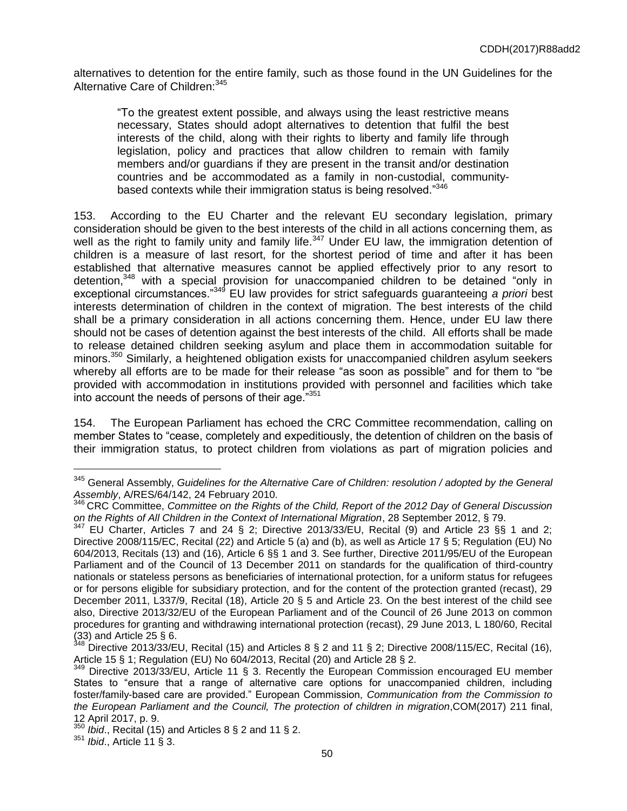alternatives to detention for the entire family, such as those found in the UN Guidelines for the Alternative Care of Children: 345

"To the greatest extent possible, and always using the least restrictive means necessary, States should adopt alternatives to detention that fulfil the best interests of the child, along with their rights to liberty and family life through legislation, policy and practices that allow children to remain with family members and/or guardians if they are present in the transit and/or destination countries and be accommodated as a family in non-custodial, communitybased contexts while their immigration status is being resolved."<sup>346</sup>

153. According to the EU Charter and the relevant EU secondary legislation, primary consideration should be given to the best interests of the child in all actions concerning them, as well as the right to family unity and family life.<sup>347</sup> Under EU law, the immigration detention of children is a measure of last resort, for the shortest period of time and after it has been established that alternative measures cannot be applied effectively prior to any resort to detention,<sup>348</sup> with a special provision for unaccompanied children to be detained "only in exceptional circumstances."<sup>349</sup> EU law provides for strict safeguards guaranteeing *a priori* best interests determination of children in the context of migration. The best interests of the child shall be a primary consideration in all actions concerning them. Hence, under EU law there should not be cases of detention against the best interests of the child. All efforts shall be made to release detained children seeking asylum and place them in accommodation suitable for minors.<sup>350</sup> Similarly, a heightened obligation exists for unaccompanied children asylum seekers whereby all efforts are to be made for their release "as soon as possible" and for them to "be provided with accommodation in institutions provided with personnel and facilities which take into account the needs of persons of their age. $1351$ 

154. The European Parliament has echoed the CRC Committee recommendation, calling on member States to "cease, completely and expeditiously, the detention of children on the basis of their immigration status, to protect children from violations as part of migration policies and

<sup>345</sup> General Assembly, *Guidelines for the Alternative Care of Children: resolution / adopted by the General Assembly*, A/RES/64/142, 24 February 2010.

<sup>346</sup> CRC Committee, *Committee on the Rights of the Child, Report of the 2012 Day of General Discussion on the Rights of All Children in the Context of International Migration*, 28 September 2012, § 79.

 $347$  EU Charter, Articles 7 and 24 § 2; Directive 2013/33/EU, Recital (9) and Article 23 §§ 1 and 2; Directive 2008/115/EC, Recital (22) and Article 5 (a) and (b), as well as Article 17 § 5; Regulation (EU) No 604/2013, Recitals (13) and (16), Article 6 §§ 1 and 3. See further, Directive 2011/95/EU of the European Parliament and of the Council of 13 December 2011 on standards for the qualification of third-country nationals or stateless persons as beneficiaries of international protection, for a uniform status for refugees or for persons eligible for subsidiary protection, and for the content of the protection granted (recast), 29 December 2011, L337/9, Recital (18), Article 20 § 5 and Article 23. On the best interest of the child see also, Directive 2013/32/EU of the European Parliament and of the Council of 26 June 2013 on common procedures for granting and withdrawing international protection (recast), 29 June 2013, L 180/60, Recital  $(33)$  and Article 25 § 6.<br> $348$  Directive 2013/23/E

Directive 2013/33/EU, Recital (15) and Articles 8 § 2 and 11 § 2; Directive 2008/115/EC, Recital (16), Article 15 § 1; Regulation (EU) No 604/2013, Recital (20) and Article 28 § 2.

<sup>349</sup> Directive 2013/33/EU, Article 11 § 3. Recently the European Commission encouraged EU member States to "ensure that a range of alternative care options for unaccompanied children, including foster/family-based care are provided.ˮ European Commission, *Communication from the Commission to the European Parliament and the Council, The protection of children in migration*,COM(2017) 211 final, 12 April 2017, p. 9.

*Ibid.*, Recital (15) and Articles 8 § 2 and 11 § 2.

<sup>351</sup> *Ibid*., Article 11 § 3.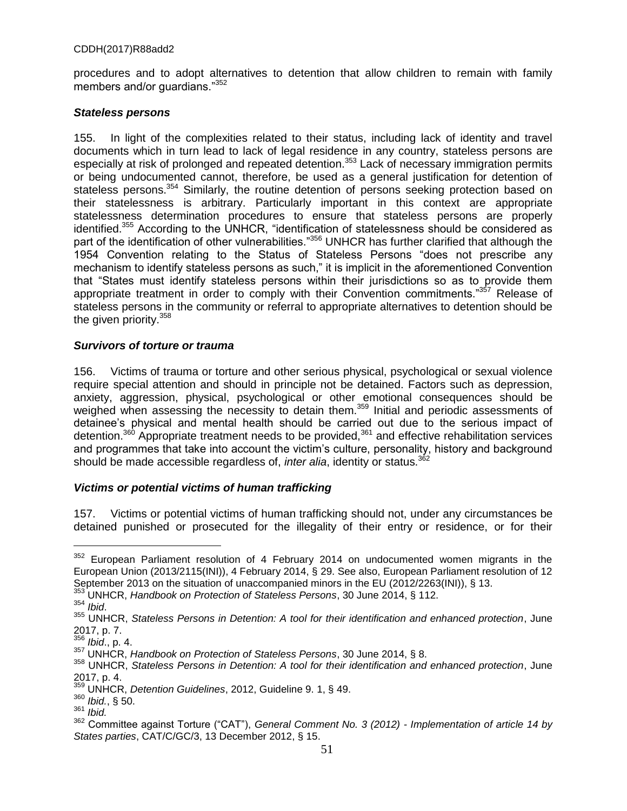procedures and to adopt alternatives to detention that allow children to remain with family members and/or guardians."<sup>352</sup>

### *Stateless persons*

155. In light of the complexities related to their status, including lack of identity and travel documents which in turn lead to lack of legal residence in any country, stateless persons are especially at risk of prolonged and repeated detention.<sup>353</sup> Lack of necessary immigration permits or being undocumented cannot, therefore, be used as a general justification for detention of stateless persons.<sup>354</sup> Similarly, the routine detention of persons seeking protection based on their statelessness is arbitrary. Particularly important in this context are appropriate statelessness determination procedures to ensure that stateless persons are properly identified.<sup>355</sup> According to the UNHCR, "identification of statelessness should be considered as part of the identification of other vulnerabilities."356 UNHCR has further clarified that although the 1954 Convention relating to the Status of Stateless Persons "does not prescribe any mechanism to identify stateless persons as such," it is implicit in the aforementioned Convention that "States must identify stateless persons within their jurisdictions so as to provide them appropriate treatment in order to comply with their Convention commitments."<sup>357</sup> Release of stateless persons in the community or referral to appropriate alternatives to detention should be the given priority.<sup>358</sup>

### *Survivors of torture or trauma*

156. Victims of trauma or torture and other serious physical, psychological or sexual violence require special attention and should in principle not be detained. Factors such as depression, anxiety, aggression, physical, psychological or other emotional consequences should be weighed when assessing the necessity to detain them.<sup>359</sup> Initial and periodic assessments of detainee's physical and mental health should be carried out due to the serious impact of detention.<sup>360</sup> Appropriate treatment needs to be provided,<sup>361</sup> and effective rehabilitation services and programmes that take into account the victim's culture, personality, history and background should be made accessible regardless of, *inter alia*, identity or status.<sup>36</sup>

# *Victims or potential victims of human trafficking*

157. Victims or potential victims of human trafficking should not, under any circumstances be detained punished or prosecuted for the illegality of their entry or residence, or for their

<sup>353</sup> UNHCR, *Handbook on Protection of Stateless Persons*, 30 June 2014, § 112.

<sup>&</sup>lt;sup>352</sup> European Parliament resolution of 4 February 2014 on undocumented women migrants in the European Union (2013/2115(INI)), 4 February 2014, § 29. See also, European Parliament resolution of 12 September 2013 on the situation of unaccompanied minors in the EU (2012/2263(INI)), § 13.

<sup>354</sup> *Ibid*.

<sup>355</sup> UNHCR, *Stateless Persons in Detention: A tool for their identification and enhanced protection*, June 2017, p. 7.

<sup>356</sup> *Ibid*., p. 4.

<sup>357</sup> UNHCR, *Handbook on Protection of Stateless Persons*, 30 June 2014, § 8.

<sup>358</sup> UNHCR, *Stateless Persons in Detention: A tool for their identification and enhanced protection*, June  $2017, p. 4.$ <sup>359</sup>

<sup>359</sup> UNHCR, *Detention Guidelines*, 2012, Guideline 9. 1, § 49.

<sup>360</sup> *Ibid.*, § 50.

<sup>361</sup> *Ibid.*

<sup>362</sup> Committee against Torture ("CATˮ), *General Comment No. 3 (2012) - Implementation of article 14 by States parties*, CAT/C/GC/3, 13 December 2012, § 15.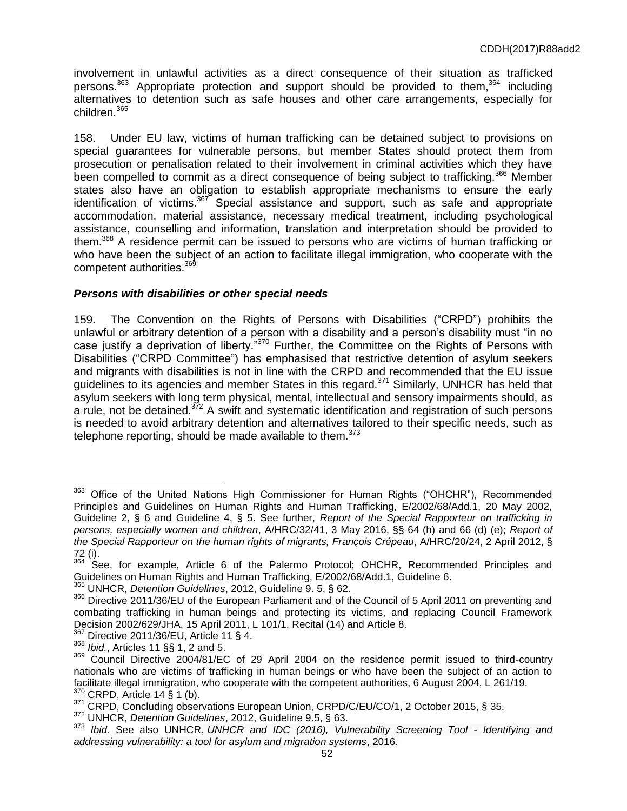involvement in unlawful activities as a direct consequence of their situation as trafficked persons. $363$  Appropriate protection and support should be provided to them,  $364$  including alternatives to detention such as safe houses and other care arrangements, especially for children.<sup>365</sup>

158. Under EU law, victims of human trafficking can be detained subject to provisions on special guarantees for vulnerable persons, but member States should protect them from prosecution or penalisation related to their involvement in criminal activities which they have been compelled to commit as a direct consequence of being subject to trafficking.<sup>366</sup> Member states also have an obligation to establish appropriate mechanisms to ensure the early identification of victims.<sup>367</sup> Special assistance and support, such as safe and appropriate accommodation, material assistance, necessary medical treatment, including psychological assistance, counselling and information, translation and interpretation should be provided to them.<sup>368</sup> A residence permit can be issued to persons who are victims of human trafficking or who have been the subject of an action to facilitate illegal immigration, who cooperate with the competent authorities.<sup>369</sup>

### *Persons with disabilities or other special needs*

159. The Convention on the Rights of Persons with Disabilities ("CRPD") prohibits the unlawful or arbitrary detention of a person with a disability and a person's disability must "in no case justify a deprivation of liberty."<sup>370</sup> Further, the Committee on the Rights of Persons with Disabilities ("CRPD Committee") has emphasised that restrictive detention of asylum seekers and migrants with disabilities is not in line with the CRPD and recommended that the EU issue guidelines to its agencies and member States in this regard.<sup>371</sup> Similarly, UNHCR has held that asylum seekers with long term physical, mental, intellectual and sensory impairments should, as a rule, not be detained. $372$  A swift and systematic identification and registration of such persons is needed to avoid arbitrary detention and alternatives tailored to their specific needs, such as telephone reporting, should be made available to them. $373$ 

<sup>&</sup>lt;sup>363</sup> Office of the United Nations High Commissioner for Human Rights ("OHCHR"), Recommended Principles and Guidelines on Human Rights and Human Trafficking, E/2002/68/Add.1, 20 May 2002, Guideline 2, § 6 and Guideline 4, § 5. See further, *Report of the Special Rapporteur on trafficking in persons, especially women and children*, A/HRC/32/41, 3 May 2016, §§ 64 (h) and 66 (d) (e); *Report of the Special Rapporteur on the human rights of migrants, François Crépeau*, A/HRC/20/24, 2 April 2012, § 72 (i).

<sup>364</sup> See, for example, Article 6 of the Palermo Protocol; OHCHR, Recommended Principles and Guidelines on Human Rights and Human Trafficking, E/2002/68/Add.1, Guideline 6.

<sup>365</sup> UNHCR, *Detention Guidelines*, 2012, Guideline 9. 5, § 62.

<sup>366</sup> Directive 2011/36/EU of the European Parliament and of the Council of 5 April 2011 on preventing and combating trafficking in human beings and protecting its victims, and replacing Council Framework Decision 2002/629/JHA, 15 April 2011, L 101/1, Recital (14) and Article 8.

<sup>367</sup> Directive 2011/36/EU, Article 11 § 4.

<sup>368</sup> *Ibid.*, Articles 11 §§ 1, 2 and 5.

<sup>&</sup>lt;sup>369</sup> Council Directive 2004/81/EC of 29 April 2004 on the residence permit issued to third-country nationals who are victims of trafficking in human beings or who have been the subject of an action to facilitate illegal immigration, who cooperate with the competent authorities, 6 August 2004, L 261/19.  $370$  CRPD, Article 14 § 1 (b).

<sup>371</sup> CRPD, Concluding observations European Union, CRPD/C/EU/CO/1, 2 October 2015, § 35.

<sup>372</sup> UNHCR, *Detention Guidelines*, 2012, Guideline 9.5, § 63.

<sup>373</sup> *Ibid.* See also UNHCR, *UNHCR and IDC (2016), Vulnerability Screening Tool - Identifying and addressing vulnerability: a tool for asylum and migration systems*, 2016.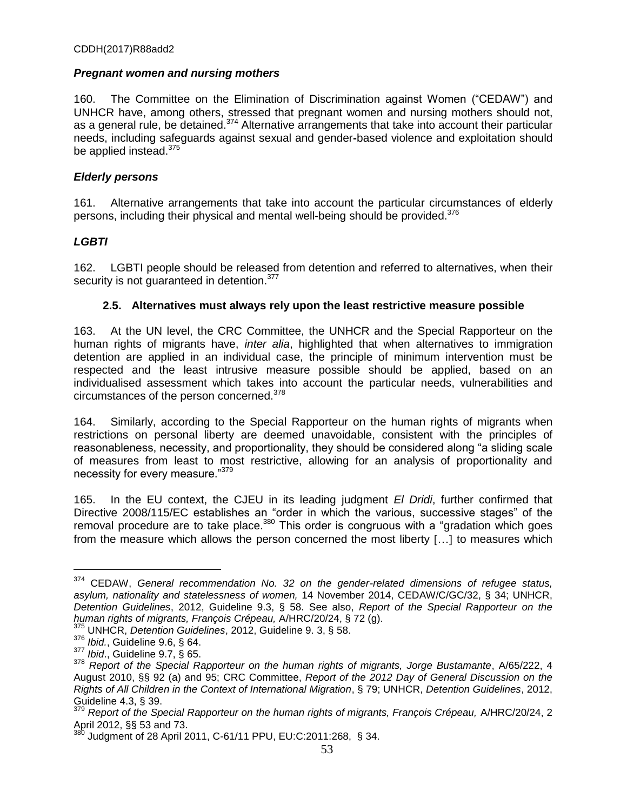# *Pregnant women and nursing mothers*

160. The Committee on the Elimination of Discrimination against Women ("CEDAW") and UNHCR have, among others, stressed that pregnant women and nursing mothers should not, as a general rule, be detained.<sup>374</sup> Alternative arrangements that take into account their particular needs, including safeguards against sexual and gender**-**based violence and exploitation should be applied instead.<sup>375</sup>

# *Elderly persons*

161. Alternative arrangements that take into account the particular circumstances of elderly persons, including their physical and mental well-being should be provided.<sup>376</sup>

# *LGBTI*

162. LGBTI people should be released from detention and referred to alternatives, when their security is not guaranteed in detention.<sup>377</sup>

# **2.5. Alternatives must always rely upon the least restrictive measure possible**

163. At the UN level, the CRC Committee, the UNHCR and the Special Rapporteur on the human rights of migrants have, *inter alia*, highlighted that when alternatives to immigration detention are applied in an individual case, the principle of minimum intervention must be respected and the least intrusive measure possible should be applied, based on an individualised assessment which takes into account the particular needs, vulnerabilities and circumstances of the person concerned.<sup>378</sup>

164. Similarly, according to the Special Rapporteur on the human rights of migrants when restrictions on personal liberty are deemed unavoidable, consistent with the principles of reasonableness, necessity, and proportionality, they should be considered along "a sliding scale of measures from least to most restrictive, allowing for an analysis of proportionality and necessity for every measure."<sup>379</sup>

165. In the EU context, the CJEU in its leading judgment *El Dridi*, further confirmed that Directive 2008/115/EC establishes an "order in which the various, successive stages" of the removal procedure are to take place.<sup>380</sup> This order is congruous with a "gradation which goes from the measure which allows the person concerned the most liberty [...] to measures which

<sup>374</sup> CEDAW, *General recommendation No. 32 on the gender-related dimensions of refugee status, asylum, nationality and statelessness of women,* 14 November 2014, CEDAW/C/GC/32, § 34; UNHCR, *Detention Guidelines*, 2012, Guideline 9.3, § 58. See also, *Report of the Special Rapporteur on the human rights of migrants, François Crépeau,* A/HRC/20/24, § 72 (g).

<sup>375</sup> UNHCR, *Detention Guidelines*, 2012, Guideline 9. 3, § 58.

<sup>376</sup> *Ibid.*, Guideline 9.6, § 64.

<sup>377</sup> *Ibid*., Guideline 9.7, § 65.

<sup>378</sup> *Report of the Special Rapporteur on the human rights of migrants, Jorge Bustamante*, A/65/222, 4 August 2010, §§ 92 (a) and 95; CRC Committee, *Report of the 2012 Day of General Discussion on the Rights of All Children in the Context of International Migration*, § 79; UNHCR, *Detention Guidelines*, 2012, Guideline 4.3, § 39.

<sup>379</sup> *Report of the Special Rapporteur on the human rights of migrants, François Crépeau,* A/HRC/20/24, 2 April 2012, §§ 53 and 73.

<sup>380</sup> Judgment of 28 April 2011, C-61/11 PPU, EU:C:2011:268, § 34.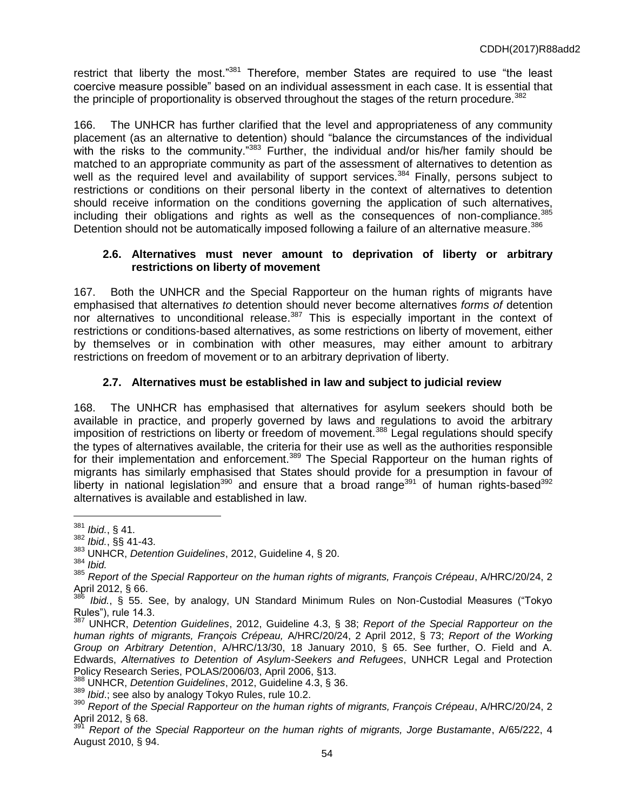restrict that liberty the most."<sup>381</sup> Therefore, member States are required to use "the least coercive measure possible" based on an individual assessment in each case. It is essential that the principle of proportionality is observed throughout the stages of the return procedure.<sup>382</sup>

166. The UNHCR has further clarified that the level and appropriateness of any community placement (as an alternative to detention) should "balance the circumstances of the individual with the risks to the community."<sup>383</sup> Further, the individual and/or his/her family should be matched to an appropriate community as part of the assessment of alternatives to detention as well as the required level and availability of support services.<sup>384</sup> Finally, persons subject to restrictions or conditions on their personal liberty in the context of alternatives to detention should receive information on the conditions governing the application of such alternatives, including their obligations and rights as well as the consequences of non-compliance.<sup>385</sup> Detention should not be automatically imposed following a failure of an alternative measure.<sup>386</sup>

### **2.6. Alternatives must never amount to deprivation of liberty or arbitrary restrictions on liberty of movement**

167. Both the UNHCR and the Special Rapporteur on the human rights of migrants have emphasised that alternatives *to* detention should never become alternatives *forms of* detention nor alternatives to unconditional release.<sup>387</sup> This is especially important in the context of restrictions or conditions-based alternatives, as some restrictions on liberty of movement, either by themselves or in combination with other measures, may either amount to arbitrary restrictions on freedom of movement or to an arbitrary deprivation of liberty.

# **2.7. Alternatives must be established in law and subject to judicial review**

168. The UNHCR has emphasised that alternatives for asylum seekers should both be available in practice, and properly governed by laws and regulations to avoid the arbitrary imposition of restrictions on liberty or freedom of movement.<sup>388</sup> Legal regulations should specify the types of alternatives available, the criteria for their use as well as the authorities responsible for their implementation and enforcement.<sup>389</sup> The Special Rapporteur on the human rights of migrants has similarly emphasised that States should provide for a presumption in favour of liberty in national legislation<sup>390</sup> and ensure that a broad range<sup>391</sup> of human rights-based<sup>392</sup> alternatives is available and established in law.

<sup>381</sup> *Ibid.*, § 41.

<sup>382</sup> *Ibid.*, §§ 41-43.

<sup>383</sup> UNHCR, *Detention Guidelines*, 2012, Guideline 4, § 20.

<sup>384</sup> *Ibid.*

<sup>385</sup> *Report of the Special Rapporteur on the human rights of migrants, François Crépeau*, A/HRC/20/24, 2 April 2012, § 66.

Ibid., § 55. See, by analogy, UN Standard Minimum Rules on Non-Custodial Measures ("Tokyo Rules"), rule 14.3.

<sup>387</sup> UNHCR, *Detention Guidelines*, 2012, Guideline 4.3, § 38; *Report of the Special Rapporteur on the human rights of migrants, François Crépeau,* A/HRC/20/24, 2 April 2012, § 73; *Report of the Working Group on Arbitrary Detention*, A/HRC/13/30, 18 January 2010, § 65. See further, O. Field and A. Edwards, *Alternatives to Detention of Asylum-Seekers and Refugees*, UNHCR Legal and Protection Policy Research Series, POLAS/2006/03, April 2006, §13.

<sup>388</sup> UNHCR, *Detention Guidelines*, 2012, Guideline 4.3, § 36.

<sup>389</sup> *Ibid*.; see also by analogy Tokyo Rules, rule 10.2.

<sup>390</sup> *Report of the Special Rapporteur on the human rights of migrants, François Crépeau*, A/HRC/20/24, 2 April 2012,  $\frac{8}{9}$  68.

<sup>391</sup> *Report of the Special Rapporteur on the human rights of migrants, Jorge Bustamante*, A/65/222, 4 August 2010, § 94.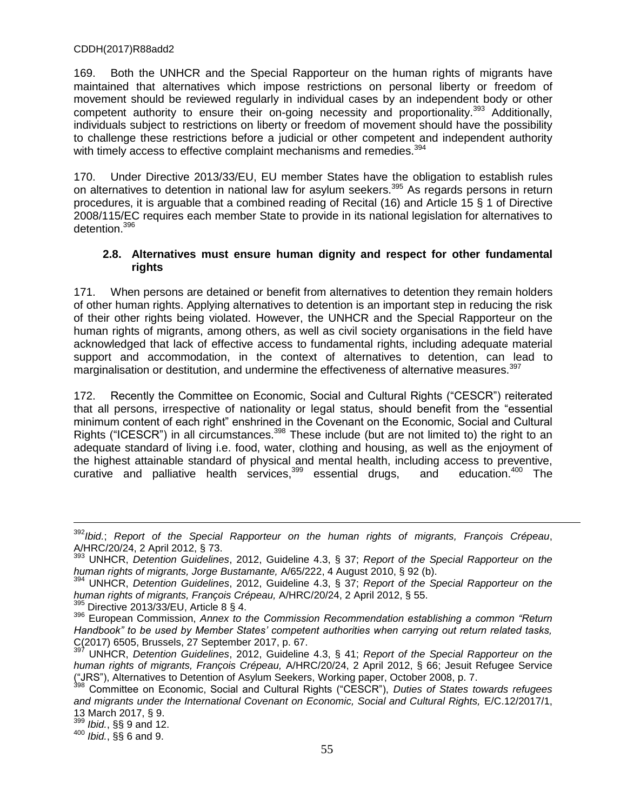169. Both the UNHCR and the Special Rapporteur on the human rights of migrants have maintained that alternatives which impose restrictions on personal liberty or freedom of movement should be reviewed regularly in individual cases by an independent body or other competent authority to ensure their on-going necessity and proportionality.<sup>393</sup> Additionally, individuals subject to restrictions on liberty or freedom of movement should have the possibility to challenge these restrictions before a judicial or other competent and independent authority with timely access to effective complaint mechanisms and remedies.<sup>394</sup>

170. Under Directive 2013/33/EU, EU member States have the obligation to establish rules on alternatives to detention in national law for asylum seekers.<sup>395</sup> As regards persons in return procedures, it is arguable that a combined reading of Recital (16) and Article 15 § 1 of Directive 2008/115/EC requires each member State to provide in its national legislation for alternatives to detention.<sup>396</sup>

### **2.8. Alternatives must ensure human dignity and respect for other fundamental rights**

171. When persons are detained or benefit from alternatives to detention they remain holders of other human rights. Applying alternatives to detention is an important step in reducing the risk of their other rights being violated. However, the UNHCR and the Special Rapporteur on the human rights of migrants, among others, as well as civil society organisations in the field have acknowledged that lack of effective access to fundamental rights, including adequate material support and accommodation, in the context of alternatives to detention, can lead to marginalisation or destitution, and undermine the effectiveness of alternative measures.<sup>397</sup>

172. Recently the Committee on Economic, Social and Cultural Rights ("CESCR") reiterated that all persons, irrespective of nationality or legal status, should benefit from the "essential minimum content of each right" enshrined in the Covenant on the Economic, Social and Cultural Rights ("ICESCR") in all circumstances.<sup>398</sup> These include (but are not limited to) the right to an adequate standard of living i.e. food, water, clothing and housing, as well as the enjoyment of the highest attainable standard of physical and mental health, including access to preventive,<br>curative and palliative health services.<sup>399</sup> essential drugs. and education.<sup>400</sup> The curative and palliative health services,<sup>399</sup> essential drugs, and

<sup>399</sup> *Ibid.*, §§ 9 and 12.

 $\overline{a}$ 

<sup>400</sup> *Ibid.*, §§ 6 and 9.

<sup>392</sup>*Ibid.*; *Report of the Special Rapporteur on the human rights of migrants, François Crépeau*, A/HRC/20/24, 2 April 2012, § 73.

<sup>393</sup> UNHCR, *Detention Guidelines*, 2012, Guideline 4.3, § 37; *Report of the Special Rapporteur on the human rights of migrants, Jorge Bustamante,* A/65/222, 4 August 2010, § 92 (b).

<sup>394</sup> UNHCR, *Detention Guidelines*, 2012, Guideline 4.3, § 37; *Report of the Special Rapporteur on the human rights of migrants, François Crépeau,* A/HRC/20/24, 2 April 2012, § 55.

 $395$  Directive 2013/33/EU, Article 8 § 4.

<sup>396</sup> European Commission, *Annex to the Commission Recommendation establishing a common "Return Handbook" to be used by Member States' competent authorities when carrying out return related tasks,*  C(2017) 6505, Brussels, 27 September 2017, p. 67.

<sup>397</sup> UNHCR, *Detention Guidelines*, 2012, Guideline 4.3, § 41; *Report of the Special Rapporteur on the human rights of migrants, François Crépeau,* A/HRC/20/24, 2 April 2012, § 66; Jesuit Refugee Service ("JRS"), Alternatives to Detention of Asylum Seekers, Working paper, October 2008, p. 7.

<sup>398</sup> Committee on Economic, Social and Cultural Rights ("CESCRˮ), *Duties of States towards refugees and migrants under the International Covenant on Economic, Social and Cultural Rights,* E/C.12/2017/1, 13 March 2017, § 9.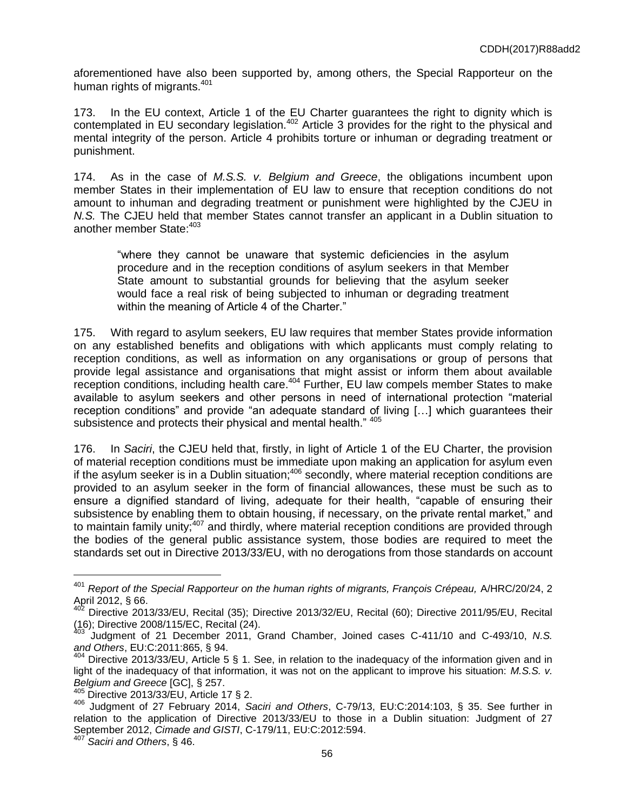aforementioned have also been supported by, among others, the Special Rapporteur on the human rights of migrants.<sup>401</sup>

173. In the EU context, Article 1 of the EU Charter guarantees the right to dignity which is contemplated in EU secondary legislation.<sup>402</sup> Article 3 provides for the right to the physical and mental integrity of the person. Article 4 prohibits torture or inhuman or degrading treatment or punishment.

174. As in the case of *M.S.S. v. Belgium and Greece*, the obligations incumbent upon member States in their implementation of EU law to ensure that reception conditions do not amount to inhuman and degrading treatment or punishment were highlighted by the CJEU in *N.S.* The CJEU held that member States cannot transfer an applicant in a Dublin situation to another member State: 403

"where they cannot be unaware that systemic deficiencies in the asylum procedure and in the reception conditions of asylum seekers in that Member State amount to substantial grounds for believing that the asylum seeker would face a real risk of being subjected to inhuman or degrading treatment within the meaning of Article 4 of the Charter."

175. With regard to asylum seekers, EU law requires that member States provide information on any established benefits and obligations with which applicants must comply relating to reception conditions, as well as information on any organisations or group of persons that provide legal assistance and organisations that might assist or inform them about available reception conditions, including health care.<sup>404</sup> Further, EU law compels member States to make available to asylum seekers and other persons in need of international protection "material reception conditions" and provide "an adequate standard of living [...] which quarantees their subsistence and protects their physical and mental health." 405

176. In *Saciri*, the CJEU held that, firstly, in light of Article 1 of the EU Charter, the provision of material reception conditions must be immediate upon making an application for asylum even if the asylum seeker is in a Dublin situation;<sup>406</sup> secondly, where material reception conditions are provided to an asylum seeker in the form of financial allowances, these must be such as to ensure a dignified standard of living, adequate for their health, "capable of ensuring their subsistence by enabling them to obtain housing, if necessary, on the private rental market," and to maintain family unity;<sup>407</sup> and thirdly, where material reception conditions are provided through the bodies of the general public assistance system, those bodies are required to meet the standards set out in Directive 2013/33/EU, with no derogations from those standards on account

<sup>401</sup> *Report of the Special Rapporteur on the human rights of migrants, François Crépeau,* A/HRC/20/24, 2 April 2012, § 66.

<sup>402</sup> Directive 2013/33/EU, Recital (35); Directive 2013/32/EU, Recital (60); Directive 2011/95/EU, Recital (16); Directive 2008/115/EC, Recital (24).<br><sup>403</sup> ludament of City T

<sup>403</sup> Judgment of 21 December 2011, Grand Chamber, Joined cases C-411/10 and C-493/10, *N.S. and Others*, EU:C:2011:865, § 94.

 $404$  Directive 2013/33/EU, Article 5 § 1. See, in relation to the inadequacy of the information given and in light of the inadequacy of that information, it was not on the applicant to improve his situation: *M.S.S. v. Belgium and Greece* [GC], § 257.

 $405$  Directive 2013/33/EU, Article 17 § 2.

<sup>406</sup> Judgment of 27 February 2014, *Saciri and Others*, C-79/13, EU:C:2014:103, § 35. See further in relation to the application of Directive 2013/33/EU to those in a Dublin situation: Judgment of 27 September 2012, *Cimade and GISTI*, C-179/11, EU:C:2012:594.

<sup>407</sup> *Saciri and Others*, § 46.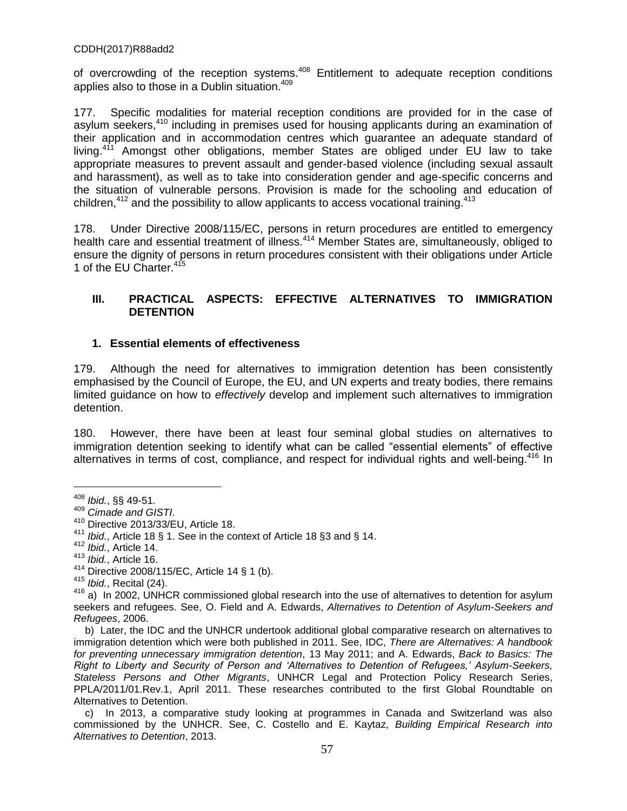of overcrowding of the reception systems.<sup>408</sup> Entitlement to adequate reception conditions applies also to those in a Dublin situation.<sup>409</sup>

177. Specific modalities for material reception conditions are provided for in the case of asylum seekers,<sup>410</sup> including in premises used for housing applicants during an examination of their application and in accommodation centres which guarantee an adequate standard of living.<sup>411</sup> Amongst other obligations, member States are obliged under EU law to take appropriate measures to prevent assault and gender-based violence (including sexual assault and harassment), as well as to take into consideration gender and age-specific concerns and the situation of vulnerable persons. Provision is made for the schooling and education of children, $412$  and the possibility to allow applicants to access vocational training.  $413$ 

178. Under Directive 2008/115/EC, persons in return procedures are entitled to emergency health care and essential treatment of illness.<sup>414</sup> Member States are, simultaneously, obliged to ensure the dignity of persons in return procedures consistent with their obligations under Article 1 of the EU Charter.<sup>415</sup>

# **III. PRACTICAL ASPECTS: EFFECTIVE ALTERNATIVES TO IMMIGRATION DETENTION**

# **1. Essential elements of effectiveness**

179. Although the need for alternatives to immigration detention has been consistently emphasised by the Council of Europe, the EU, and UN experts and treaty bodies, there remains limited guidance on how to *effectively* develop and implement such alternatives to immigration detention.

180. However, there have been at least four seminal global studies on alternatives to immigration detention seeking to identify what can be called "essential elements" of effective alternatives in terms of cost, compliance, and respect for individual rights and well-being.<sup>416</sup> In

<sup>408</sup> *Ibid.*, §§ 49-51.

<sup>409</sup> *Cimade and GISTI*.

<sup>&</sup>lt;sup>410</sup> Directive 2013/33/EU, Article 18.<br><sup>411</sup> Ibid. Article 18.8.1. See in the sea

<sup>&</sup>lt;sup>411</sup> *Ibid.*, Article 18 § 1. See in the context of Article 18 § 3 and § 14.<br><sup>412</sup> Ibid. Article 14.

Ibid., Article 14.

<sup>413</sup> *Ibid.*, Article 16.

<sup>414</sup> Directive 2008/115/EC, Article 14 § 1 (b).

<sup>415</sup> *Ibid.*, Recital (24).

<sup>416</sup> a) In 2002, UNHCR commissioned global research into the use of alternatives to detention for asylum seekers and refugees. See, O. Field and A. Edwards, *Alternatives to Detention of Asylum-Seekers and Refugees*, 2006.

b) Later, the IDC and the UNHCR undertook additional global comparative research on alternatives to immigration detention which were both published in 2011. See, IDC, *There are Alternatives: A handbook for preventing unnecessary immigration detention*, 13 May 2011; and A. Edwards, *Back to Basics: The Right to Liberty and Security of Person and 'Alternatives to Detention of Refugees,' Asylum-Seekers, Stateless Persons and Other Migrants*, UNHCR Legal and Protection Policy Research Series, PPLA/2011/01.Rev.1, April 2011. These researches contributed to the first Global Roundtable on Alternatives to Detention.

c) In 2013, a comparative study looking at programmes in Canada and Switzerland was also commissioned by the UNHCR. See, C. Costello and E. Kaytaz, *Building Empirical Research into Alternatives to Detention*, 2013.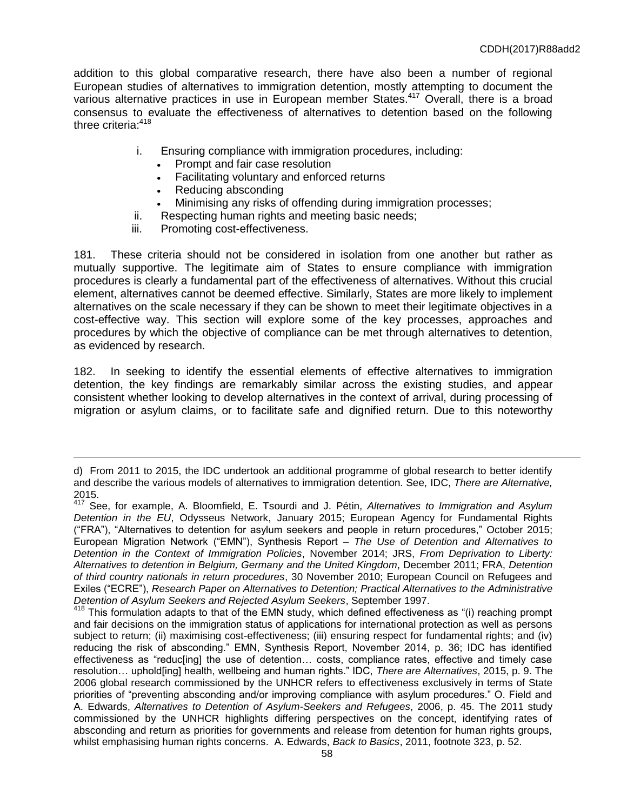addition to this global comparative research, there have also been a number of regional European studies of alternatives to immigration detention, mostly attempting to document the various alternative practices in use in European member States.<sup>417</sup> Overall, there is a broad consensus to evaluate the effectiveness of alternatives to detention based on the following three criteria:<sup>418</sup>

- i. Ensuring compliance with immigration procedures, including:
	- Prompt and fair case resolution
	- Facilitating voluntary and enforced returns
	- Reducing absconding
	- Minimising any risks of offending during immigration processes;
- ii. Respecting human rights and meeting basic needs;
- iii. Promoting cost-effectiveness.

 $\overline{a}$ 

181. These criteria should not be considered in isolation from one another but rather as mutually supportive. The legitimate aim of States to ensure compliance with immigration procedures is clearly a fundamental part of the effectiveness of alternatives. Without this crucial element, alternatives cannot be deemed effective. Similarly, States are more likely to implement alternatives on the scale necessary if they can be shown to meet their legitimate objectives in a cost-effective way. This section will explore some of the key processes, approaches and procedures by which the objective of compliance can be met through alternatives to detention, as evidenced by research.

182. In seeking to identify the essential elements of effective alternatives to immigration detention, the key findings are remarkably similar across the existing studies, and appear consistent whether looking to develop alternatives in the context of arrival, during processing of migration or asylum claims, or to facilitate safe and dignified return. Due to this noteworthy

d) From 2011 to 2015, the IDC undertook an additional programme of global research to better identify and describe the various models of alternatives to immigration detention. See, IDC, *There are Alternative,*  2015.

<sup>417</sup> See, for example, A. Bloomfield, E. Tsourdi and J. Pétin, *Alternatives to Immigration and Asylum Detention in the EU*, Odysseus Network, January 2015; European Agency for Fundamental Rights ("FRAˮ), "Alternatives to detention for asylum seekers and people in return procedures," October 2015; European Migration Network ("EMN"), Synthesis Report – The Use of Detention and Alternatives to *Detention in the Context of Immigration Policies*, November 2014; JRS, *From Deprivation to Liberty: Alternatives to detention in Belgium, Germany and the United Kingdom*, December 2011; FRA, *Detention of third country nationals in return procedures*, 30 November 2010; European Council on Refugees and Exiles ("ECREˮ), *Research Paper on Alternatives to Detention; Practical Alternatives to the Administrative Detention of Asylum Seekers and Rejected Asylum Seekers*, September 1997.

 $418$  This formulation adapts to that of the EMN study, which defined effectiveness as "(i) reaching prompt and fair decisions on the immigration status of applications for international protection as well as persons subject to return; (ii) maximising cost-effectiveness; (iii) ensuring respect for fundamental rights; and (iv) reducing the risk of absconding." EMN, Synthesis Report, November 2014, p. 36; IDC has identified effectiveness as "reduc[ing] the use of detention… costs, compliance rates, effective and timely case resolution… uphold[ing] health, wellbeing and human rights.ˮ IDC, *There are Alternatives*, 2015, p. 9. The 2006 global research commissioned by the UNHCR refers to effectiveness exclusively in terms of State priorities of "preventing absconding and/or improving compliance with asylum procedures." O. Field and A. Edwards, *Alternatives to Detention of Asylum-Seekers and Refugees*, 2006, p. 45. The 2011 study commissioned by the UNHCR highlights differing perspectives on the concept, identifying rates of absconding and return as priorities for governments and release from detention for human rights groups, whilst emphasising human rights concerns. A. Edwards, *Back to Basics*, 2011, footnote 323, p. 52.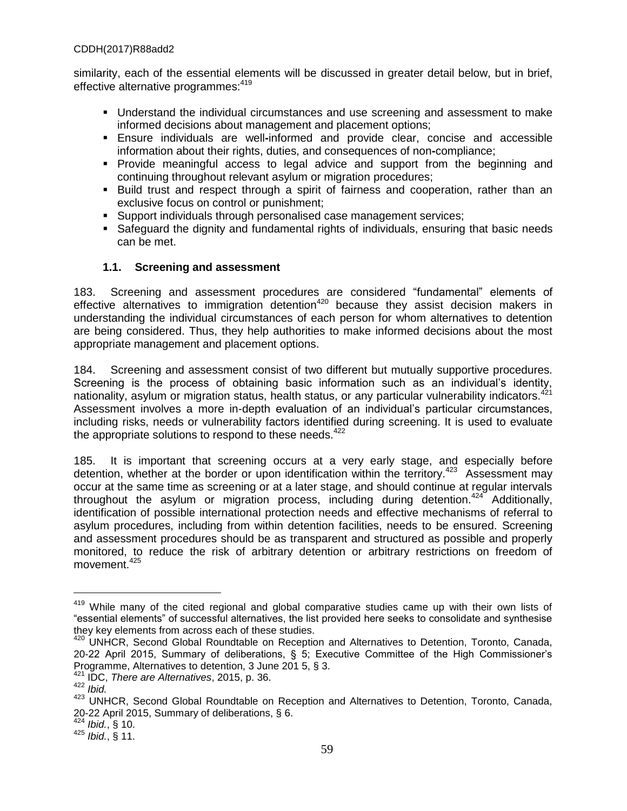similarity, each of the essential elements will be discussed in greater detail below, but in brief, effective alternative programmes: 419

- **Understand the individual circumstances and use screening and assessment to make** informed decisions about management and placement options;
- Ensure individuals are well**-**informed and provide clear, concise and accessible information about their rights, duties, and consequences of non**-**compliance;
- **Provide meaningful access to legal advice and support from the beginning and** continuing throughout relevant asylum or migration procedures;
- **Build trust and respect through a spirit of fairness and cooperation, rather than an** exclusive focus on control or punishment;
- Support individuals through personalised case management services;
- Safeguard the dignity and fundamental rights of individuals, ensuring that basic needs can be met.

# **1.1. Screening and assessment**

183. Screening and assessment procedures are considered "fundamental" elements of effective alternatives to immigration detention<sup>420</sup> because they assist decision makers in understanding the individual circumstances of each person for whom alternatives to detention are being considered. Thus, they help authorities to make informed decisions about the most appropriate management and placement options.

184. Screening and assessment consist of two different but mutually supportive procedures. Screening is the process of obtaining basic information such as an individual's identity, nationality, asylum or migration status, health status, or any particular vulnerability indicators.<sup>421</sup> Assessment involves a more in-depth evaluation of an individual's particular circumstances, including risks, needs or vulnerability factors identified during screening. It is used to evaluate the appropriate solutions to respond to these needs. $422$ 

185. It is important that screening occurs at a very early stage, and especially before detention, whether at the border or upon identification within the territory.<sup>423</sup> Assessment may occur at the same time as screening or at a later stage, and should continue at regular intervals throughout the asylum or migration process, including during detention.<sup>424</sup> Additionally, identification of possible international protection needs and effective mechanisms of referral to asylum procedures, including from within detention facilities, needs to be ensured. Screening and assessment procedures should be as transparent and structured as possible and properly monitored, to reduce the risk of arbitrary detention or arbitrary restrictions on freedom of movement.<sup>425</sup>

<sup>&</sup>lt;sup>419</sup> While many of the cited regional and global comparative studies came up with their own lists of "essential elements" of successful alternatives, the list provided here seeks to consolidate and synthesise they key elements from across each of these studies.

<sup>&</sup>lt;sup>420</sup> UNHCR, Second Global Roundtable on Reception and Alternatives to Detention, Toronto, Canada, 20-22 April 2015, Summary of deliberations, § 5; Executive Committee of the High Commissioner's Programme, Alternatives to detention, 3 June 201 5, § 3.

<sup>421</sup> IDC, *There are Alternatives*, 2015, p. 36.

<sup>422</sup> *Ibid.*

<sup>423</sup> UNHCR, Second Global Roundtable on Reception and Alternatives to Detention, Toronto, Canada, 20-22 April 2015, Summary of deliberations, § 6.

*Ibid.*, § 10.

<sup>425</sup> *Ibid.*, § 11.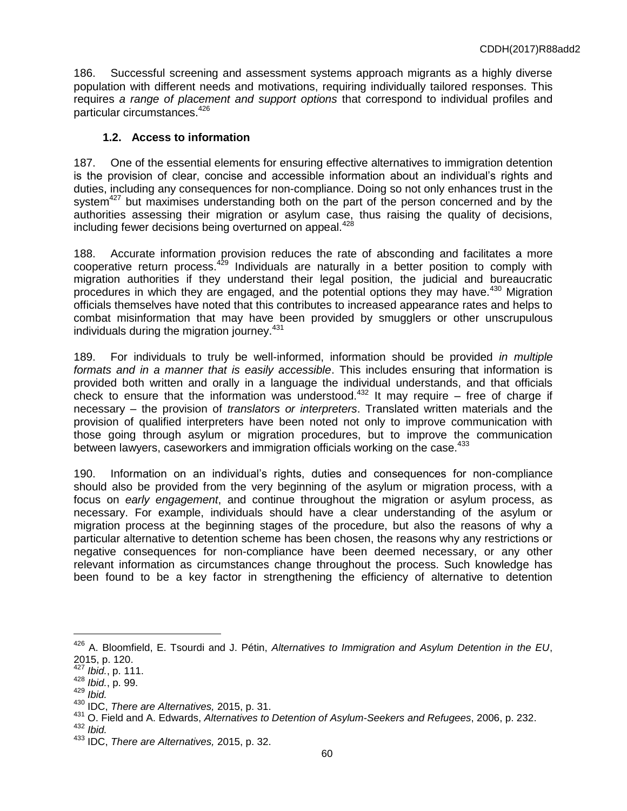186. Successful screening and assessment systems approach migrants as a highly diverse population with different needs and motivations, requiring individually tailored responses. This requires *a range of placement and support options* that correspond to individual profiles and particular circumstances.<sup>426</sup>

# **1.2. Access to information**

187. One of the essential elements for ensuring effective alternatives to immigration detention is the provision of clear, concise and accessible information about an individual's rights and duties, including any consequences for non-compliance. Doing so not only enhances trust in the system<sup>427</sup> but maximises understanding both on the part of the person concerned and by the authorities assessing their migration or asylum case, thus raising the quality of decisions, including fewer decisions being overturned on appeal.<sup>428</sup>

188. Accurate information provision reduces the rate of absconding and facilitates a more cooperative return process. $429$  Individuals are naturally in a better position to comply with migration authorities if they understand their legal position, the judicial and bureaucratic procedures in which they are engaged, and the potential options they may have.<sup>430</sup> Migration officials themselves have noted that this contributes to increased appearance rates and helps to combat misinformation that may have been provided by smugglers or other unscrupulous individuals during the migration journey.<sup>431</sup>

189. For individuals to truly be well-informed, information should be provided *in multiple formats and in a manner that is easily accessible*. This includes ensuring that information is provided both written and orally in a language the individual understands, and that officials check to ensure that the information was understood.<sup>432</sup> It may require – free of charge if necessary – the provision of *translators or interpreters*. Translated written materials and the provision of qualified interpreters have been noted not only to improve communication with those going through asylum or migration procedures, but to improve the communication between lawyers, caseworkers and immigration officials working on the case.<sup>433</sup>

190. Information on an individual's rights, duties and consequences for non-compliance should also be provided from the very beginning of the asylum or migration process, with a focus on *early engagement*, and continue throughout the migration or asylum process, as necessary. For example, individuals should have a clear understanding of the asylum or migration process at the beginning stages of the procedure, but also the reasons of why a particular alternative to detention scheme has been chosen, the reasons why any restrictions or negative consequences for non-compliance have been deemed necessary, or any other relevant information as circumstances change throughout the process. Such knowledge has been found to be a key factor in strengthening the efficiency of alternative to detention

<sup>426</sup> A. Bloomfield, E. Tsourdi and J. Pétin, *Alternatives to Immigration and Asylum Detention in the EU*, 2015, p. 120.

<sup>427</sup> *Ibid.*, p. 111.

<sup>428</sup> *Ibid.*, p. 99.

<sup>429</sup> *Ibid.*

<sup>430</sup> IDC, *There are Alternatives,* 2015, p. 31.

<sup>431</sup> O. Field and A. Edwards, *Alternatives to Detention of Asylum-Seekers and Refugees*, 2006, p. 232. <sup>432</sup> *Ibid.*

<sup>433</sup> IDC, *There are Alternatives,* 2015, p. 32.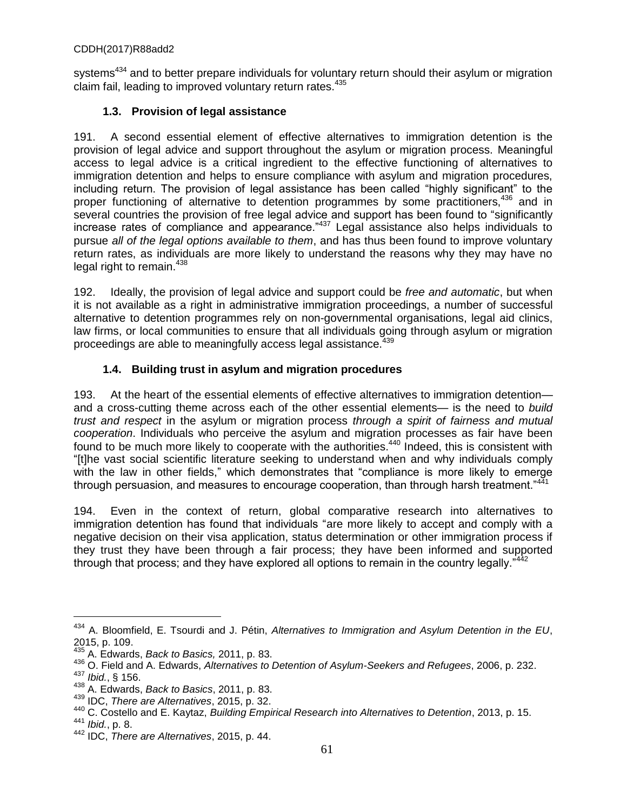systems<sup>434</sup> and to better prepare individuals for voluntary return should their asylum or migration claim fail, leading to improved voluntary return rates.<sup>435</sup>

# **1.3. Provision of legal assistance**

191. A second essential element of effective alternatives to immigration detention is the provision of legal advice and support throughout the asylum or migration process. Meaningful access to legal advice is a critical ingredient to the effective functioning of alternatives to immigration detention and helps to ensure compliance with asylum and migration procedures, including return. The provision of legal assistance has been called "highly significant" to the proper functioning of alternative to detention programmes by some practitioners,<sup>436</sup> and in several countries the provision of free legal advice and support has been found to "significantly increase rates of compliance and appearance."<sup>437</sup> Legal assistance also helps individuals to pursue *all of the legal options available to them*, and has thus been found to improve voluntary return rates, as individuals are more likely to understand the reasons why they may have no legal right to remain.<sup>438</sup>

192. Ideally, the provision of legal advice and support could be *free and automatic*, but when it is not available as a right in administrative immigration proceedings, a number of successful alternative to detention programmes rely on non-governmental organisations, legal aid clinics, law firms, or local communities to ensure that all individuals going through asylum or migration proceedings are able to meaningfully access legal assistance.<sup>439</sup>

# **1.4. Building trust in asylum and migration procedures**

193. At the heart of the essential elements of effective alternatives to immigration detention and a cross-cutting theme across each of the other essential elements— is the need to *build trust and respect* in the asylum or migration process *through a spirit of fairness and mutual cooperation*. Individuals who perceive the asylum and migration processes as fair have been found to be much more likely to cooperate with the authorities.<sup>440</sup> Indeed, this is consistent with "[t]he vast social scientific literature seeking to understand when and why individuals comply with the law in other fields," which demonstrates that "compliance is more likely to emerge through persuasion, and measures to encourage cooperation, than through harsh treatment."<sup>441</sup>

194. Even in the context of return, global comparative research into alternatives to immigration detention has found that individuals "are more likely to accept and comply with a negative decision on their visa application, status determination or other immigration process if they trust they have been through a fair process; they have been informed and supported through that process; and they have explored all options to remain in the country legally."<sup>442</sup>

<sup>434</sup> A. Bloomfield, E. Tsourdi and J. Pétin, *Alternatives to Immigration and Asylum Detention in the EU*, 2015, p. 109.

<sup>435</sup> A. Edwards, *Back to Basics,* 2011, p. 83.

<sup>436</sup> O. Field and A. Edwards, *Alternatives to Detention of Asylum-Seekers and Refugees*, 2006, p. 232.

<sup>437</sup> *Ibid.*, § 156.

<sup>438</sup> A. Edwards, *Back to Basics*, 2011, p. 83.

<sup>439</sup> IDC, *There are Alternatives*, 2015, p. 32.

<sup>440</sup> C. Costello and E. Kaytaz, *Building Empirical Research into Alternatives to Detention*, 2013, p. 15. <sup>441</sup> *Ibid.*, p. 8.

<sup>442</sup> IDC, *There are Alternatives*, 2015, p. 44.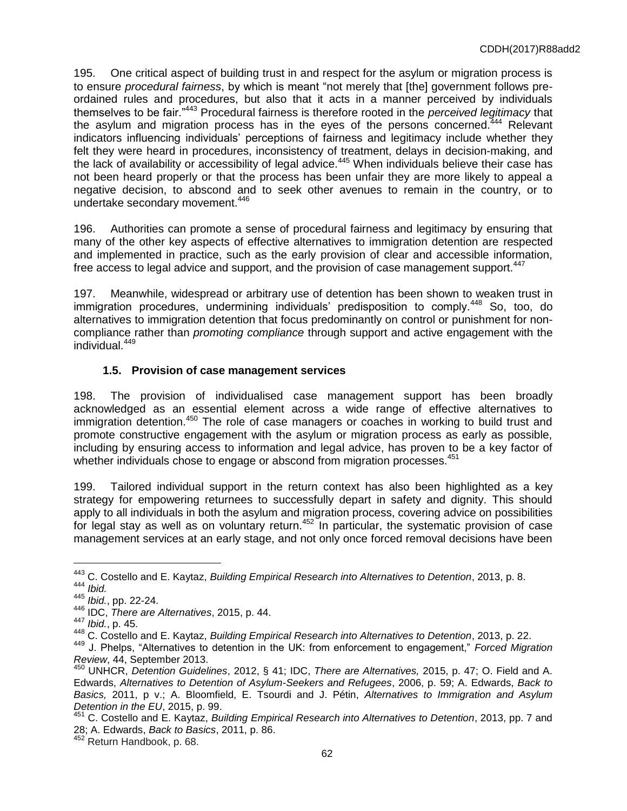195. One critical aspect of building trust in and respect for the asylum or migration process is to ensure *procedural fairness*, by which is meant "not merely that [the] government follows preordained rules and procedures, but also that it acts in a manner perceived by individuals themselves to be fair."<sup>443</sup> Procedural fairness is therefore rooted in the *perceived legitimacy* that the asylum and migration process has in the eyes of the persons concerned.<sup>444</sup> Relevant indicators influencing individuals' perceptions of fairness and legitimacy include whether they felt they were heard in procedures, inconsistency of treatment, delays in decision-making, and the lack of availability or accessibility of legal advice.<sup>445</sup> When individuals believe their case has not been heard properly or that the process has been unfair they are more likely to appeal a negative decision, to abscond and to seek other avenues to remain in the country, or to undertake secondary movement.<sup>446</sup>

196. Authorities can promote a sense of procedural fairness and legitimacy by ensuring that many of the other key aspects of effective alternatives to immigration detention are respected and implemented in practice, such as the early provision of clear and accessible information, free access to legal advice and support, and the provision of case management support.<sup>447</sup>

197. Meanwhile, widespread or arbitrary use of detention has been shown to weaken trust in immigration procedures, undermining individuals' predisposition to comply.<sup>448</sup> So, too, do alternatives to immigration detention that focus predominantly on control or punishment for noncompliance rather than *promoting compliance* through support and active engagement with the individual.<sup>449</sup>

# **1.5. Provision of case management services**

198. The provision of individualised case management support has been broadly acknowledged as an essential element across a wide range of effective alternatives to immigration detention.<sup>450</sup> The role of case managers or coaches in working to build trust and promote constructive engagement with the asylum or migration process as early as possible, including by ensuring access to information and legal advice, has proven to be a key factor of whether individuals chose to engage or abscond from migration processes.<sup>451</sup>

199. Tailored individual support in the return context has also been highlighted as a key strategy for empowering returnees to successfully depart in safety and dignity. This should apply to all individuals in both the asylum and migration process, covering advice on possibilities for legal stay as well as on voluntary return.<sup>452</sup> In particular, the systematic provision of case management services at an early stage, and not only once forced removal decisions have been

<sup>443</sup> C. Costello and E. Kaytaz, *Building Empirical Research into Alternatives to Detention*, 2013, p. 8. <sup>444</sup> *Ibid.*

<sup>445</sup> *Ibid.*, pp. 22-24.

<sup>446</sup> IDC, *There are Alternatives*, 2015, p. 44.

<sup>447</sup> *Ibid.*, p. 45.

<sup>448</sup> C. Costello and E. Kaytaz, *Building Empirical Research into Alternatives to Detention*, 2013, p. 22.

<sup>449</sup> J. Phelps, "Alternatives to detention in the UK: from enforcement to engagement," *Forced Migration Review*, 44, September 2013.

<sup>450</sup> UNHCR, *Detention Guidelines*, 2012, § 41; IDC, *There are Alternatives,* 2015, p. 47; O. Field and A. Edwards, *Alternatives to Detention of Asylum-Seekers and Refugees*, 2006, p. 59; A. Edwards, *Back to Basics,* 2011, p v.; A. Bloomfield, E. Tsourdi and J. Pétin, *Alternatives to Immigration and Asylum Detention in the EU*, 2015, p. 99.

<sup>451</sup> C. Costello and E. Kaytaz, *Building Empirical Research into Alternatives to Detention*, 2013, pp. 7 and 28; A. Edwards, *Back to Basics*, 2011, p. 86.

<sup>&</sup>lt;sup>452</sup> Return Handbook, p. 68.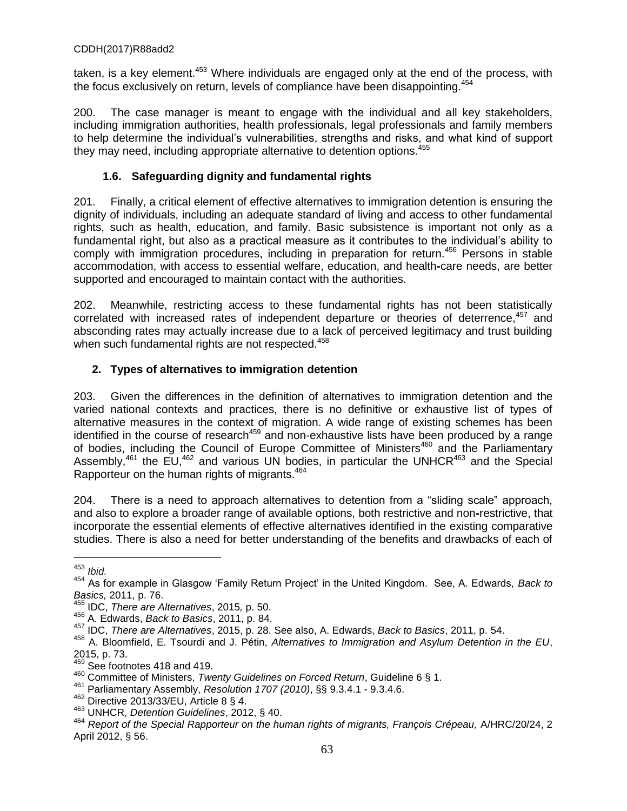taken, is a key element.<sup>453</sup> Where individuals are engaged only at the end of the process, with the focus exclusively on return, levels of compliance have been disappointing.<sup>454</sup>

200. The case manager is meant to engage with the individual and all key stakeholders, including immigration authorities, health professionals, legal professionals and family members to help determine the individual's vulnerabilities, strengths and risks, and what kind of support they may need, including appropriate alternative to detention options.<sup>455</sup>

# **1.6. Safeguarding dignity and fundamental rights**

201. Finally, a critical element of effective alternatives to immigration detention is ensuring the dignity of individuals, including an adequate standard of living and access to other fundamental rights, such as health, education, and family. Basic subsistence is important not only as a fundamental right, but also as a practical measure as it contributes to the individual's ability to comply with immigration procedures, including in preparation for return.<sup>456</sup> Persons in stable accommodation, with access to essential welfare, education, and health**-**care needs, are better supported and encouraged to maintain contact with the authorities.

202. Meanwhile, restricting access to these fundamental rights has not been statistically correlated with increased rates of independent departure or theories of deterrence, $457$  and absconding rates may actually increase due to a lack of perceived legitimacy and trust building when such fundamental rights are not respected.<sup>458</sup>

# **2. Types of alternatives to immigration detention**

203. Given the differences in the definition of alternatives to immigration detention and the varied national contexts and practices, there is no definitive or exhaustive list of types of alternative measures in the context of migration. A wide range of existing schemes has been identified in the course of research<sup>459</sup> and non-exhaustive lists have been produced by a range of bodies, including the Council of Europe Committee of Ministers<sup>460</sup> and the Parliamentary Assembly,<sup>461</sup> the EU,<sup>462</sup> and various UN bodies, in particular the UNHCR<sup>463</sup> and the Special Rapporteur on the human rights of migrants.<sup>464</sup>

204. There is a need to approach alternatives to detention from a "sliding scale" approach, and also to explore a broader range of available options, both restrictive and non**-**restrictive, that incorporate the essential elements of effective alternatives identified in the existing comparative studies. There is also a need for better understanding of the benefits and drawbacks of each of

<sup>453</sup> *Ibid.*

<sup>454</sup> As for example in Glasgow 'Family Return Project' in the United Kingdom. See, A. Edwards, *Back to Basics,* 2011, p. 76.

<sup>455</sup> IDC, *There are Alternatives*, 2015*,* p. 50.

<sup>456</sup> A. Edwards, *Back to Basics*, 2011, p. 84.

<sup>457</sup> IDC, *There are Alternatives*, 2015, p. 28. See also, A. Edwards, *Back to Basics*, 2011, p. 54.

<sup>458</sup> A. Bloomfield, E. Tsourdi and J. Pétin, *Alternatives to Immigration and Asylum Detention in the EU*, 2015, p. 73.

 $459$  See footnotes 418 and 419.

<sup>460</sup> Committee of Ministers, *Twenty Guidelines on Forced Return*, Guideline 6 § 1.

<sup>461</sup> Parliamentary Assembly, *Resolution 1707 (2010)*, §§ 9.3.4.1 - 9.3.4.6.

<sup>462</sup> Directive 2013/33/EU, Article 8 § 4.

<sup>463</sup> UNHCR, *Detention Guidelines*, 2012, § 40.

<sup>464</sup> *Report of the Special Rapporteur on the human rights of migrants, François Crépeau,* A/HRC/20/24, 2 April 2012, § 56.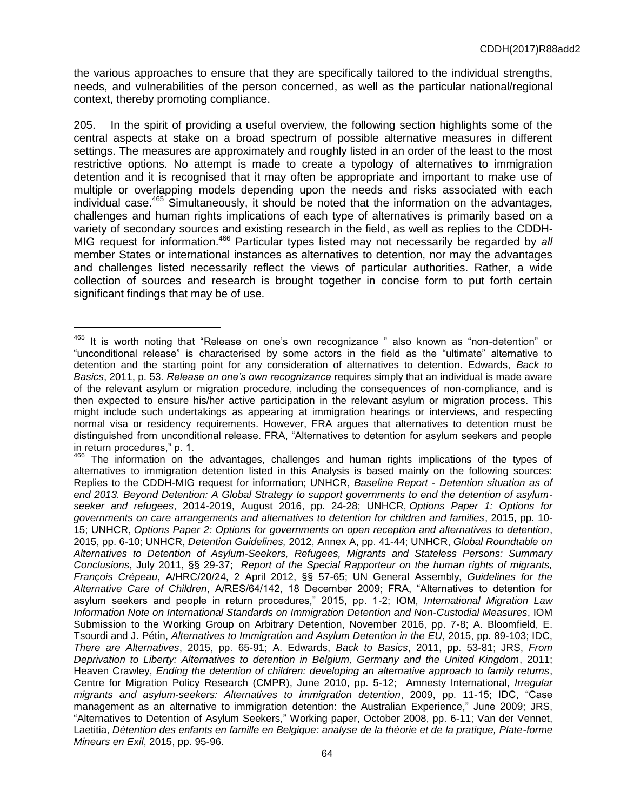the various approaches to ensure that they are specifically tailored to the individual strengths, needs, and vulnerabilities of the person concerned, as well as the particular national/regional context, thereby promoting compliance.

205. In the spirit of providing a useful overview, the following section highlights some of the central aspects at stake on a broad spectrum of possible alternative measures in different settings. The measures are approximately and roughly listed in an order of the least to the most restrictive options. No attempt is made to create a typology of alternatives to immigration detention and it is recognised that it may often be appropriate and important to make use of multiple or overlapping models depending upon the needs and risks associated with each individual case.<sup>465</sup> Simultaneously, it should be noted that the information on the advantages, challenges and human rights implications of each type of alternatives is primarily based on a variety of secondary sources and existing research in the field, as well as replies to the CDDH-MIG request for information. <sup>466</sup> Particular types listed may not necessarily be regarded by *all* member States or international instances as alternatives to detention, nor may the advantages and challenges listed necessarily reflect the views of particular authorities. Rather, a wide collection of sources and research is brought together in concise form to put forth certain significant findings that may be of use.

<sup>465</sup> It is worth noting that "Release on one's own recognizance " also known as "non-detention" or "unconditional releaseˮ is characterised by some actors in the field as the "ultimate" alternative to detention and the starting point for any consideration of alternatives to detention. Edwards, *Back to Basics*, 2011, p. 53. *Release on one's own recognizance* requires simply that an individual is made aware of the relevant asylum or migration procedure, including the consequences of non-compliance, and is then expected to ensure his/her active participation in the relevant asylum or migration process. This might include such undertakings as appearing at immigration hearings or interviews, and respecting normal visa or residency requirements. However, FRA argues that alternatives to detention must be distinguished from unconditional release. FRA, "Alternatives to detention for asylum seekers and people in return procedures," p. 1.

 $466$  The information on the advantages, challenges and human rights implications of the types of alternatives to immigration detention listed in this Analysis is based mainly on the following sources: Replies to the CDDH-MIG request for information; UNHCR, *Baseline Report - Detention situation as of end 2013. Beyond Detention: A Global Strategy to support governments to end the detention of asylumseeker and refugees*, 2014-2019, August 2016, pp. 24-28; UNHCR, *Options Paper 1: Options for governments on care arrangements and alternatives to detention for children and families*, 2015, pp. 10- 15; UNHCR, *Options Paper 2: Options for governments on open reception and alternatives to detention*, 2015, pp. 6-10; UNHCR, *Detention Guidelines,* 2012, Annex A, pp. 41-44; UNHCR, *Global Roundtable on Alternatives to Detention of Asylum-Seekers, Refugees, Migrants and Stateless Persons: Summary Conclusions*, July 2011, §§ 29-37; *Report of the Special Rapporteur on the human rights of migrants, François Crépeau*, A/HRC/20/24, 2 April 2012, §§ 57-65; UN General Assembly, *Guidelines for the Alternative Care of Children*, A/RES/64/142, 18 December 2009; FRA, "Alternatives to detention for asylum seekers and people in return procedures," 2015, pp. 1-2; IOM, *International Migration Law Information Note on International Standards on Immigration Detention and Non-Custodial Measures*, IOM Submission to the Working Group on Arbitrary Detention, November 2016, pp. 7-8; A. Bloomfield, E. Tsourdi and J. Pétin, *Alternatives to Immigration and Asylum Detention in the EU*, 2015, pp. 89-103; IDC, *There are Alternatives*, 2015, pp. 65-91; A. Edwards, *Back to Basics*, 2011, pp. 53-81; JRS, *From Deprivation to Liberty: Alternatives to detention in Belgium, Germany and the United Kingdom*, 2011; Heaven Crawley, *Ending the detention of children: developing an alternative approach to family returns*, Centre for Migration Policy Research (CMPR), June 2010, pp. 5-12; Amnesty International, *Irregular migrants and asylum-seekers: Alternatives to immigration detention*, 2009, pp. 11-15; IDC, "Case management as an alternative to immigration detention: the Australian Experience," June 2009; JRS, "Alternatives to Detention of Asylum Seekers," Working paper, October 2008, pp. 6-11; Van der Vennet, Laetitia, *Détention des enfants en famille en Belgique: analyse de la théorie et de la pratique, Plate-forme Mineurs en Exil*, 2015, pp. 95-96.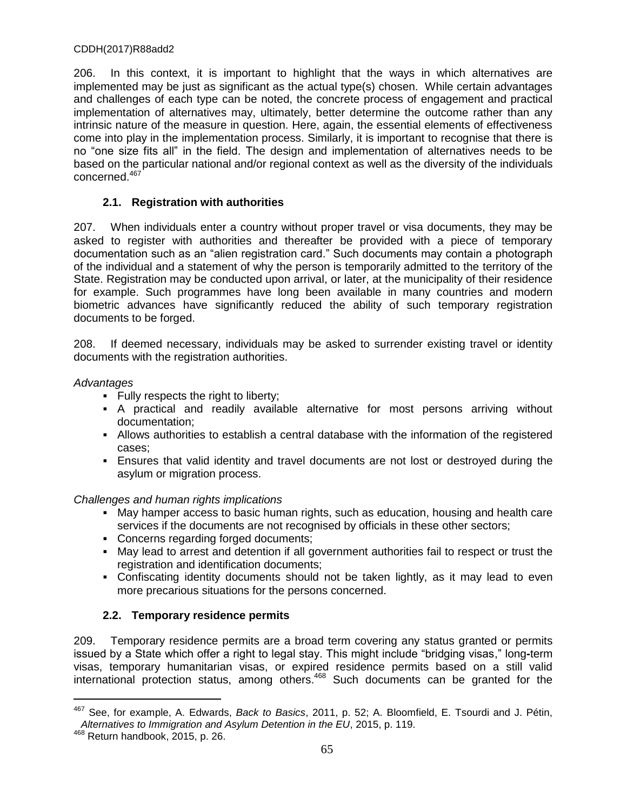206. In this context, it is important to highlight that the ways in which alternatives are implemented may be just as significant as the actual type(s) chosen. While certain advantages and challenges of each type can be noted, the concrete process of engagement and practical implementation of alternatives may, ultimately, better determine the outcome rather than any intrinsic nature of the measure in question. Here, again, the essential elements of effectiveness come into play in the implementation process. Similarly, it is important to recognise that there is no "one size fits all" in the field. The design and implementation of alternatives needs to be based on the particular national and/or regional context as well as the diversity of the individuals concerned.<sup>467</sup>

# **2.1. Registration with authorities**

207. When individuals enter a country without proper travel or visa documents, they may be asked to register with authorities and thereafter be provided with a piece of temporary documentation such as an "alien registration card." Such documents may contain a photograph of the individual and a statement of why the person is temporarily admitted to the territory of the State. Registration may be conducted upon arrival, or later, at the municipality of their residence for example. Such programmes have long been available in many countries and modern biometric advances have significantly reduced the ability of such temporary registration documents to be forged.

208. If deemed necessary, individuals may be asked to surrender existing travel or identity documents with the registration authorities.

# *Advantages*

- Fully respects the right to liberty;
- A practical and readily available alternative for most persons arriving without documentation;
- Allows authorities to establish a central database with the information of the registered cases;
- Ensures that valid identity and travel documents are not lost or destroyed during the asylum or migration process.

# *Challenges and human rights implications*

- May hamper access to basic human rights, such as education, housing and health care services if the documents are not recognised by officials in these other sectors;
- Concerns regarding forged documents;
- May lead to arrest and detention if all government authorities fail to respect or trust the registration and identification documents;
- Confiscating identity documents should not be taken lightly, as it may lead to even more precarious situations for the persons concerned.

# **2.2. Temporary residence permits**

209. Temporary residence permits are a broad term covering any status granted or permits issued by a State which offer a right to legal stay. This might include "bridging visas," long**-**term visas, temporary humanitarian visas, or expired residence permits based on a still valid international protection status, among others.<sup>468</sup> Such documents can be granted for the

<sup>467</sup> See, for example, A. Edwards, *Back to Basics*, 2011, p. 52; A. Bloomfield, E. Tsourdi and J. Pétin, *Alternatives to Immigration and Asylum Detention in the EU*, 2015, p. 119.

<sup>468</sup> Return handbook, 2015, p. 26.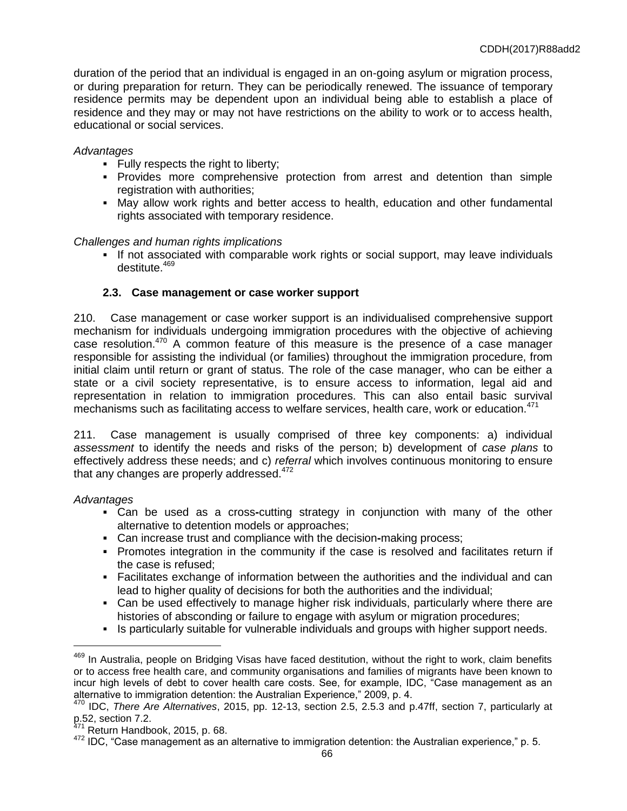duration of the period that an individual is engaged in an on-going asylum or migration process, or during preparation for return. They can be periodically renewed. The issuance of temporary residence permits may be dependent upon an individual being able to establish a place of residence and they may or may not have restrictions on the ability to work or to access health, educational or social services.

# *Advantages*

- Fully respects the right to liberty;
- **Provides more comprehensive protection from arrest and detention than simple** registration with authorities;
- May allow work rights and better access to health, education and other fundamental rights associated with temporary residence.

### *Challenges and human rights implications*

If not associated with comparable work rights or social support, may leave individuals destitute.<sup>469</sup>

# **2.3. Case management or case worker support**

210. Case management or case worker support is an individualised comprehensive support mechanism for individuals undergoing immigration procedures with the objective of achieving case resolution.<sup>470</sup> A common feature of this measure is the presence of a case manager responsible for assisting the individual (or families) throughout the immigration procedure, from initial claim until return or grant of status. The role of the case manager, who can be either a state or a civil society representative, is to ensure access to information, legal aid and representation in relation to immigration procedures. This can also entail basic survival mechanisms such as facilitating access to welfare services, health care, work or education.<sup>471</sup>

211. Case management is usually comprised of three key components: a) individual *assessment* to identify the needs and risks of the person; b) development of *case plans* to effectively address these needs; and c) *referral* which involves continuous monitoring to ensure that any changes are properly addressed. $472$ 

### *Advantages*

- Can be used as a cross**-**cutting strategy in conjunction with many of the other alternative to detention models or approaches;
- Can increase trust and compliance with the decision**-**making process;
- Promotes integration in the community if the case is resolved and facilitates return if the case is refused;
- Facilitates exchange of information between the authorities and the individual and can lead to higher quality of decisions for both the authorities and the individual;
- Can be used effectively to manage higher risk individuals, particularly where there are histories of absconding or failure to engage with asylum or migration procedures;
- Is particularly suitable for vulnerable individuals and groups with higher support needs.

<sup>&</sup>lt;sup>469</sup> In Australia, people on Bridging Visas have faced destitution, without the right to work, claim benefits or to access free health care, and community organisations and families of migrants have been known to incur high levels of debt to cover health care costs. See, for example, IDC, "Case management as an alternative to immigration detention: the Australian Experience," 2009, p. 4.

<sup>470</sup> IDC, *There Are Alternatives*, 2015, pp. 12-13, section 2.5, 2.5.3 and p.47ff, section 7, particularly at p.52, section 7.2.

<sup>&</sup>lt;sup>471</sup> Return Handbook, 2015, p. 68.

<sup>472</sup> IDC, "Case management as an alternative to immigration detention: the Australian experience," p. 5.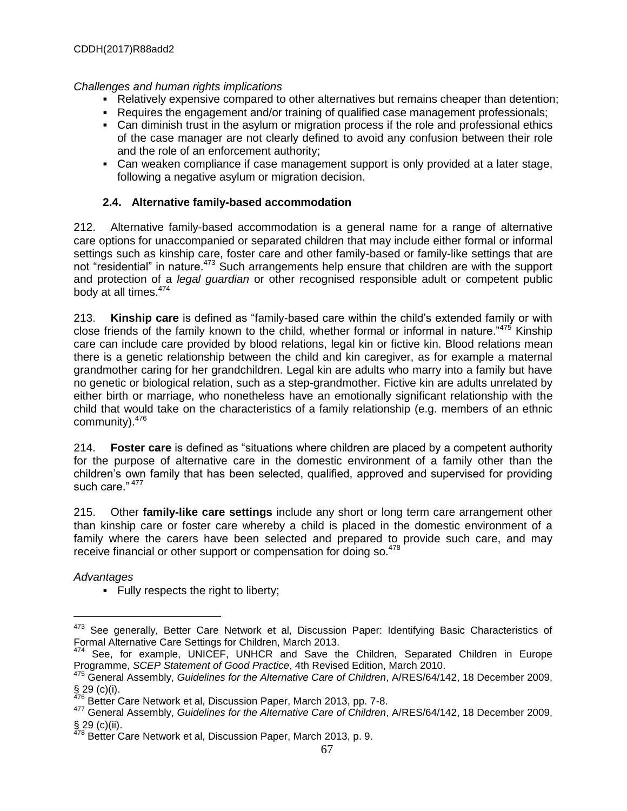# *Challenges and human rights implications*

- Relatively expensive compared to other alternatives but remains cheaper than detention;
- Requires the engagement and/or training of qualified case management professionals;
- Can diminish trust in the asylum or migration process if the role and professional ethics of the case manager are not clearly defined to avoid any confusion between their role and the role of an enforcement authority;
- Can weaken compliance if case management support is only provided at a later stage, following a negative asylum or migration decision.

# **2.4. Alternative family-based accommodation**

212. Alternative family-based accommodation is a general name for a range of alternative care options for unaccompanied or separated children that may include either formal or informal settings such as kinship care, foster care and other family-based or family-like settings that are not "residential" in nature.<sup>473</sup> Such arrangements help ensure that children are with the support and protection of a *legal guardian* or other recognised responsible adult or competent public body at all times.<sup>474</sup>

213. **Kinship care** is defined as "family-based care within the child's extended family or with close friends of the family known to the child, whether formal or informal in nature."<sup>475</sup> Kinship care can include care provided by blood relations, legal kin or fictive kin. Blood relations mean there is a genetic relationship between the child and kin caregiver, as for example a maternal grandmother caring for her grandchildren. Legal kin are adults who marry into a family but have no genetic or biological relation, such as a step-grandmother. Fictive kin are adults unrelated by either birth or marriage, who nonetheless have an emotionally significant relationship with the child that would take on the characteristics of a family relationship (e.g. members of an ethnic community).<sup>476</sup>

214. **Foster care** is defined as "situations where children are placed by a competent authority for the purpose of alternative care in the domestic environment of a family other than the children's own family that has been selected, qualified, approved and supervised for providing such care."  $477$ 

215. Other **family-like care settings** include any short or long term care arrangement other than kinship care or foster care whereby a child is placed in the domestic environment of a family where the carers have been selected and prepared to provide such care, and may receive financial or other support or compensation for doing so.<sup>478</sup>

*Advantages*

 $\overline{a}$ 

**Fully respects the right to liberty;** 

<sup>473</sup> See generally, Better Care Network et al, Discussion Paper: Identifying Basic Characteristics of Formal Alternative Care Settings for Children, March 2013.

<sup>&</sup>lt;sup>474</sup> See, for example, UNICEF, UNHCR and Save the Children, Separated Children in Europe Programme, *SCEP Statement of Good Practice*, 4th Revised Edition, March 2010.

<sup>475</sup> General Assembly, *Guidelines for the Alternative Care of Children*, A/RES/64/142, 18 December 2009, § 29 (c)(i).

 $476$  Better Care Network et al, Discussion Paper, March 2013, pp. 7-8.

<sup>477</sup> General Assembly, *Guidelines for the Alternative Care of Children*, A/RES/64/142, 18 December 2009, § 29 (c)(ii).

<sup>&</sup>lt;sup>478</sup> Better Care Network et al, Discussion Paper, March 2013, p. 9.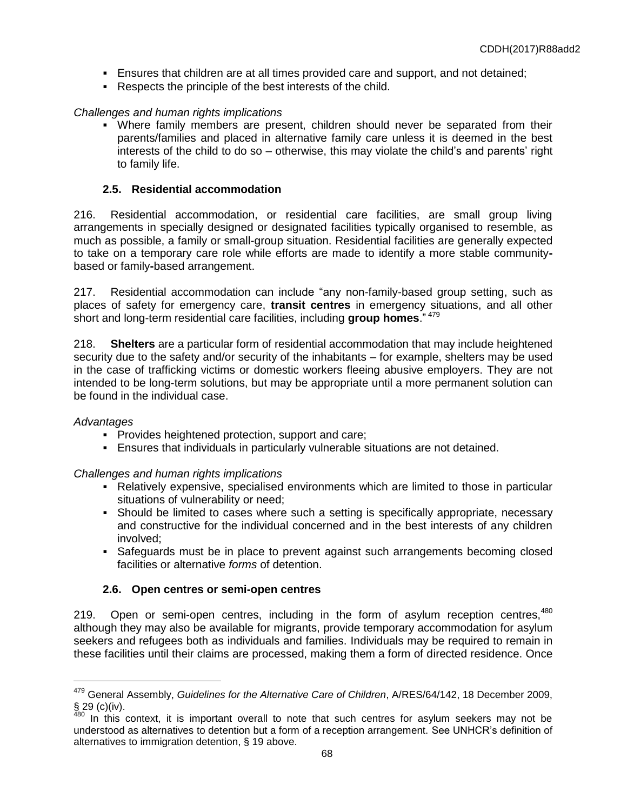- Ensures that children are at all times provided care and support, and not detained;
- Respects the principle of the best interests of the child.

# *Challenges and human rights implications*

 Where family members are present, children should never be separated from their parents/families and placed in alternative family care unless it is deemed in the best interests of the child to do so – otherwise, this may violate the child's and parents' right to family life.

# **2.5. Residential accommodation**

216. Residential accommodation, or residential care facilities, are small group living arrangements in specially designed or designated facilities typically organised to resemble, as much as possible, a family or small-group situation. Residential facilities are generally expected to take on a temporary care role while efforts are made to identify a more stable communitybased or family**-**based arrangement.

217. Residential accommodation can include "any non-family-based group setting, such as places of safety for emergency care, **transit centres** in emergency situations, and all other short and long-term residential care facilities, including **group homes**." <sup>479</sup>

218. **Shelters** are a particular form of residential accommodation that may include heightened security due to the safety and/or security of the inhabitants – for example, shelters may be used in the case of trafficking victims or domestic workers fleeing abusive employers. They are not intended to be long-term solutions, but may be appropriate until a more permanent solution can be found in the individual case.

# *Advantages*

 $\overline{a}$ 

- **Provides heightened protection, support and care;**
- Ensures that individuals in particularly vulnerable situations are not detained.

*Challenges and human rights implications*

- Relatively expensive, specialised environments which are limited to those in particular situations of vulnerability or need;
- Should be limited to cases where such a setting is specifically appropriate, necessary and constructive for the individual concerned and in the best interests of any children involved;
- Safeguards must be in place to prevent against such arrangements becoming closed facilities or alternative *forms* of detention.

# **2.6. Open centres or semi-open centres**

219. Open or semi-open centres, including in the form of asylum reception centres,  $480$ although they may also be available for migrants, provide temporary accommodation for asylum seekers and refugees both as individuals and families. Individuals may be required to remain in these facilities until their claims are processed, making them a form of directed residence. Once

<sup>479</sup> General Assembly, *Guidelines for the Alternative Care of Children*, A/RES/64/142, 18 December 2009,  $\S$  29 (c)(iv).

In this context, it is important overall to note that such centres for asylum seekers may not be understood as alternatives to detention but a form of a reception arrangement. See UNHCR's definition of alternatives to immigration detention, § 19 above.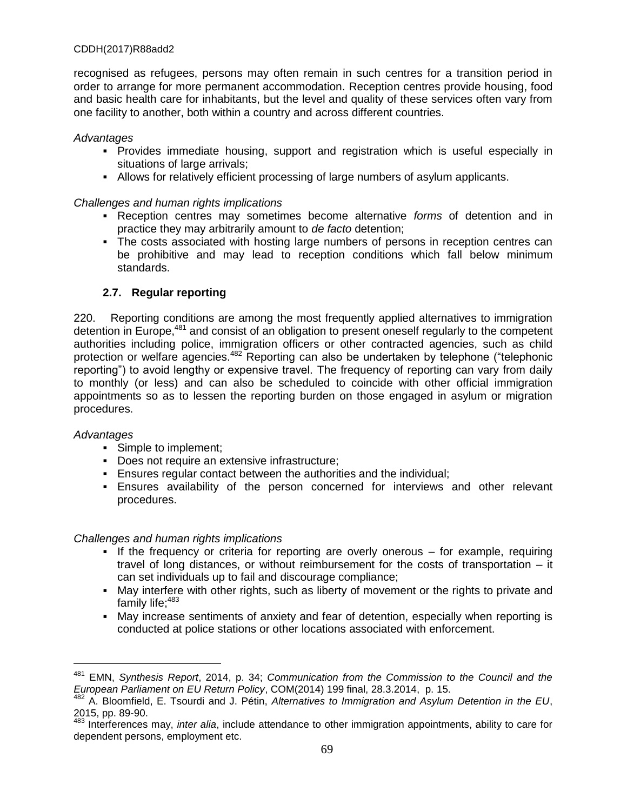recognised as refugees, persons may often remain in such centres for a transition period in order to arrange for more permanent accommodation. Reception centres provide housing, food and basic health care for inhabitants, but the level and quality of these services often vary from one facility to another, both within a country and across different countries.

### *Advantages*

- Provides immediate housing, support and registration which is useful especially in situations of large arrivals;
- Allows for relatively efficient processing of large numbers of asylum applicants.

### *Challenges and human rights implications*

- Reception centres may sometimes become alternative *forms* of detention and in practice they may arbitrarily amount to *de facto* detention;
- The costs associated with hosting large numbers of persons in reception centres can be prohibitive and may lead to reception conditions which fall below minimum standards.

# **2.7. Regular reporting**

220. Reporting conditions are among the most frequently applied alternatives to immigration detention in Europe,<sup>481</sup> and consist of an obligation to present oneself regularly to the competent authorities including police, immigration officers or other contracted agencies, such as child protection or welfare agencies.<sup>482</sup> Reporting can also be undertaken by telephone ("telephonic reporting") to avoid lengthy or expensive travel. The frequency of reporting can vary from daily to monthly (or less) and can also be scheduled to coincide with other official immigration appointments so as to lessen the reporting burden on those engaged in asylum or migration procedures.

### *Advantages*

 $\overline{a}$ 

- Simple to implement;
- Does not require an extensive infrastructure;
- Ensures regular contact between the authorities and the individual;
- Ensures availability of the person concerned for interviews and other relevant procedures.

### *Challenges and human rights implications*

- If the frequency or criteria for reporting are overly onerous  $-$  for example, requiring travel of long distances, or without reimbursement for the costs of transportation – it can set individuals up to fail and discourage compliance;
- May interfere with other rights, such as liberty of movement or the rights to private and family life;<sup>483</sup>
- May increase sentiments of anxiety and fear of detention, especially when reporting is conducted at police stations or other locations associated with enforcement.

<sup>481</sup> EMN, *Synthesis Report*, 2014, p. 34; *Communication from the Commission to the Council and the European Parliament on EU Return Policy*, COM(2014) 199 final, 28.3.2014, p. 15.

<sup>482</sup> A. Bloomfield, E. Tsourdi and J. Pétin, *Alternatives to Immigration and Asylum Detention in the EU*, 2015, pp. 89-90.

<sup>483</sup> Interferences may, *inter alia*, include attendance to other immigration appointments, ability to care for dependent persons, employment etc.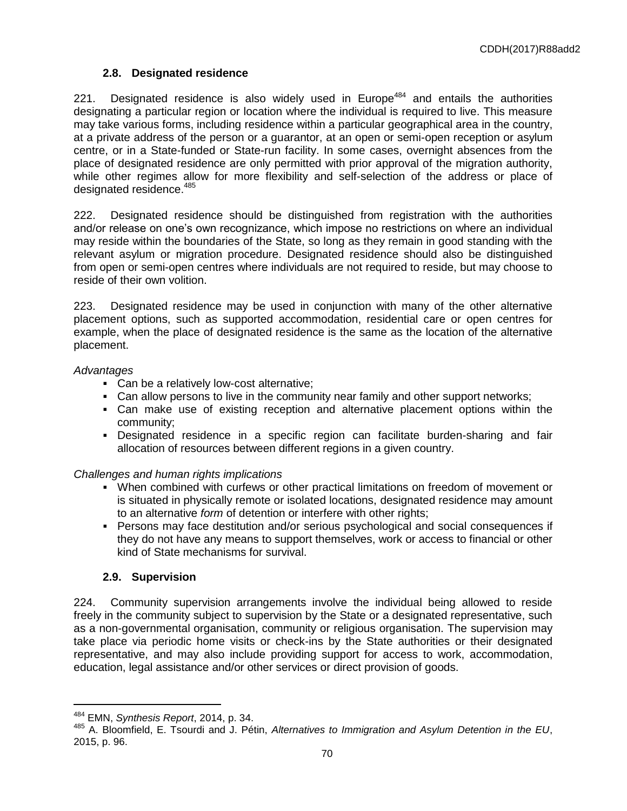# **2.8. Designated residence**

221. Designated residence is also widely used in Europe<sup>484</sup> and entails the authorities designating a particular region or location where the individual is required to live. This measure may take various forms, including residence within a particular geographical area in the country, at a private address of the person or a guarantor, at an open or semi-open reception or asylum centre, or in a State-funded or State-run facility. In some cases, overnight absences from the place of designated residence are only permitted with prior approval of the migration authority, while other regimes allow for more flexibility and self-selection of the address or place of designated residence.<sup>485</sup>

222. Designated residence should be distinguished from registration with the authorities and/or release on one's own recognizance, which impose no restrictions on where an individual may reside within the boundaries of the State, so long as they remain in good standing with the relevant asylum or migration procedure. Designated residence should also be distinguished from open or semi-open centres where individuals are not required to reside, but may choose to reside of their own volition.

223. Designated residence may be used in conjunction with many of the other alternative placement options, such as supported accommodation, residential care or open centres for example, when the place of designated residence is the same as the location of the alternative placement.

# *Advantages*

- Can be a relatively low-cost alternative;
- Can allow persons to live in the community near family and other support networks;
- Can make use of existing reception and alternative placement options within the community;
- Designated residence in a specific region can facilitate burden-sharing and fair allocation of resources between different regions in a given country.

# *Challenges and human rights implications*

- When combined with curfews or other practical limitations on freedom of movement or is situated in physically remote or isolated locations, designated residence may amount to an alternative *form* of detention or interfere with other rights;
- Persons may face destitution and/or serious psychological and social consequences if they do not have any means to support themselves, work or access to financial or other kind of State mechanisms for survival.

# **2.9. Supervision**

224. Community supervision arrangements involve the individual being allowed to reside freely in the community subject to supervision by the State or a designated representative, such as a non-governmental organisation, community or religious organisation. The supervision may take place via periodic home visits or check-ins by the State authorities or their designated representative, and may also include providing support for access to work, accommodation, education, legal assistance and/or other services or direct provision of goods.

<sup>484</sup> EMN, *Synthesis Report*, 2014, p. 34.

<sup>485</sup> A. Bloomfield, E. Tsourdi and J. Pétin, *Alternatives to Immigration and Asylum Detention in the EU*, 2015, p. 96.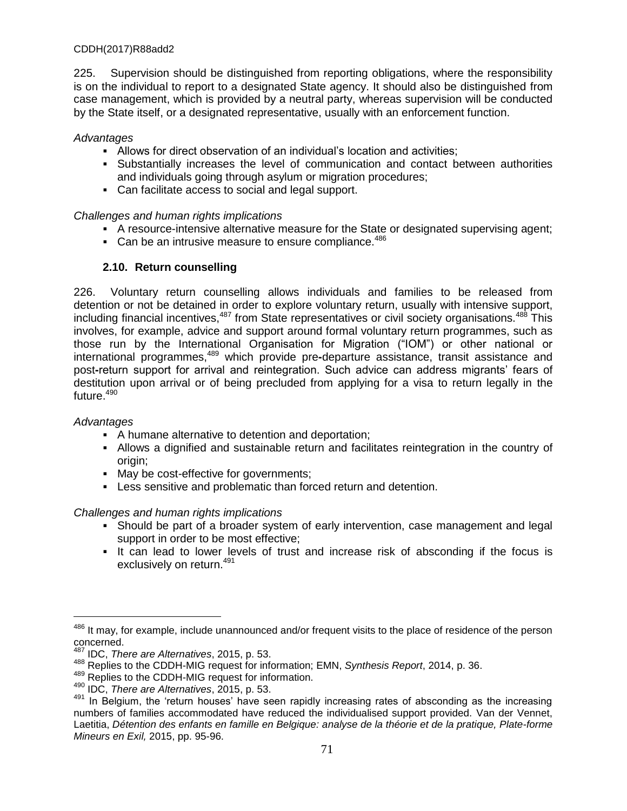225. Supervision should be distinguished from reporting obligations, where the responsibility is on the individual to report to a designated State agency. It should also be distinguished from case management, which is provided by a neutral party, whereas supervision will be conducted by the State itself, or a designated representative, usually with an enforcement function.

### *Advantages*

- Allows for direct observation of an individual's location and activities;
- Substantially increases the level of communication and contact between authorities and individuals going through asylum or migration procedures;
- Can facilitate access to social and legal support.

# *Challenges and human rights implications*

- A resource-intensive alternative measure for the State or designated supervising agent;
- Can be an intrusive measure to ensure compliance. $486$

# **2.10. Return counselling**

226. Voluntary return counselling allows individuals and families to be released from detention or not be detained in order to explore voluntary return, usually with intensive support, including financial incentives,<sup>487</sup> from State representatives or civil society organisations.<sup>488</sup> This involves, for example, advice and support around formal voluntary return programmes, such as those run by the International Organisation for Migration ("IOM") or other national or international programmes,<sup>489</sup> which provide pre**-**departure assistance, transit assistance and post**-**return support for arrival and reintegration. Such advice can address migrants' fears of destitution upon arrival or of being precluded from applying for a visa to return legally in the future.<sup>490</sup>

# *Advantages*

 $\overline{a}$ 

- A humane alternative to detention and deportation;
- Allows a dignified and sustainable return and facilitates reintegration in the country of origin;
- May be cost*-*effective for governments;
- Less sensitive and problematic than forced return and detention.

# *Challenges and human rights implications*

- Should be part of a broader system of early intervention, case management and legal support in order to be most effective;
- It can lead to lower levels of trust and increase risk of absconding if the focus is exclusively on return. 491

<sup>486</sup> It may, for example, include unannounced and/or frequent visits to the place of residence of the person concerned.

<sup>487</sup> IDC, *There are Alternatives*, 2015, p. 53.

<sup>488</sup> Replies to the CDDH-MIG request for information; EMN, *Synthesis Report*, 2014, p. 36.

<sup>489</sup> Replies to the CDDH-MIG request for information.

<sup>490</sup> IDC, *There are Alternatives*, 2015, p. 53.

<sup>491</sup> In Belgium, the 'return houses' have seen rapidly increasing rates of absconding as the increasing numbers of families accommodated have reduced the individualised support provided. Van der Vennet, Laetitia, *Détention des enfants en famille en Belgique: analyse de la théorie et de la pratique, Plate-forme Mineurs en Exil,* 2015, pp. 95-96.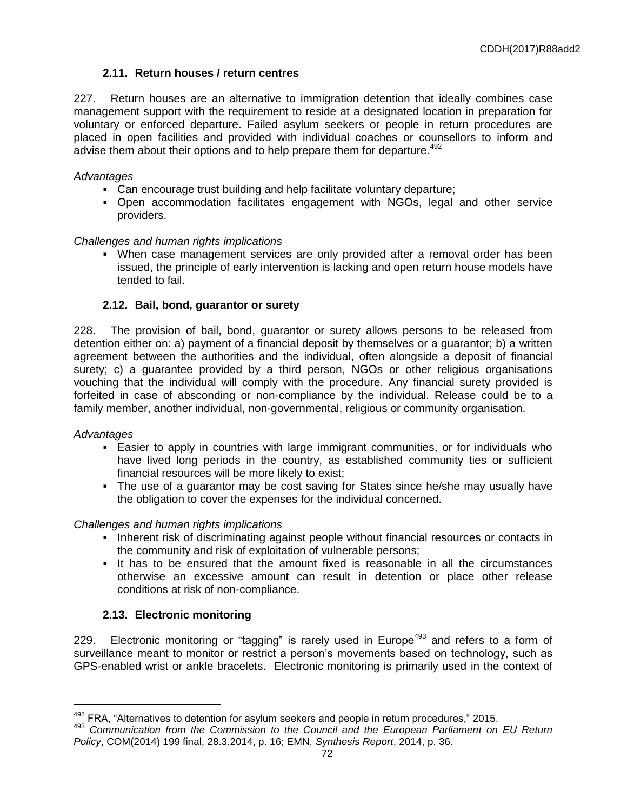# **2.11. Return houses / return centres**

227. Return houses are an alternative to immigration detention that ideally combines case management support with the requirement to reside at a designated location in preparation for voluntary or enforced departure. Failed asylum seekers or people in return procedures are placed in open facilities and provided with individual coaches or counsellors to inform and advise them about their options and to help prepare them for departure.<sup>492</sup>

### *Advantages*

- Can encourage trust building and help facilitate voluntary departure;
- Open accommodation facilitates engagement with NGOs, legal and other service providers.

## *Challenges and human rights implications*

 When case management services are only provided after a removal order has been issued, the principle of early intervention is lacking and open return house models have tended to fail.

## **2.12. Bail, bond, guarantor or surety**

228. The provision of bail, bond, guarantor or surety allows persons to be released from detention either on: a) payment of a financial deposit by themselves or a guarantor; b) a written agreement between the authorities and the individual, often alongside a deposit of financial surety; c) a guarantee provided by a third person, NGOs or other religious organisations vouching that the individual will comply with the procedure. Any financial surety provided is forfeited in case of absconding or non-compliance by the individual. Release could be to a family member, another individual, non-governmental, religious or community organisation.

### *Advantages*

 $\overline{a}$ 

- Easier to apply in countries with large immigrant communities, or for individuals who have lived long periods in the country, as established community ties or sufficient financial resources will be more likely to exist;
- The use of a guarantor may be cost saving for States since he/she may usually have the obligation to cover the expenses for the individual concerned.

### *Challenges and human rights implications*

- Inherent risk of discriminating against people without financial resources or contacts in the community and risk of exploitation of vulnerable persons;
- It has to be ensured that the amount fixed is reasonable in all the circumstances otherwise an excessive amount can result in detention or place other release conditions at risk of non-compliance.

# **2.13. Electronic monitoring**

229. Electronic monitoring or "tagging" is rarely used in Europe<sup>493</sup> and refers to a form of surveillance meant to monitor or restrict a person's movements based on technology, such as GPS-enabled wrist or ankle bracelets. Electronic monitoring is primarily used in the context of

 $492$  FRA, "Alternatives to detention for asylum seekers and people in return procedures," 2015.

<sup>493</sup> *Communication from the Commission to the Council and the European Parliament on EU Return Policy*, COM(2014) 199 final, 28.3.2014, p. 16; EMN, *Synthesis Report*, 2014, p. 36.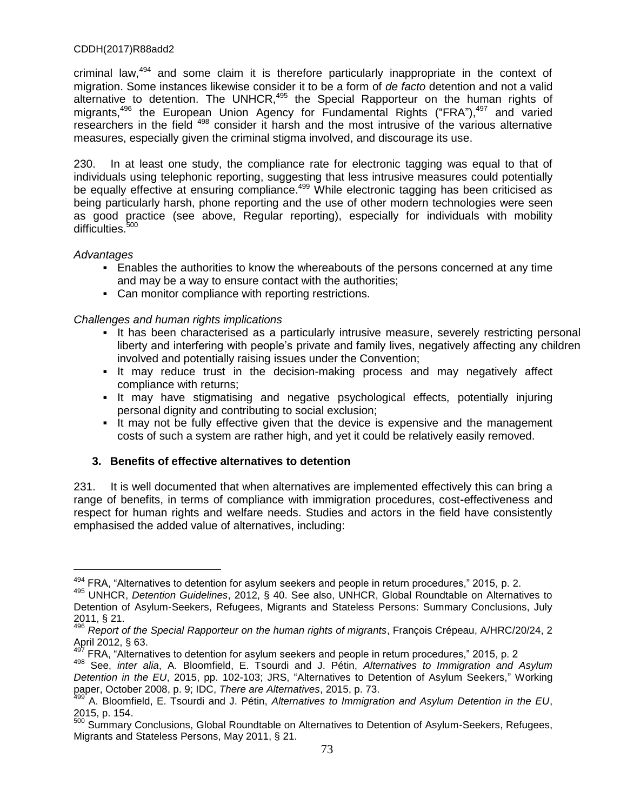criminal law,<sup>494</sup> and some claim it is therefore particularly inappropriate in the context of migration. Some instances likewise consider it to be a form of *de facto* detention and not a valid alternative to detention. The UNHCR, $495$  the Special Rapporteur on the human rights of migrants,<sup>496</sup> the European Union Agency for Fundamental Rights ("FRA"),<sup>497</sup> and varied researchers in the field <sup>498</sup> consider it harsh and the most intrusive of the various alternative measures, especially given the criminal stigma involved, and discourage its use.

230. In at least one study, the compliance rate for electronic tagging was equal to that of individuals using telephonic reporting, suggesting that less intrusive measures could potentially be equally effective at ensuring compliance.<sup>499</sup> While electronic tagging has been criticised as being particularly harsh, phone reporting and the use of other modern technologies were seen as good practice (see above, Regular reporting), especially for individuals with mobility difficulties.<sup>500</sup>

## *Advantages*

 $\overline{a}$ 

- Enables the authorities to know the whereabouts of the persons concerned at any time and may be a way to ensure contact with the authorities;
- Can monitor compliance with reporting restrictions.

## *Challenges and human rights implications*

- It has been characterised as a particularly intrusive measure, severely restricting personal liberty and interfering with people's private and family lives, negatively affecting any children involved and potentially raising issues under the Convention;
- It may reduce trust in the decision-making process and may negatively affect compliance with returns;
- It may have stigmatising and negative psychological effects, potentially injuring personal dignity and contributing to social exclusion;
- It may not be fully effective given that the device is expensive and the management costs of such a system are rather high, and yet it could be relatively easily removed.

# **3. Benefits of effective alternatives to detention**

231. It is well documented that when alternatives are implemented effectively this can bring a range of benefits, in terms of compliance with immigration procedures, cost**-**effectiveness and respect for human rights and welfare needs. Studies and actors in the field have consistently emphasised the added value of alternatives, including:

 $^{494}$  FRA, "Alternatives to detention for asylum seekers and people in return procedures," 2015, p. 2.

<sup>495</sup> UNHCR, *Detention Guidelines*, 2012, § 40. See also, UNHCR, Global Roundtable on Alternatives to Detention of Asylum-Seekers, Refugees, Migrants and Stateless Persons: Summary Conclusions, July 2011, § 21.

<sup>496</sup> *Report of the Special Rapporteur on the human rights of migrants*, François Crépeau, A/HRC/20/24, 2 April 2012, § 63.

<sup>&</sup>lt;sup>497</sup> FRA, "Alternatives to detention for asylum seekers and people in return procedures," 2015, p. 2

<sup>498</sup> See, *inter alia*, A. Bloomfield, E. Tsourdi and J. Pétin, *Alternatives to Immigration and Asylum Detention in the EU*, 2015, pp. 102-103; JRS, "Alternatives to Detention of Asylum Seekers," Working paper, October 2008, p. 9; IDC, *There are Alternatives*, 2015, p. 73.

<sup>499</sup> A. Bloomfield, E. Tsourdi and J. Pétin, *Alternatives to Immigration and Asylum Detention in the EU*, 2015, p. 154.

<sup>500</sup> Summary Conclusions, Global Roundtable on Alternatives to Detention of Asylum-Seekers, Refugees, Migrants and Stateless Persons, May 2011, § 21.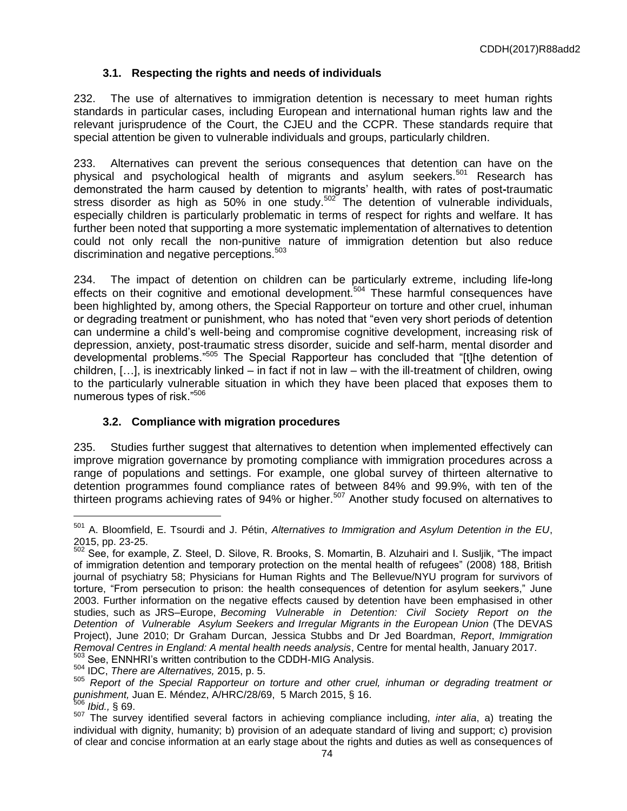# **3.1. Respecting the rights and needs of individuals**

232. The use of alternatives to immigration detention is necessary to meet human rights standards in particular cases, including European and international human rights law and the relevant jurisprudence of the Court, the CJEU and the CCPR. These standards require that special attention be given to vulnerable individuals and groups, particularly children.

233. Alternatives can prevent the serious consequences that detention can have on the physical and psychological health of migrants and asylum seekers.<sup>501</sup> Research has demonstrated the harm caused by detention to migrants' health, with rates of post**-**traumatic stress disorder as high as  $50\%$  in one study.<sup>502</sup> The detention of vulnerable individuals, especially children is particularly problematic in terms of respect for rights and welfare. It has further been noted that supporting a more systematic implementation of alternatives to detention could not only recall the non-punitive nature of immigration detention but also reduce discrimination and negative perceptions.<sup>503</sup>

234. The impact of detention on children can be particularly extreme, including life**-**long effects on their cognitive and emotional development.<sup>504</sup> These harmful consequences have been highlighted by, among others, the Special Rapporteur on torture and other cruel, inhuman or degrading treatment or punishment, who has noted that "even very short periods of detention can undermine a child's well-being and compromise cognitive development, increasing risk of depression, anxiety, post-traumatic stress disorder, suicide and self-harm, mental disorder and developmental problems."<sup>505</sup> The Special Rapporteur has concluded that "[t]he detention of children, […], is inextricably linked – in fact if not in law – with the ill-treatment of children, owing to the particularly vulnerable situation in which they have been placed that exposes them to numerous types of risk."<sup>506</sup>

# **3.2. Compliance with migration procedures**

235. Studies further suggest that alternatives to detention when implemented effectively can improve migration governance by promoting compliance with immigration procedures across a range of populations and settings. For example, one global survey of thirteen alternative to detention programmes found compliance rates of between 84% and 99.9%, with ten of the thirteen programs achieving rates of 94% or higher.<sup>507</sup> Another study focused on alternatives to

<sup>501</sup> A. Bloomfield, E. Tsourdi and J. Pétin, *Alternatives to Immigration and Asylum Detention in the EU*, 2015, pp. 23-25.

<sup>502</sup> See, for example, Z. Steel, D. Silove, R. Brooks, S. Momartin, B. Alzuhairi and I. Susljik, "The impact of immigration detention and temporary protection on the mental health of refugees" (2008) 188, British journal of psychiatry 58; Physicians for Human Rights and The Bellevue/NYU program for survivors of torture, "From persecution to prison: the health consequences of detention for asylum seekers," June 2003. Further information on the negative effects caused by detention have been emphasised in other studies, such as JRS–Europe, *Becoming Vulnerable in Detention: Civil Society Report on the Detention of Vulnerable Asylum Seekers and Irregular Migrants in the European Union* (The DEVAS Project), June 2010; Dr Graham Durcan, Jessica Stubbs and Dr Jed Boardman, *Report*, *Immigration Removal Centres in England: A mental health needs analysis*, Centre for mental health, January 2017. <sup>503</sup> See, ENNHRI's written contribution to the CDDH-MIG Analysis.

<sup>504</sup> IDC, *There are Alternatives,* 2015, p. 5.

<sup>505</sup> *Report of the Special Rapporteur on torture and other cruel, inhuman or degrading treatment or punishment,* Juan E. Méndez, A/HRC/28/69, 5 March 2015, § 16.

<sup>506</sup> *Ibid.,* § 69.

<sup>507</sup> The survey identified several factors in achieving compliance including, *inter alia*, a) treating the individual with dignity, humanity; b) provision of an adequate standard of living and support; c) provision of clear and concise information at an early stage about the rights and duties as well as consequences of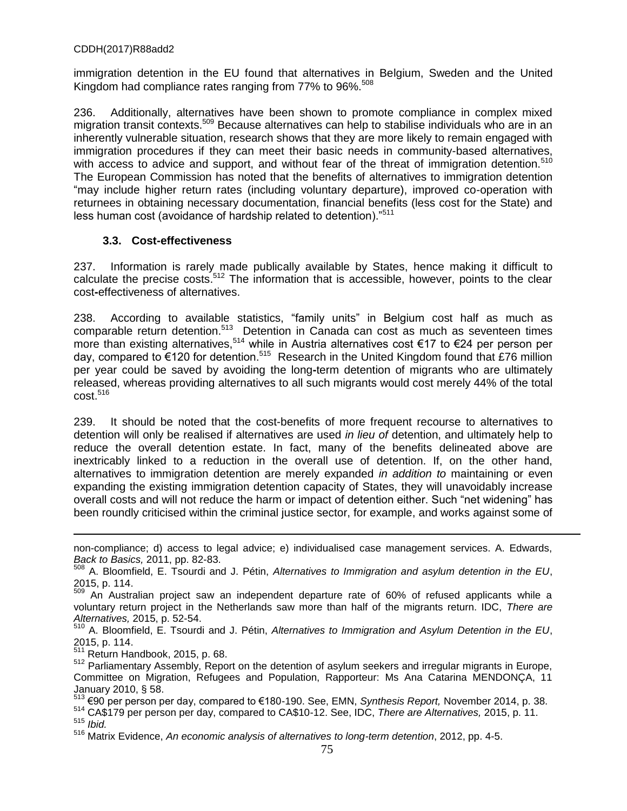immigration detention in the EU found that alternatives in Belgium, Sweden and the United Kingdom had compliance rates ranging from 77% to 96%.<sup>508</sup>

236. Additionally, alternatives have been shown to promote compliance in complex mixed migration transit contexts.<sup>509</sup> Because alternatives can help to stabilise individuals who are in an inherently vulnerable situation, research shows that they are more likely to remain engaged with immigration procedures if they can meet their basic needs in community-based alternatives, with access to advice and support, and without fear of the threat of immigration detention.<sup>510</sup> The European Commission has noted that the benefits of alternatives to immigration detention "may include higher return rates (including voluntary departure), improved co-operation with returnees in obtaining necessary documentation, financial benefits (less cost for the State) and less human cost (avoidance of hardship related to detention)."<sup>511</sup>

## **3.3. Cost-effectiveness**

237. Information is rarely made publically available by States, hence making it difficult to calculate the precise costs.<sup>512</sup> The information that is accessible, however, points to the clear cost**-**effectiveness of alternatives.

238. According to available statistics, "family units" in Belgium cost half as much as comparable return detention.<sup>513</sup> Detention in Canada can cost as much as seventeen times more than existing alternatives,<sup>514</sup> while in Austria alternatives cost €17 to €24 per person per day, compared to €120 for detention.<sup>515</sup> Research in the United Kingdom found that £76 million per year could be saved by avoiding the long**-**term detention of migrants who are ultimately released, whereas providing alternatives to all such migrants would cost merely 44% of the total cost. 516

239. It should be noted that the cost-benefits of more frequent recourse to alternatives to detention will only be realised if alternatives are used *in lieu of* detention, and ultimately help to reduce the overall detention estate. In fact, many of the benefits delineated above are inextricably linked to a reduction in the overall use of detention. If, on the other hand, alternatives to immigration detention are merely expanded *in addition to* maintaining or even expanding the existing immigration detention capacity of States, they will unavoidably increase overall costs and will not reduce the harm or impact of detention either. Such "net widening" has been roundly criticised within the criminal justice sector, for example, and works against some of

non-compliance; d) access to legal advice; e) individualised case management services. A. Edwards, *Back to Basics,* 2011, pp. 82-83.

<sup>508</sup> A. Bloomfield, E. Tsourdi and J. Pétin, *Alternatives to Immigration and asylum detention in the EU*, 2015, p. 114.

<sup>509</sup> An Australian project saw an independent departure rate of 60% of refused applicants while a voluntary return project in the Netherlands saw more than half of the migrants return. IDC, *There are Alternatives,* 2015, p. 52-54.

<sup>510</sup> A. Bloomfield, E. Tsourdi and J. Pétin, *Alternatives to Immigration and Asylum Detention in the EU*, 2015, p. 114.

<sup>511</sup> Return Handbook, 2015, p. 68.

<sup>512</sup> Parliamentary Assembly, Report on the detention of asylum seekers and irregular migrants in Europe, Committee on Migration, Refugees and Population, Rapporteur: Ms Ana Catarina MENDONÇA, 11 January 2010, § 58.

<sup>513</sup> €90 per person per day, compared to €180-190. See, EMN, *Synthesis Report,* November 2014, p. 38.

<sup>514</sup> CA\$179 per person per day, compared to CA\$10-12. See, IDC, *There are Alternatives,* 2015, p. 11. <sup>515</sup> *Ibid.*

<sup>516</sup> Matrix Evidence, *An economic analysis of alternatives to long-term detention*, 2012, pp. 4-5.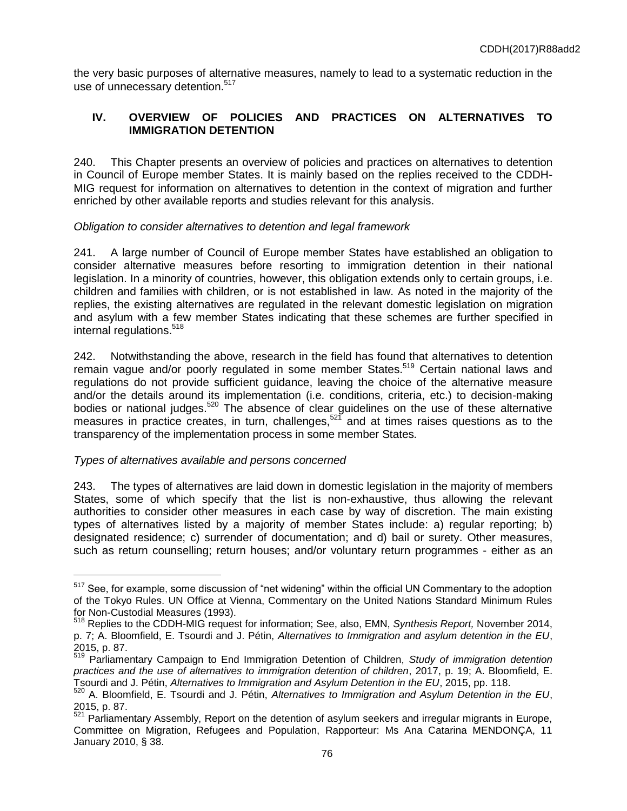the very basic purposes of alternative measures, namely to lead to a systematic reduction in the use of unnecessary detention.<sup>517</sup>

# **IV. OVERVIEW OF POLICIES AND PRACTICES ON ALTERNATIVES TO IMMIGRATION DETENTION**

240. This Chapter presents an overview of policies and practices on alternatives to detention in Council of Europe member States. It is mainly based on the replies received to the CDDH-MIG request for information on alternatives to detention in the context of migration and further enriched by other available reports and studies relevant for this analysis.

## *Obligation to consider alternatives to detention and legal framework*

241. A large number of Council of Europe member States have established an obligation to consider alternative measures before resorting to immigration detention in their national legislation. In a minority of countries, however, this obligation extends only to certain groups, i.e. children and families with children, or is not established in law. As noted in the majority of the replies, the existing alternatives are regulated in the relevant domestic legislation on migration and asylum with a few member States indicating that these schemes are further specified in internal regulations. 518

242. Notwithstanding the above, research in the field has found that alternatives to detention remain vague and/or poorly regulated in some member States.<sup>519</sup> Certain national laws and regulations do not provide sufficient guidance, leaving the choice of the alternative measure and/or the details around its implementation (i.e. conditions, criteria, etc.) to decision-making bodies or national judges.<sup>520</sup> The absence of clear guidelines on the use of these alternative measures in practice creates, in turn, challenges, $52\bar{1}$  and at times raises questions as to the transparency of the implementation process in some member States*.*

# *Types of alternatives available and persons concerned*

 $\overline{a}$ 

243. The types of alternatives are laid down in domestic legislation in the majority of members States, some of which specify that the list is non-exhaustive, thus allowing the relevant authorities to consider other measures in each case by way of discretion. The main existing types of alternatives listed by a majority of member States include: a) regular reporting; b) designated residence; c) surrender of documentation; and d) bail or surety. Other measures, such as return counselling; return houses; and/or voluntary return programmes - either as an

<sup>&</sup>lt;sup>517</sup> See, for example, some discussion of "net widening" within the official UN Commentary to the adoption of the Tokyo Rules. UN Office at Vienna, Commentary on the United Nations Standard Minimum Rules for Non-Custodial Measures (1993).

<sup>518</sup> Replies to the CDDH-MIG request for information; See, also, EMN, *Synthesis Report,* November 2014, p. 7; A. Bloomfield, E. Tsourdi and J. Pétin, *Alternatives to Immigration and asylum detention in the EU*, 2015, p. 87.

<sup>519</sup> Parliamentary Campaign to End Immigration Detention of Children, *Study of immigration detention practices and the use of alternatives to immigration detention of children*, 2017, p. 19; A. Bloomfield, E. Tsourdi and J. Pétin, *Alternatives to Immigration and Asylum Detention in the EU*, 2015, pp. 118.

<sup>520</sup> A. Bloomfield, E. Tsourdi and J. Pétin, *Alternatives to Immigration and Asylum Detention in the EU*, 2015, p. 87.

 $521$  Parliamentary Assembly, Report on the detention of asylum seekers and irregular migrants in Europe, Committee on Migration, Refugees and Population, Rapporteur: Ms Ana Catarina MENDONÇA, 11 January 2010, § 38.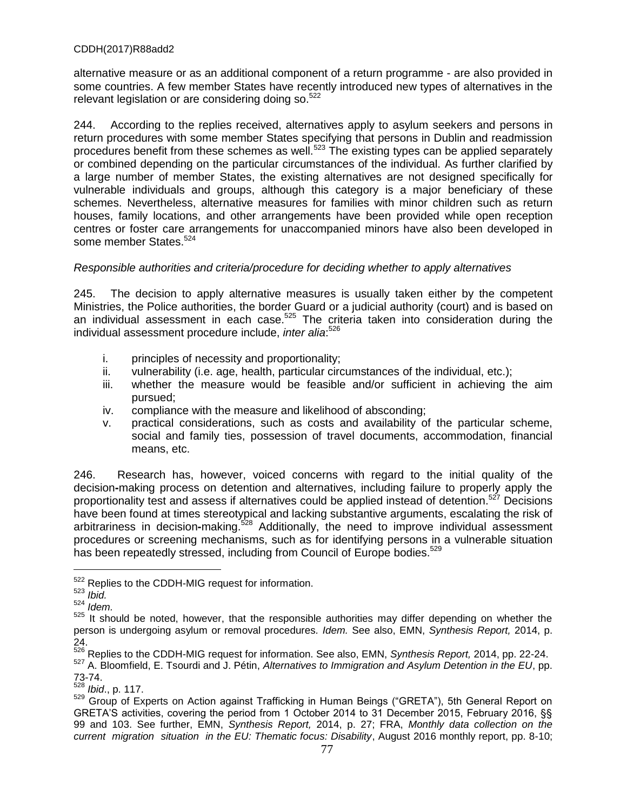alternative measure or as an additional component of a return programme - are also provided in some countries. A few member States have recently introduced new types of alternatives in the relevant legislation or are considering doing so.<sup>522</sup>

244. According to the replies received, alternatives apply to asylum seekers and persons in return procedures with some member States specifying that persons in Dublin and readmission procedures benefit from these schemes as well.<sup>523</sup> The existing types can be applied separately or combined depending on the particular circumstances of the individual. As further clarified by a large number of member States, the existing alternatives are not designed specifically for vulnerable individuals and groups, although this category is a major beneficiary of these schemes. Nevertheless, alternative measures for families with minor children such as return houses, family locations, and other arrangements have been provided while open reception centres or foster care arrangements for unaccompanied minors have also been developed in some member States.<sup>524</sup>

## *Responsible authorities and criteria/procedure for deciding whether to apply alternatives*

245. The decision to apply alternative measures is usually taken either by the competent Ministries, the Police authorities, the border Guard or a judicial authority (court) and is based on an individual assessment in each case.<sup>525</sup> The criteria taken into consideration during the individual assessment procedure include, *inter alia*: 526

- i. principles of necessity and proportionality;
- ii. vulnerability (i.e. age, health, particular circumstances of the individual, etc.);
- iii. whether the measure would be feasible and/or sufficient in achieving the aim pursued;
- iv. compliance with the measure and likelihood of absconding;
- v. practical considerations, such as costs and availability of the particular scheme, social and family ties, possession of travel documents, accommodation, financial means, etc.

246. Research has, however, voiced concerns with regard to the initial quality of the decision**-**making process on detention and alternatives, including failure to properly apply the proportionality test and assess if alternatives could be applied instead of detention.<sup>527</sup> Decisions have been found at times stereotypical and lacking substantive arguments, escalating the risk of arbitrariness in decision-making.<sup>528</sup> Additionally, the need to improve individual assessment procedures or screening mechanisms, such as for identifying persons in a vulnerable situation has been repeatedly stressed, including from Council of Europe bodies.<sup>529</sup>

<sup>&</sup>lt;sup>522</sup> Replies to the CDDH-MIG request for information.

<sup>523</sup> *Ibid.*

<sup>524</sup> *Idem.*

<sup>525</sup> It should be noted, however, that the responsible authorities may differ depending on whether the person is undergoing asylum or removal procedures*. Idem.* See also, EMN, *Synthesis Report,* 2014, p. 24.

<sup>526</sup> Replies to the CDDH-MIG request for information. See also, EMN, *Synthesis Report,* 2014, pp. 22-24.

<sup>527</sup> A. Bloomfield, E. Tsourdi and J. Pétin, *Alternatives to Immigration and Asylum Detention in the EU*, pp.  $73-74.$ <br> $528$ 

*Ibid., p. 117.* 

<sup>529</sup> Group of Experts on Action against Trafficking in Human Beings ("GRETA"), 5th General Report on GRETA'S activities, covering the period from 1 October 2014 to 31 December 2015, February 2016, §§ 99 and 103. See further, EMN, *Synthesis Report,* 2014, p. 27; FRA, *Monthly data collection on the current migration situation in the EU: Thematic focus: Disability*, August 2016 monthly report, pp. 8-10;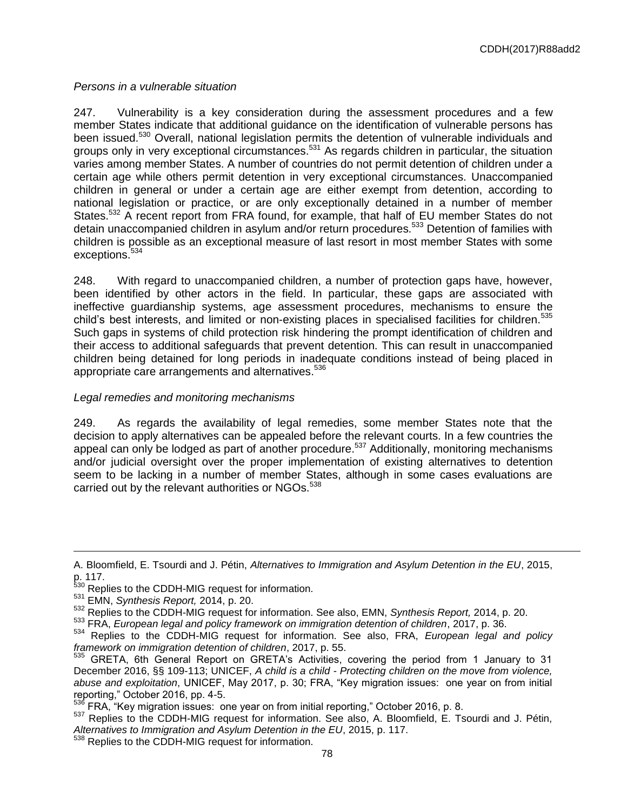# *Persons in a vulnerable situation*

247. Vulnerability is a key consideration during the assessment procedures and a few member States indicate that additional guidance on the identification of vulnerable persons has been issued.<sup>530</sup> Overall, national legislation permits the detention of vulnerable individuals and groups only in very exceptional circumstances.<sup>531</sup> As regards children in particular, the situation varies among member States. A number of countries do not permit detention of children under a certain age while others permit detention in very exceptional circumstances. Unaccompanied children in general or under a certain age are either exempt from detention, according to national legislation or practice, or are only exceptionally detained in a number of member States.<sup>532</sup> A recent report from FRA found, for example, that half of EU member States do not detain unaccompanied children in asylum and/or return procedures.<sup>533</sup> Detention of families with children is possible as an exceptional measure of last resort in most member States with some exceptions.<sup>534</sup>

248. With regard to unaccompanied children, a number of protection gaps have, however, been identified by other actors in the field. In particular, these gaps are associated with ineffective guardianship systems, age assessment procedures, mechanisms to ensure the child's best interests, and limited or non-existing places in specialised facilities for children.<sup>535</sup> Such gaps in systems of child protection risk hindering the prompt identification of children and their access to additional safeguards that prevent detention. This can result in unaccompanied children being detained for long periods in inadequate conditions instead of being placed in appropriate care arrangements and alternatives.<sup>536</sup>

# *Legal remedies and monitoring mechanisms*

249. As regards the availability of legal remedies, some member States note that the decision to apply alternatives can be appealed before the relevant courts. In a few countries the appeal can only be lodged as part of another procedure.<sup>537</sup> Additionally, monitoring mechanisms and/or judicial oversight over the proper implementation of existing alternatives to detention seem to be lacking in a number of member States, although in some cases evaluations are carried out by the relevant authorities or NGOs.<sup>538</sup>

A. Bloomfield, E. Tsourdi and J. Pétin, *Alternatives to Immigration and Asylum Detention in the EU*, 2015, p. 117.

<sup>&</sup>lt;sup>530</sup> Replies to the CDDH-MIG request for information.

<sup>531</sup> EMN, *Synthesis Report,* 2014, p. 20.

<sup>532</sup> Replies to the CDDH-MIG request for information. See also, EMN, *Synthesis Report,* 2014, p. 20.

<sup>533</sup> FRA, *European legal and policy framework on immigration detention of children*, 2017, p. 36.

<sup>534</sup> Replies to the CDDH-MIG request for information. See also, FRA, *European legal and policy framework on immigration detention of children*, 2017, p. 55.

<sup>535</sup> GRETA, 6th General Report on GRETA's Activities, covering the period from 1 January to 31 December 2016, §§ 109-113; UNICEF, *A child is a child - Protecting children on the move from violence, abuse and exploitation*, UNICEF, May 2017, p. 30; FRA, "Key migration issues: one year on from initial reporting," October 2016, pp. 4-5.

 $\frac{536}{100}$  FRA, "Key migration issues: one year on from initial reporting," October 2016, p. 8.

<sup>537</sup> Replies to the CDDH-MIG request for information. See also, A. Bloomfield, E. Tsourdi and J. Pétin, *Alternatives to Immigration and Asylum Detention in the EU*, 2015, p. 117.

<sup>&</sup>lt;sup>538</sup> Replies to the CDDH-MIG request for information.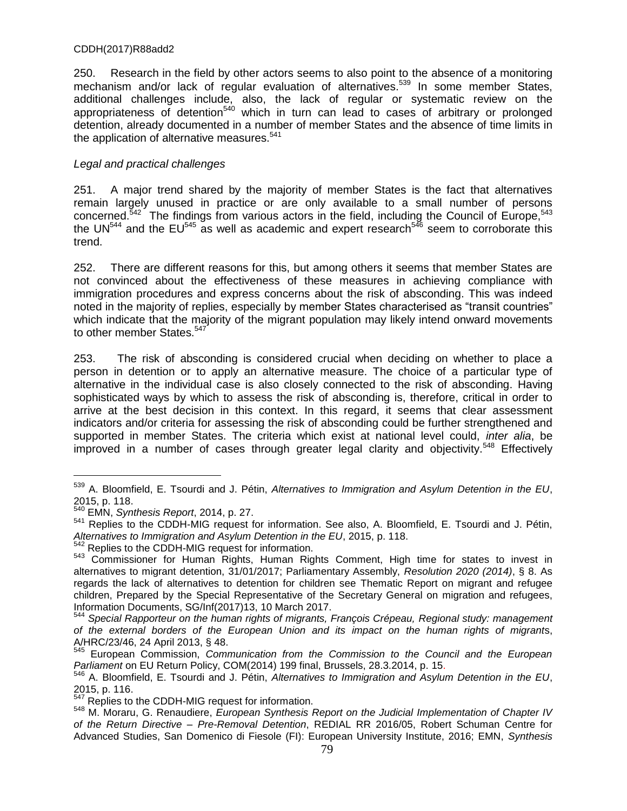250. Research in the field by other actors seems to also point to the absence of a monitoring mechanism and/or lack of regular evaluation of alternatives.<sup>539</sup> In some member States, additional challenges include, also, the lack of regular or systematic review on the appropriateness of detention<sup>540</sup> which in turn can lead to cases of arbitrary or prolonged detention, already documented in a number of member States and the absence of time limits in the application of alternative measures. $541$ 

# *Legal and practical challenges*

251. A major trend shared by the majority of member States is the fact that alternatives remain largely unused in practice or are only available to a small number of persons concerned.<sup>542</sup> The findings from various actors in the field, including the Council of Europe,<sup>543</sup> the UN<sup>544</sup> and the EU<sup>545</sup> as well as academic and expert research<sup>546</sup> seem to corroborate this trend.

252. There are different reasons for this, but among others it seems that member States are not convinced about the effectiveness of these measures in achieving compliance with immigration procedures and express concerns about the risk of absconding. This was indeed noted in the majority of replies, especially by member States characterised as "transit countries" which indicate that the majority of the migrant population may likely intend onward movements to other member States.<sup>547</sup>

253. The risk of absconding is considered crucial when deciding on whether to place a person in detention or to apply an alternative measure. The choice of a particular type of alternative in the individual case is also closely connected to the risk of absconding. Having sophisticated ways by which to assess the risk of absconding is, therefore, critical in order to arrive at the best decision in this context. In this regard, it seems that clear assessment indicators and/or criteria for assessing the risk of absconding could be further strengthened and supported in member States. The criteria which exist at national level could, *inter alia*, be improved in a number of cases through greater legal clarity and objectivity.<sup>548</sup> Effectively

<sup>539</sup> A. Bloomfield, E. Tsourdi and J. Pétin, *Alternatives to Immigration and Asylum Detention in the EU*, 2015, p. 118.

<sup>540</sup> EMN, *Synthesis Report*, 2014, p. 27.

<sup>541</sup> Replies to the CDDH-MIG request for information. See also, A. Bloomfield, E. Tsourdi and J. Pétin, *Alternatives to Immigration and Asylum Detention in the EU*, 2015, p. 118.

<sup>&</sup>lt;sup>542</sup> Replies to the CDDH-MIG request for information.

<sup>543</sup> Commissioner for Human Rights, Human Rights Comment, High time for states to invest in alternatives to migrant detention, 31/01/2017; Parliamentary Assembly, *Resolution 2020 (2014)*, § 8. As regards the lack of alternatives to detention for children see Thematic Report on migrant and refugee children, Prepared by the Special Representative of the Secretary General on migration and refugees, Information Documents, SG/Inf(2017)13, 10 March 2017.

<sup>544</sup> *Special Rapporteur on the human rights of migrants, François Crépeau, Regional study: management of the external borders of the European Union and its impact on the human rights of migrant*s, A/HRC/23/46, 24 April 2013, § 48.

<sup>545</sup> European Commission, *Communication from the Commission to the Council and the European Parliament* on EU Return Policy, COM(2014) 199 final, Brussels, 28.3.2014, p. 15.

<sup>546</sup> A. Bloomfield, E. Tsourdi and J. Pétin, *Alternatives to Immigration and Asylum Detention in the EU*, 2015, p. 116.

<sup>&</sup>lt;sup>547</sup> Replies to the CDDH-MIG request for information.

<sup>548</sup> M. Moraru, G. Renaudiere, *European Synthesis Report on the Judicial Implementation of Chapter IV of the Return Directive – Pre-Removal Detention*, REDIAL RR 2016/05, Robert Schuman Centre for Advanced Studies, San Domenico di Fiesole (FI): European University Institute, 2016; EMN, *Synthesis*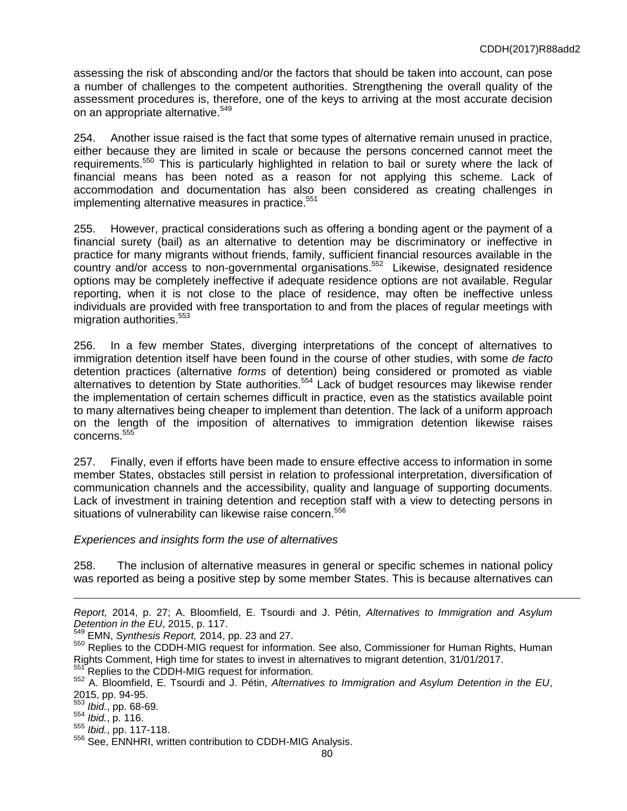assessing the risk of absconding and/or the factors that should be taken into account, can pose a number of challenges to the competent authorities. Strengthening the overall quality of the assessment procedures is, therefore, one of the keys to arriving at the most accurate decision on an appropriate alternative.<sup>549</sup>

254. Another issue raised is the fact that some types of alternative remain unused in practice, either because they are limited in scale or because the persons concerned cannot meet the requirements.<sup>550</sup> This is particularly highlighted in relation to bail or surety where the lack of financial means has been noted as a reason for not applying this scheme. Lack of accommodation and documentation has also been considered as creating challenges in implementing alternative measures in practice.<sup>551</sup>

255. However, practical considerations such as offering a bonding agent or the payment of a financial surety (bail) as an alternative to detention may be discriminatory or ineffective in practice for many migrants without friends, family, sufficient financial resources available in the country and/or access to non-governmental organisations. <sup>552</sup> Likewise, designated residence options may be completely ineffective if adequate residence options are not available. Regular reporting, when it is not close to the place of residence, may often be ineffective unless individuals are provided with free transportation to and from the places of regular meetings with migration authorities.<sup>553</sup>

256. In a few member States, diverging interpretations of the concept of alternatives to immigration detention itself have been found in the course of other studies, with some *de facto* detention practices (alternative *forms* of detention) being considered or promoted as viable alternatives to detention by State authorities.<sup>554</sup> Lack of budget resources may likewise render the implementation of certain schemes difficult in practice, even as the statistics available point to many alternatives being cheaper to implement than detention. The lack of a uniform approach on the length of the imposition of alternatives to immigration detention likewise raises concerns.<sup>555</sup>

257. Finally, even if efforts have been made to ensure effective access to information in some member States, obstacles still persist in relation to professional interpretation, diversification of communication channels and the accessibility, quality and language of supporting documents. Lack of investment in training detention and reception staff with a view to detecting persons in situations of vulnerability can likewise raise concern.<sup>556</sup>

### *Experiences and insights form the use of alternatives*

258. The inclusion of alternative measures in general or specific schemes in national policy was reported as being a positive step by some member States. This is because alternatives can

*Report,* 2014, p. 27; A. Bloomfield, E. Tsourdi and J. Pétin, *Alternatives to Immigration and Asylum Detention in the EU*, 2015, p. 117.

<sup>549</sup> EMN, *Synthesis Report,* 2014, pp. 23 and 27.

<sup>550</sup> Replies to the CDDH-MIG request for information. See also, Commissioner for Human Rights, Human Rights Comment, High time for states to invest in alternatives to migrant detention, 31/01/2017.

Replies to the CDDH-MIG request for information.

<sup>552</sup> A. Bloomfield, E. Tsourdi and J. Pétin, *Alternatives to Immigration and Asylum Detention in the EU*, 2015, pp. 94-95.

<sup>553</sup> *Ibid.*, pp. 68-69.

<sup>554</sup> *Ibid.*, p. 116.

<sup>555</sup> *Ibid.*, pp. 117-118.

<sup>556</sup> See, ENNHRI, written contribution to CDDH-MIG Analysis.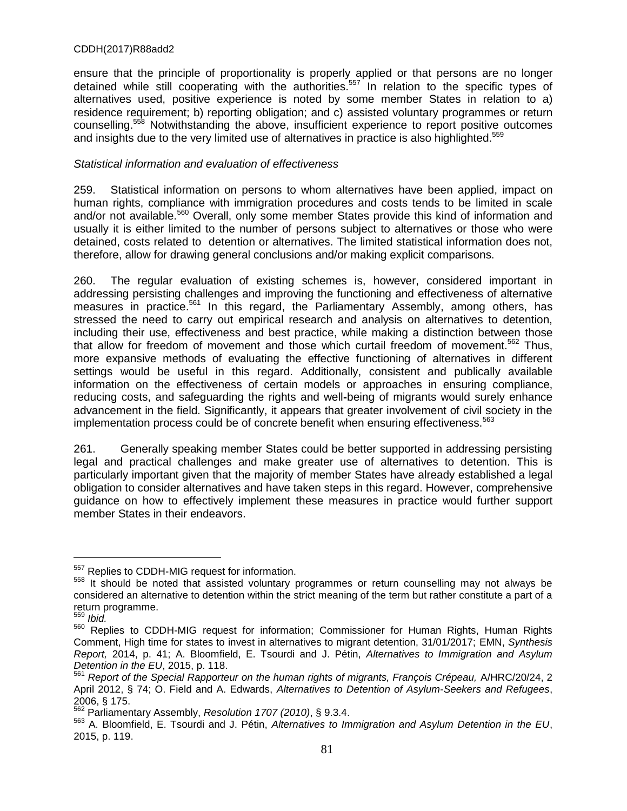ensure that the principle of proportionality is properly applied or that persons are no longer detained while still cooperating with the authorities.<sup>557</sup> In relation to the specific types of alternatives used, positive experience is noted by some member States in relation to a) residence requirement; b) reporting obligation; and c) assisted voluntary programmes or return counselling.<sup>558</sup> Notwithstanding the above, insufficient experience to report positive outcomes and insights due to the very limited use of alternatives in practice is also highlighted.<sup>559</sup>

## *Statistical information and evaluation of effectiveness*

259. Statistical information on persons to whom alternatives have been applied, impact on human rights, compliance with immigration procedures and costs tends to be limited in scale and/or not available.<sup>560</sup> Overall, only some member States provide this kind of information and usually it is either limited to the number of persons subject to alternatives or those who were detained, costs related to detention or alternatives. The limited statistical information does not, therefore, allow for drawing general conclusions and/or making explicit comparisons.

260. The regular evaluation of existing schemes is, however, considered important in addressing persisting challenges and improving the functioning and effectiveness of alternative measures in practice.<sup>561</sup> In this regard, the Parliamentary Assembly, among others, has stressed the need to carry out empirical research and analysis on alternatives to detention, including their use, effectiveness and best practice, while making a distinction between those that allow for freedom of movement and those which curtail freedom of movement.<sup>562</sup> Thus, more expansive methods of evaluating the effective functioning of alternatives in different settings would be useful in this regard. Additionally, consistent and publically available information on the effectiveness of certain models or approaches in ensuring compliance, reducing costs, and safeguarding the rights and well**-**being of migrants would surely enhance advancement in the field. Significantly, it appears that greater involvement of civil society in the implementation process could be of concrete benefit when ensuring effectiveness.<sup>563</sup>

261. Generally speaking member States could be better supported in addressing persisting legal and practical challenges and make greater use of alternatives to detention. This is particularly important given that the majority of member States have already established a legal obligation to consider alternatives and have taken steps in this regard. However, comprehensive guidance on how to effectively implement these measures in practice would further support member States in their endeavors.

*Ibid.* 

<sup>557</sup> Replies to CDDH-MIG request for information.

<sup>&</sup>lt;sup>558</sup> It should be noted that assisted voluntary programmes or return counselling may not always be considered an alternative to detention within the strict meaning of the term but rather constitute a part of a return programme.

<sup>560</sup> Replies to CDDH-MIG request for information; Commissioner for Human Rights, Human Rights Comment, High time for states to invest in alternatives to migrant detention, 31/01/2017; EMN, *Synthesis Report,* 2014, p. 41; A. Bloomfield, E. Tsourdi and J. Pétin, *Alternatives to Immigration and Asylum Detention in the EU*, 2015, p. 118.

<sup>561</sup> *Report of the Special Rapporteur on the human rights of migrants, François Crépeau,* A/HRC/20/24, 2 April 2012, § 74; O. Field and A. Edwards, *Alternatives to Detention of Asylum-Seekers and Refugees*,  $2006, \frac{1}{3}$  175.

<sup>562</sup> Parliamentary Assembly, *Resolution 1707 (2010)*, § 9.3.4.

<sup>563</sup> A. Bloomfield, E. Tsourdi and J. Pétin, *Alternatives to Immigration and Asylum Detention in the EU*, 2015, p. 119.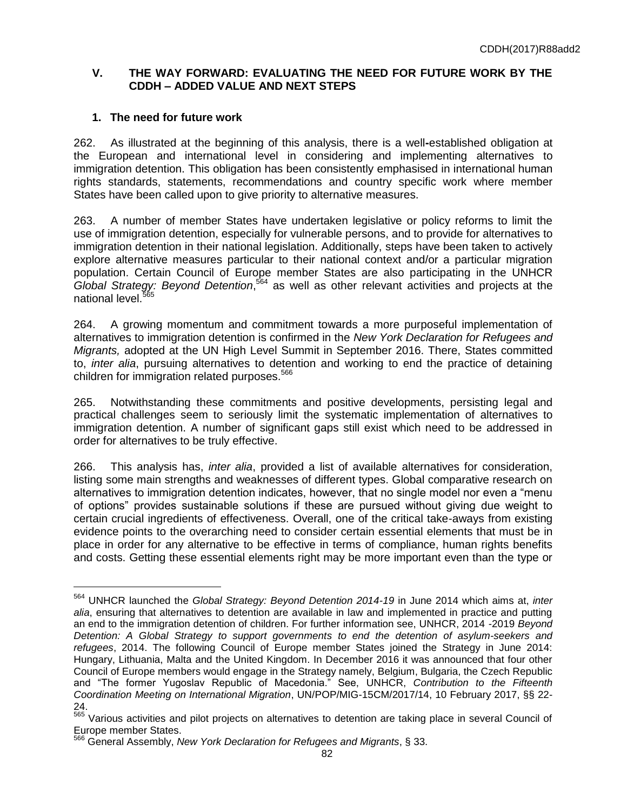# **V. THE WAY FORWARD: EVALUATING THE NEED FOR FUTURE WORK BY THE CDDH – ADDED VALUE AND NEXT STEPS**

## **1. The need for future work**

 $\overline{a}$ 

262. As illustrated at the beginning of this analysis, there is a well**-**established obligation at the European and international level in considering and implementing alternatives to immigration detention. This obligation has been consistently emphasised in international human rights standards, statements, recommendations and country specific work where member States have been called upon to give priority to alternative measures.

263. A number of member States have undertaken legislative or policy reforms to limit the use of immigration detention, especially for vulnerable persons, and to provide for alternatives to immigration detention in their national legislation. Additionally, steps have been taken to actively explore alternative measures particular to their national context and/or a particular migration population. Certain Council of Europe member States are also participating in the UNHCR *Global Strategy: Beyond Detention*, <sup>564</sup> as well as other relevant activities and projects at the national level.<sup>4</sup>

264. A growing momentum and commitment towards a more purposeful implementation of alternatives to immigration detention is confirmed in the *New York Declaration for Refugees and Migrants,* adopted at the UN High Level Summit in September 2016. There, States committed to, *inter alia*, pursuing alternatives to detention and working to end the practice of detaining children for immigration related purposes.<sup>566</sup>

265. Notwithstanding these commitments and positive developments, persisting legal and practical challenges seem to seriously limit the systematic implementation of alternatives to immigration detention. A number of significant gaps still exist which need to be addressed in order for alternatives to be truly effective.

266. This analysis has, *inter alia*, provided a list of available alternatives for consideration, listing some main strengths and weaknesses of different types. Global comparative research on alternatives to immigration detention indicates, however, that no single model nor even a "menu of options" provides sustainable solutions if these are pursued without giving due weight to certain crucial ingredients of effectiveness. Overall, one of the critical take-aways from existing evidence points to the overarching need to consider certain essential elements that must be in place in order for any alternative to be effective in terms of compliance, human rights benefits and costs. Getting these essential elements right may be more important even than the type or

<sup>564</sup> UNHCR launched the *Global Strategy: Beyond Detention 2014-19* in June 2014 which aims at, *inter alia*, ensuring that alternatives to detention are available in law and implemented in practice and putting an end to the immigration detention of children. For further information see, UNHCR, 2014 -2019 *Beyond Detention: A Global Strategy to support governments to end the detention of asylum-seekers and refugees*, 2014. The following Council of Europe member States joined the Strategy in June 2014: Hungary, Lithuania, Malta and the United Kingdom. In December 2016 it was announced that four other Council of Europe members would engage in the Strategy namely, Belgium, Bulgaria, the Czech Republic and "The former Yugoslav Republic of Macedonia." See, UNHCR, *Contribution to the Fifteenth Coordination Meeting on International Migration*, UN/POP/MIG-15CM/2017/14, 10 February 2017, §§ 22- 24.

<sup>&</sup>lt;sup>565</sup> Various activities and pilot projects on alternatives to detention are taking place in several Council of Europe member States.

<sup>566</sup> General Assembly, *New York Declaration for Refugees and Migrants*, § 33.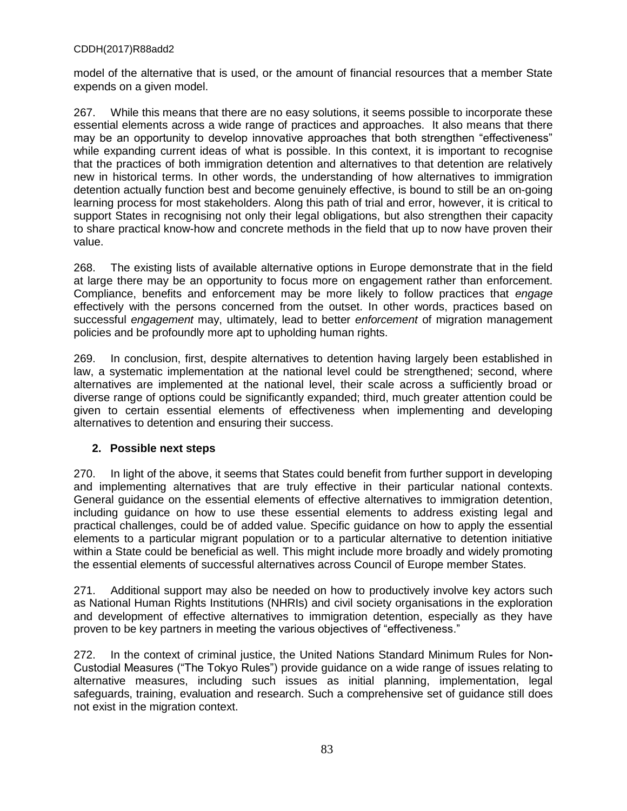model of the alternative that is used, or the amount of financial resources that a member State expends on a given model.

267. While this means that there are no easy solutions, it seems possible to incorporate these essential elements across a wide range of practices and approaches. It also means that there may be an opportunity to develop innovative approaches that both strengthen "effectiveness" while expanding current ideas of what is possible. In this context, it is important to recognise that the practices of both immigration detention and alternatives to that detention are relatively new in historical terms. In other words, the understanding of how alternatives to immigration detention actually function best and become genuinely effective, is bound to still be an on-going learning process for most stakeholders. Along this path of trial and error, however, it is critical to support States in recognising not only their legal obligations, but also strengthen their capacity to share practical know-how and concrete methods in the field that up to now have proven their value.

268. The existing lists of available alternative options in Europe demonstrate that in the field at large there may be an opportunity to focus more on engagement rather than enforcement. Compliance, benefits and enforcement may be more likely to follow practices that *engage* effectively with the persons concerned from the outset. In other words, practices based on successful *engagement* may, ultimately, lead to better *enforcement* of migration management policies and be profoundly more apt to upholding human rights.

269. In conclusion, first, despite alternatives to detention having largely been established in law, a systematic implementation at the national level could be strengthened; second, where alternatives are implemented at the national level, their scale across a sufficiently broad or diverse range of options could be significantly expanded; third, much greater attention could be given to certain essential elements of effectiveness when implementing and developing alternatives to detention and ensuring their success.

# **2. Possible next steps**

270. In light of the above, it seems that States could benefit from further support in developing and implementing alternatives that are truly effective in their particular national contexts. General guidance on the essential elements of effective alternatives to immigration detention, including guidance on how to use these essential elements to address existing legal and practical challenges, could be of added value. Specific guidance on how to apply the essential elements to a particular migrant population or to a particular alternative to detention initiative within a State could be beneficial as well. This might include more broadly and widely promoting the essential elements of successful alternatives across Council of Europe member States.

271. Additional support may also be needed on how to productively involve key actors such as National Human Rights Institutions (NHRIs) and civil society organisations in the exploration and development of effective alternatives to immigration detention, especially as they have proven to be key partners in meeting the various objectives of "effectiveness."

272. In the context of criminal justice, the United Nations Standard Minimum Rules for Non**-**Custodial Measures ("The Tokyo Rules") provide guidance on a wide range of issues relating to alternative measures, including such issues as initial planning, implementation, legal safeguards, training, evaluation and research. Such a comprehensive set of guidance still does not exist in the migration context.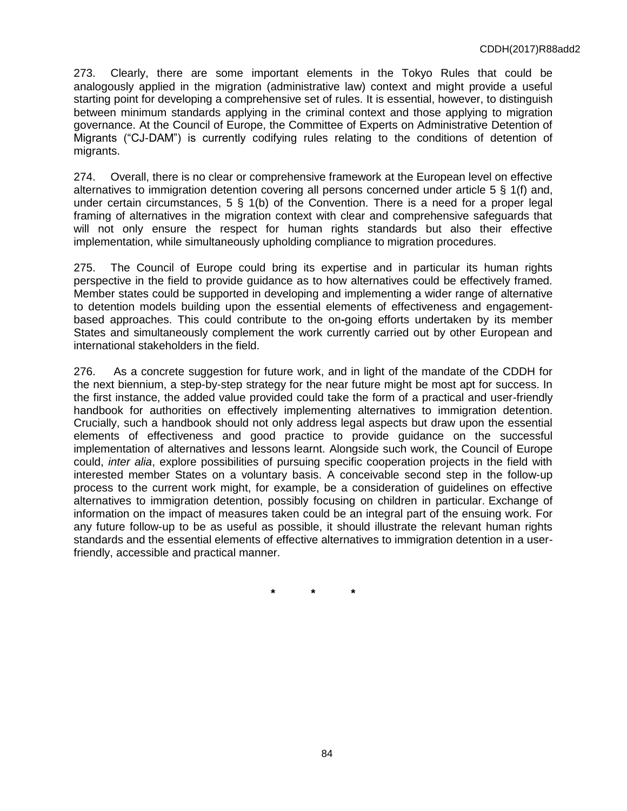273. Clearly, there are some important elements in the Tokyo Rules that could be analogously applied in the migration (administrative law) context and might provide a useful starting point for developing a comprehensive set of rules. It is essential, however, to distinguish between minimum standards applying in the criminal context and those applying to migration governance. At the Council of Europe, the Committee of Experts on Administrative Detention of Migrants ("CJ-DAMˮ) is currently codifying rules relating to the conditions of detention of migrants.

274. Overall, there is no clear or comprehensive framework at the European level on effective alternatives to immigration detention covering all persons concerned under article 5 § 1(f) and, under certain circumstances,  $5 \S 1(b)$  of the Convention. There is a need for a proper legal framing of alternatives in the migration context with clear and comprehensive safeguards that will not only ensure the respect for human rights standards but also their effective implementation, while simultaneously upholding compliance to migration procedures.

275. The Council of Europe could bring its expertise and in particular its human rights perspective in the field to provide guidance as to how alternatives could be effectively framed. Member states could be supported in developing and implementing a wider range of alternative to detention models building upon the essential elements of effectiveness and engagementbased approaches. This could contribute to the on**-**going efforts undertaken by its member States and simultaneously complement the work currently carried out by other European and international stakeholders in the field.

276. As a concrete suggestion for future work, and in light of the mandate of the CDDH for the next biennium, a step-by-step strategy for the near future might be most apt for success. In the first instance, the added value provided could take the form of a practical and user-friendly handbook for authorities on effectively implementing alternatives to immigration detention. Crucially, such a handbook should not only address legal aspects but draw upon the essential elements of effectiveness and good practice to provide guidance on the successful implementation of alternatives and lessons learnt. Alongside such work, the Council of Europe could, *inter alia*, explore possibilities of pursuing specific cooperation projects in the field with interested member States on a voluntary basis. A conceivable second step in the follow-up process to the current work might, for example, be a consideration of guidelines on effective alternatives to immigration detention, possibly focusing on children in particular. Exchange of information on the impact of measures taken could be an integral part of the ensuing work. For any future follow-up to be as useful as possible, it should illustrate the relevant human rights standards and the essential elements of effective alternatives to immigration detention in a userfriendly, accessible and practical manner.

**\* \* \***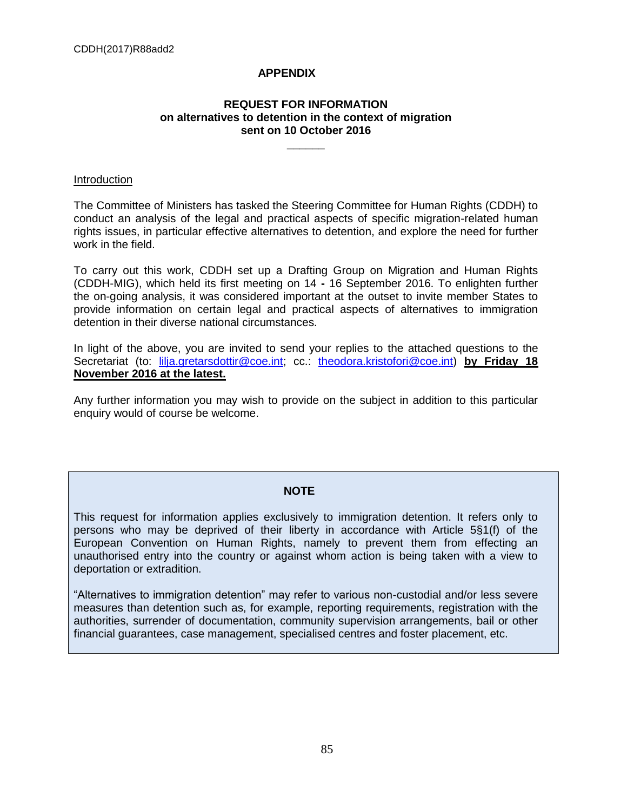# **APPENDIX**

### **REQUEST FOR INFORMATION on alternatives to detention in the context of migration sent on 10 October 2016**

 $\overline{\phantom{a}}$ 

### Introduction

The Committee of Ministers has tasked the Steering Committee for Human Rights (CDDH) to conduct an analysis of the legal and practical aspects of specific migration-related human rights issues, in particular effective alternatives to detention, and explore the need for further work in the field.

To carry out this work, CDDH set up a Drafting Group on Migration and Human Rights (CDDH-MIG), which held its first meeting on 14 **-** 16 September 2016. To enlighten further the on-going analysis, it was considered important at the outset to invite member States to provide information on certain legal and practical aspects of alternatives to immigration detention in their diverse national circumstances.

In light of the above, you are invited to send your replies to the attached questions to the Secretariat (to: [lilja.gretarsdottir@coe.int;](mailto:lilja.gretarsdottir@coe.int) cc.: [theodora.kristofori@coe.int\)](mailto:theodora.kristofori@coe.int) **by Friday 18 November 2016 at the latest.** 

Any further information you may wish to provide on the subject in addition to this particular enquiry would of course be welcome.

### **NOTE**

This request for information applies exclusively to immigration detention. It refers only to persons who may be deprived of their liberty in accordance with Article 5§1(f) of the European Convention on Human Rights, namely to prevent them from effecting an unauthorised entry into the country or against whom action is being taken with a view to deportation or extradition.

"Alternatives to immigration detention" may refer to various non-custodial and/or less severe measures than detention such as, for example, reporting requirements, registration with the authorities, surrender of documentation, community supervision arrangements, bail or other financial guarantees, case management, specialised centres and foster placement, etc.